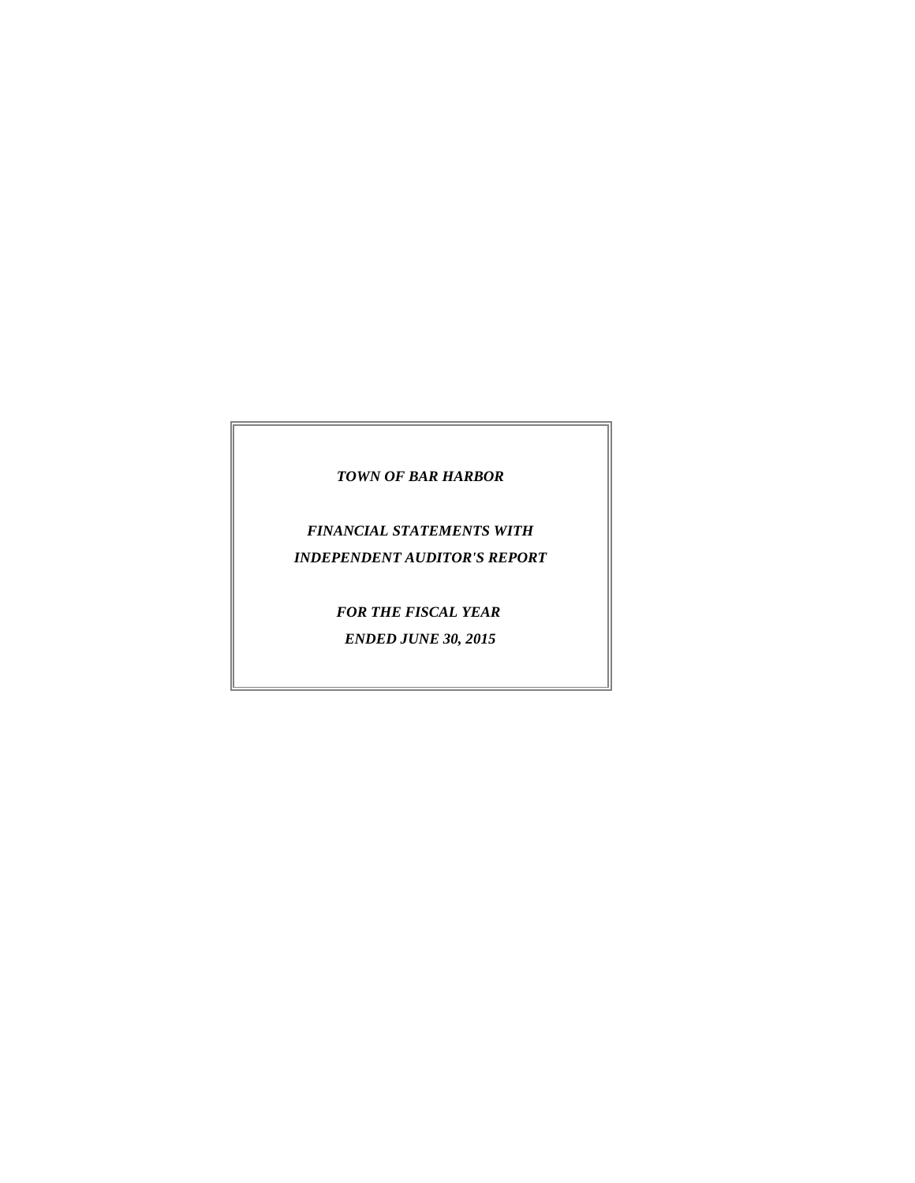*TOWN OF BAR HARBOR*

*FINANCIAL STATEMENTS WITH INDEPENDENT AUDITOR'S REPORT*

> *FOR THE FISCAL YEAR ENDED JUNE 30, 2015*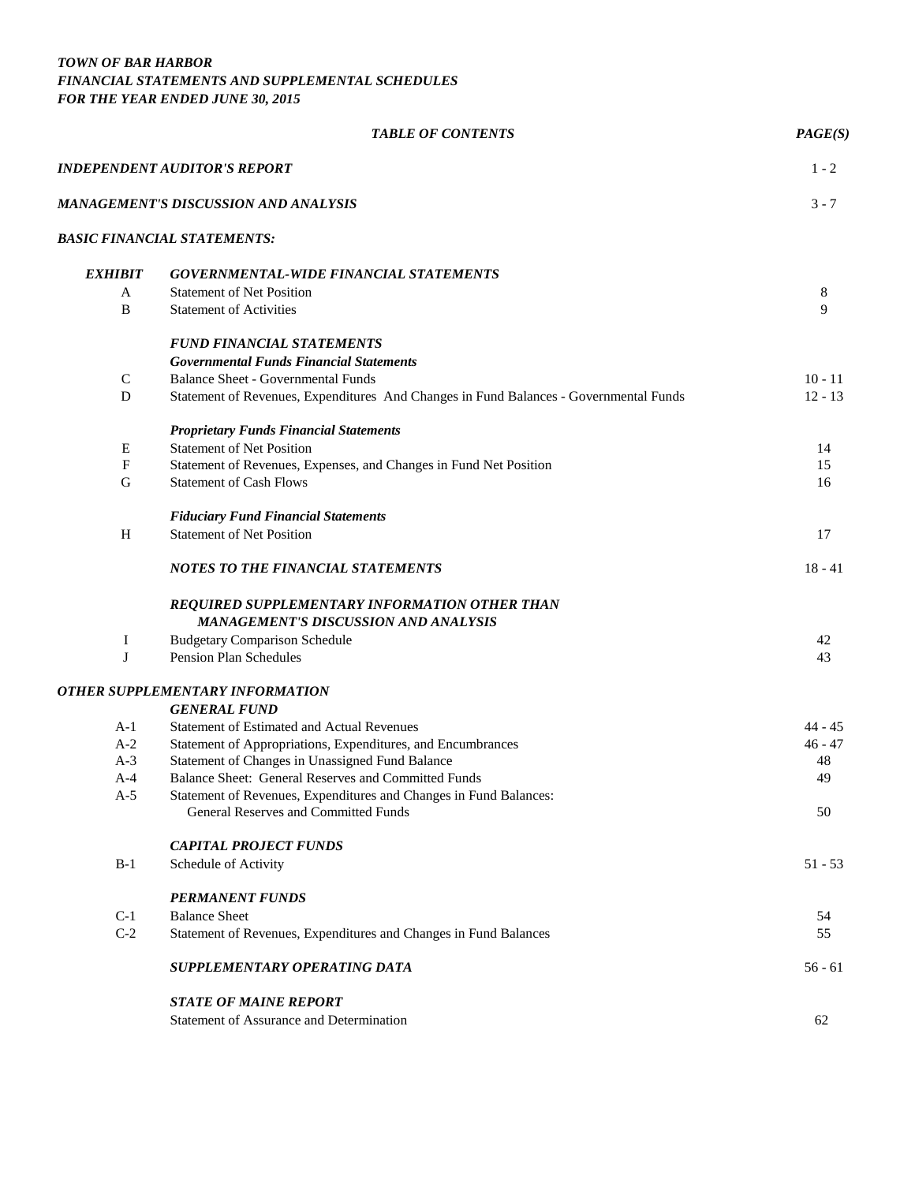|                           | <b>TABLE OF CONTENTS</b>                                                                                  | PAGE(S)   |
|---------------------------|-----------------------------------------------------------------------------------------------------------|-----------|
|                           | INDEPENDENT AUDITOR'S REPORT                                                                              | $1 - 2$   |
|                           | MANAGEMENT'S DISCUSSION AND ANALYSIS                                                                      | $3 - 7$   |
|                           | <b>BASIC FINANCIAL STATEMENTS:</b>                                                                        |           |
| <b>EXHIBIT</b>            | <b>GOVERNMENTAL-WIDE FINANCIAL STATEMENTS</b>                                                             |           |
| A                         | <b>Statement of Net Position</b>                                                                          | 8         |
| B                         | <b>Statement of Activities</b>                                                                            | 9         |
|                           | <b>FUND FINANCIAL STATEMENTS</b>                                                                          |           |
|                           | <b>Governmental Funds Financial Statements</b>                                                            |           |
| $\mathbf C$               | <b>Balance Sheet - Governmental Funds</b>                                                                 | $10 - 11$ |
| D                         | Statement of Revenues, Expenditures And Changes in Fund Balances - Governmental Funds                     | $12 - 13$ |
|                           | <b>Proprietary Funds Financial Statements</b>                                                             |           |
| E                         | <b>Statement of Net Position</b>                                                                          | 14        |
| $\boldsymbol{\mathrm{F}}$ | Statement of Revenues, Expenses, and Changes in Fund Net Position                                         | 15        |
| G                         | <b>Statement of Cash Flows</b>                                                                            | 16        |
|                           | <b>Fiduciary Fund Financial Statements</b>                                                                |           |
| H                         | <b>Statement of Net Position</b>                                                                          | 17        |
|                           | <b>NOTES TO THE FINANCIAL STATEMENTS</b>                                                                  | $18 - 41$ |
|                           | REQUIRED SUPPLEMENTARY INFORMATION OTHER THAN                                                             |           |
|                           | <b>MANAGEMENT'S DISCUSSION AND ANALYSIS</b>                                                               |           |
| I                         | <b>Budgetary Comparison Schedule</b>                                                                      | 42        |
| J                         | <b>Pension Plan Schedules</b>                                                                             | 43        |
|                           | <b>OTHER SUPPLEMENTARY INFORMATION</b>                                                                    |           |
|                           | <b>GENERAL FUND</b>                                                                                       |           |
| $A-1$                     | Statement of Estimated and Actual Revenues                                                                | 44 - 45   |
| $A-2$                     | Statement of Appropriations, Expenditures, and Encumbrances                                               | $46 - 47$ |
| $A-3$                     | Statement of Changes in Unassigned Fund Balance                                                           | 48        |
| $A-4$                     | Balance Sheet: General Reserves and Committed Funds                                                       | 49        |
| $A-5$                     | Statement of Revenues, Expenditures and Changes in Fund Balances:<br>General Reserves and Committed Funds | 50        |
|                           | <b>CAPITAL PROJECT FUNDS</b>                                                                              |           |
| $B-1$                     | Schedule of Activity                                                                                      | $51 - 53$ |
|                           | <b>PERMANENT FUNDS</b>                                                                                    |           |
| $C-1$                     | <b>Balance Sheet</b>                                                                                      | 54        |
| $C-2$                     | Statement of Revenues, Expenditures and Changes in Fund Balances                                          | 55        |
|                           | SUPPLEMENTARY OPERATING DATA                                                                              | $56 - 61$ |
|                           | <b>STATE OF MAINE REPORT</b>                                                                              |           |
|                           | Statement of Assurance and Determination                                                                  | 62        |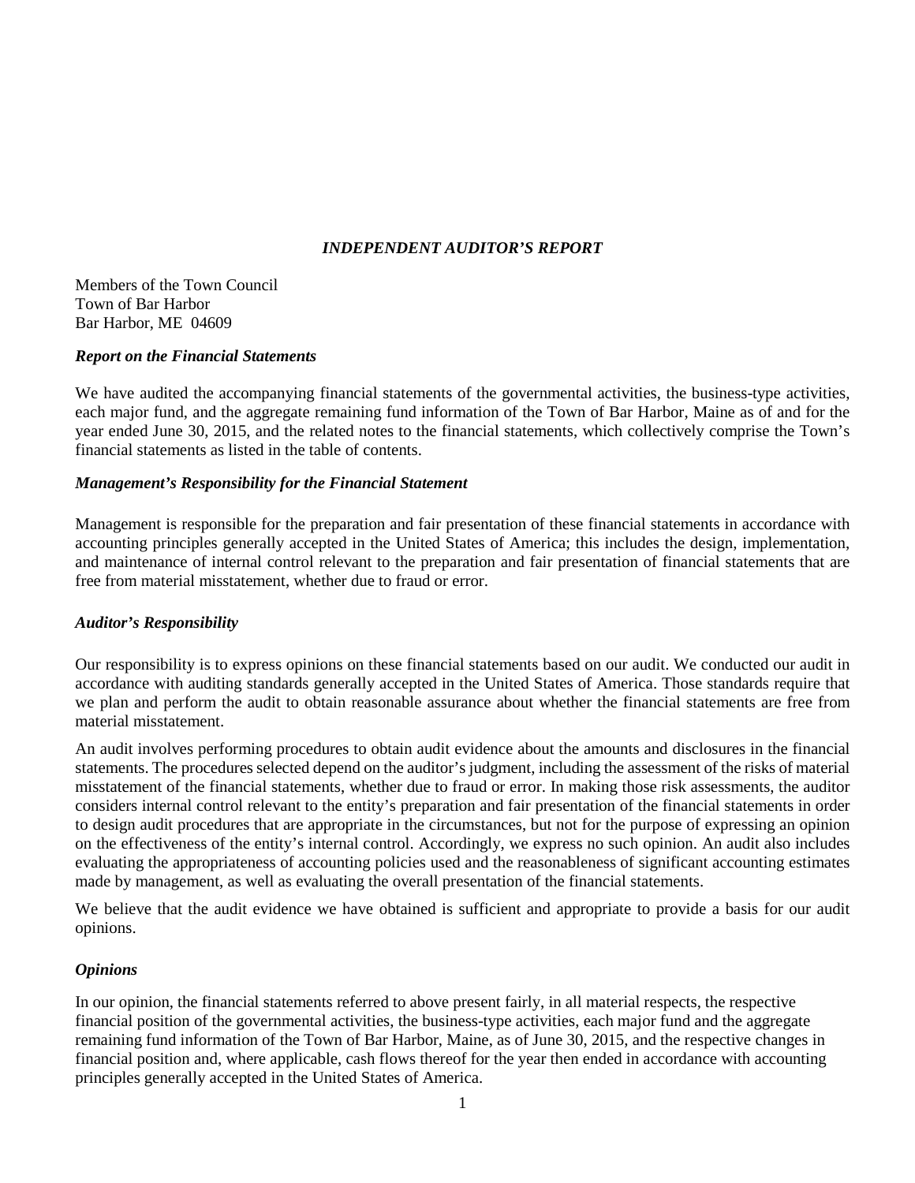## *INDEPENDENT AUDITOR'S REPORT*

Members of the Town Council Town of Bar Harbor Bar Harbor, ME 04609

### *Report on the Financial Statements*

We have audited the accompanying financial statements of the governmental activities, the business-type activities, each major fund, and the aggregate remaining fund information of the Town of Bar Harbor, Maine as of and for the year ended June 30, 2015, and the related notes to the financial statements, which collectively comprise the Town's financial statements as listed in the table of contents.

## *Management's Responsibility for the Financial Statement*

Management is responsible for the preparation and fair presentation of these financial statements in accordance with accounting principles generally accepted in the United States of America; this includes the design, implementation, and maintenance of internal control relevant to the preparation and fair presentation of financial statements that are free from material misstatement, whether due to fraud or error.

## *Auditor's Responsibility*

Our responsibility is to express opinions on these financial statements based on our audit. We conducted our audit in accordance with auditing standards generally accepted in the United States of America. Those standards require that we plan and perform the audit to obtain reasonable assurance about whether the financial statements are free from material misstatement.

An audit involves performing procedures to obtain audit evidence about the amounts and disclosures in the financial statements. The procedures selected depend on the auditor's judgment, including the assessment of the risks of material misstatement of the financial statements, whether due to fraud or error. In making those risk assessments, the auditor considers internal control relevant to the entity's preparation and fair presentation of the financial statements in order to design audit procedures that are appropriate in the circumstances, but not for the purpose of expressing an opinion on the effectiveness of the entity's internal control. Accordingly, we express no such opinion. An audit also includes evaluating the appropriateness of accounting policies used and the reasonableness of significant accounting estimates made by management, as well as evaluating the overall presentation of the financial statements.

We believe that the audit evidence we have obtained is sufficient and appropriate to provide a basis for our audit opinions.

## *Opinions*

In our opinion, the financial statements referred to above present fairly, in all material respects, the respective financial position of the governmental activities, the business-type activities, each major fund and the aggregate remaining fund information of the Town of Bar Harbor, Maine, as of June 30, 2015, and the respective changes in financial position and, where applicable, cash flows thereof for the year then ended in accordance with accounting principles generally accepted in the United States of America.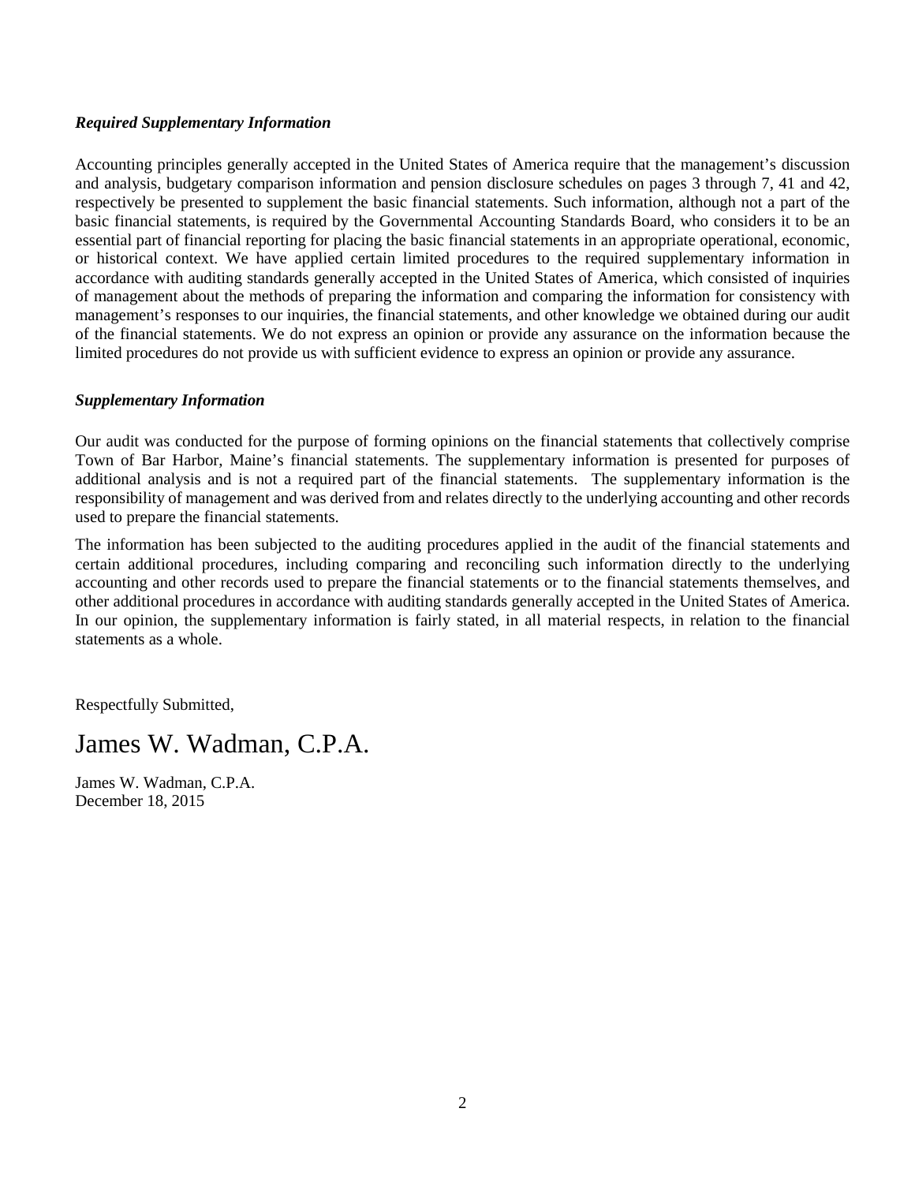## *Required Supplementary Information*

Accounting principles generally accepted in the United States of America require that the management's discussion and analysis, budgetary comparison information and pension disclosure schedules on pages 3 through 7, 41 and 42, respectively be presented to supplement the basic financial statements. Such information, although not a part of the basic financial statements, is required by the Governmental Accounting Standards Board, who considers it to be an essential part of financial reporting for placing the basic financial statements in an appropriate operational, economic, or historical context. We have applied certain limited procedures to the required supplementary information in accordance with auditing standards generally accepted in the United States of America, which consisted of inquiries of management about the methods of preparing the information and comparing the information for consistency with management's responses to our inquiries, the financial statements, and other knowledge we obtained during our audit of the financial statements. We do not express an opinion or provide any assurance on the information because the limited procedures do not provide us with sufficient evidence to express an opinion or provide any assurance.

### *Supplementary Information*

Our audit was conducted for the purpose of forming opinions on the financial statements that collectively comprise Town of Bar Harbor, Maine's financial statements. The supplementary information is presented for purposes of additional analysis and is not a required part of the financial statements. The supplementary information is the responsibility of management and was derived from and relates directly to the underlying accounting and other records used to prepare the financial statements.

The information has been subjected to the auditing procedures applied in the audit of the financial statements and certain additional procedures, including comparing and reconciling such information directly to the underlying accounting and other records used to prepare the financial statements or to the financial statements themselves, and other additional procedures in accordance with auditing standards generally accepted in the United States of America. In our opinion, the supplementary information is fairly stated, in all material respects, in relation to the financial statements as a whole.

Respectfully Submitted,

# James W. Wadman, C.P.A.

James W. Wadman, C.P.A. December 18, 2015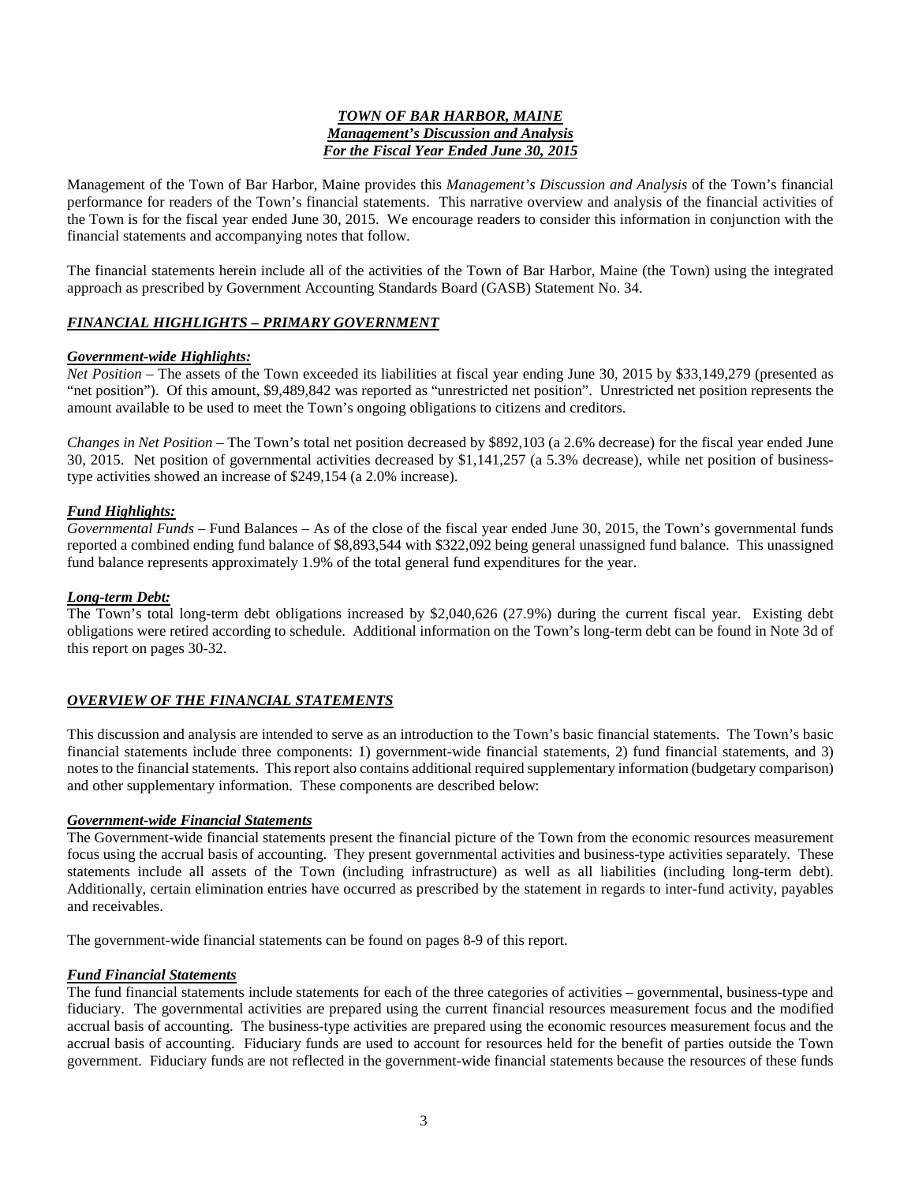#### *TOWN OF BAR HARBOR, MAINE Management's Discussion and Analysis For the Fiscal Year Ended June 30, 2015*

Management of the Town of Bar Harbor, Maine provides this *Management's Discussion and Analysis* of the Town's financial performance for readers of the Town's financial statements. This narrative overview and analysis of the financial activities of the Town is for the fiscal year ended June 30, 2015. We encourage readers to consider this information in conjunction with the financial statements and accompanying notes that follow.

The financial statements herein include all of the activities of the Town of Bar Harbor, Maine (the Town) using the integrated approach as prescribed by Government Accounting Standards Board (GASB) Statement No. 34.

#### *FINANCIAL HIGHLIGHTS – PRIMARY GOVERNMENT*

#### *Government-wide Highlights:*

*Net Position –* The assets of the Town exceeded its liabilities at fiscal year ending June 30, 2015 by \$33,149,279 (presented as "net position"). Of this amount, \$9,489,842 was reported as "unrestricted net position". Unrestricted net position represents the amount available to be used to meet the Town's ongoing obligations to citizens and creditors.

*Changes in Net Position* – The Town's total net position decreased by \$892,103 (a 2.6% decrease) for the fiscal year ended June 30, 2015. Net position of governmental activities decreased by \$1,141,257 (a 5.3% decrease), while net position of businesstype activities showed an increase of \$249,154 (a 2.0% increase).

#### *Fund Highlights:*

*Governmental Funds –* Fund Balances – As of the close of the fiscal year ended June 30, 2015, the Town's governmental funds reported a combined ending fund balance of \$8,893,544 with \$322,092 being general unassigned fund balance. This unassigned fund balance represents approximately 1.9% of the total general fund expenditures for the year.

#### *Long-term Debt:*

The Town's total long-term debt obligations increased by \$2,040,626 (27.9%) during the current fiscal year. Existing debt obligations were retired according to schedule. Additional information on the Town's long-term debt can be found in Note 3d of this report on pages 30-32.

#### *OVERVIEW OF THE FINANCIAL STATEMENTS*

This discussion and analysis are intended to serve as an introduction to the Town's basic financial statements. The Town's basic financial statements include three components: 1) government-wide financial statements, 2) fund financial statements, and 3) notes to the financial statements. This report also contains additional required supplementary information (budgetary comparison) and other supplementary information. These components are described below:

#### *Government-wide Financial Statements*

The Government-wide financial statements present the financial picture of the Town from the economic resources measurement focus using the accrual basis of accounting. They present governmental activities and business-type activities separately. These statements include all assets of the Town (including infrastructure) as well as all liabilities (including long-term debt). Additionally, certain elimination entries have occurred as prescribed by the statement in regards to inter-fund activity, payables and receivables.

The government-wide financial statements can be found on pages 8-9 of this report.

#### *Fund Financial Statements*

The fund financial statements include statements for each of the three categories of activities – governmental, business-type and fiduciary. The governmental activities are prepared using the current financial resources measurement focus and the modified accrual basis of accounting. The business-type activities are prepared using the economic resources measurement focus and the accrual basis of accounting. Fiduciary funds are used to account for resources held for the benefit of parties outside the Town government. Fiduciary funds are not reflected in the government-wide financial statements because the resources of these funds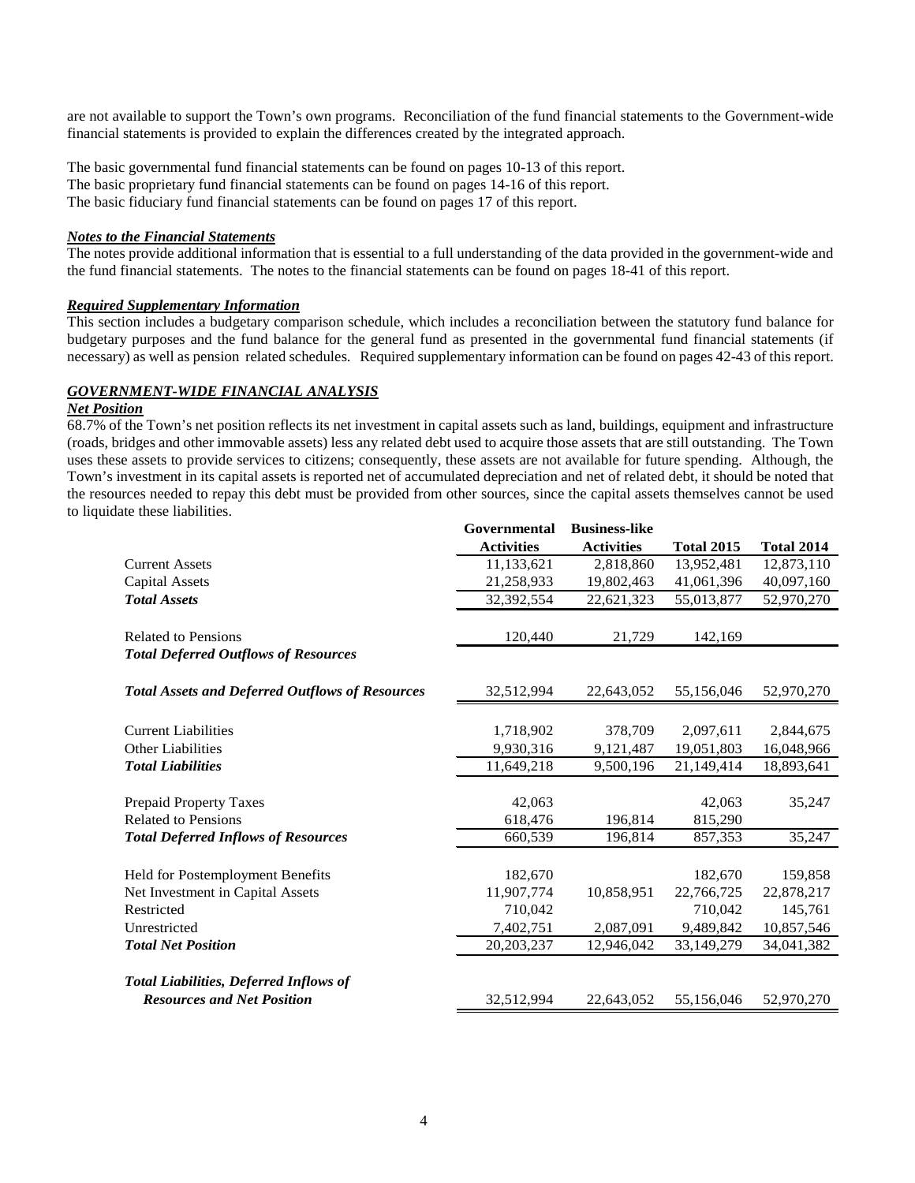are not available to support the Town's own programs. Reconciliation of the fund financial statements to the Government-wide financial statements is provided to explain the differences created by the integrated approach.

The basic governmental fund financial statements can be found on pages 10-13 of this report. The basic proprietary fund financial statements can be found on pages 14-16 of this report. The basic fiduciary fund financial statements can be found on pages 17 of this report.

#### *Notes to the Financial Statements*

The notes provide additional information that is essential to a full understanding of the data provided in the government-wide and the fund financial statements. The notes to the financial statements can be found on pages 18-41 of this report.

#### *Required Supplementary Information*

This section includes a budgetary comparison schedule, which includes a reconciliation between the statutory fund balance for budgetary purposes and the fund balance for the general fund as presented in the governmental fund financial statements (if necessary) as well as pension related schedules. Required supplementary information can be found on pages 42-43 of this report.

#### *GOVERNMENT-WIDE FINANCIAL ANALYSIS*

#### *Net Position*

68.7% of the Town's net position reflects its net investment in capital assets such as land, buildings, equipment and infrastructure (roads, bridges and other immovable assets) less any related debt used to acquire those assets that are still outstanding. The Town uses these assets to provide services to citizens; consequently, these assets are not available for future spending. Although, the Town's investment in its capital assets is reported net of accumulated depreciation and net of related debt, it should be noted that the resources needed to repay this debt must be provided from other sources, since the capital assets themselves cannot be used to liquidate these liabilities.

|                                                        | Governmental      | <b>Business-like</b> |                   |                   |
|--------------------------------------------------------|-------------------|----------------------|-------------------|-------------------|
|                                                        | <b>Activities</b> | <b>Activities</b>    | <b>Total 2015</b> | <b>Total 2014</b> |
| <b>Current Assets</b>                                  | 11,133,621        | 2,818,860            | 13,952,481        | 12,873,110        |
| <b>Capital Assets</b>                                  | 21,258,933        | 19,802,463           | 41,061,396        | 40,097,160        |
| <b>Total Assets</b>                                    | 32,392,554        | 22,621,323           | 55,013,877        | 52,970,270        |
| <b>Related to Pensions</b>                             | 120,440           | 21,729               | 142,169           |                   |
| <b>Total Deferred Outflows of Resources</b>            |                   |                      |                   |                   |
| <b>Total Assets and Deferred Outflows of Resources</b> | 32,512,994        | 22,643,052           | 55,156,046        | 52,970,270        |
|                                                        |                   |                      |                   |                   |
| <b>Current Liabilities</b>                             | 1,718,902         | 378,709              | 2,097,611         | 2,844,675         |
| <b>Other Liabilities</b>                               | 9,930,316         | 9,121,487            | 19,051,803        | 16,048,966        |
| <b>Total Liabilities</b>                               | 11,649,218        | 9,500,196            | 21,149,414        | 18,893,641        |
|                                                        |                   |                      |                   |                   |
| <b>Prepaid Property Taxes</b>                          | 42,063            |                      | 42,063            | 35,247            |
| <b>Related to Pensions</b>                             | 618,476           | 196,814              | 815,290           |                   |
| <b>Total Deferred Inflows of Resources</b>             | 660,539           | 196,814              | 857,353           | 35,247            |
|                                                        |                   |                      |                   |                   |
| Held for Postemployment Benefits                       | 182,670           |                      | 182,670           | 159,858           |
| Net Investment in Capital Assets                       | 11,907,774        | 10,858,951           | 22,766,725        | 22,878,217        |
| Restricted                                             | 710,042           |                      | 710,042           | 145,761           |
| Unrestricted                                           | 7,402,751         | 2,087,091            | 9,489,842         | 10,857,546        |
| <b>Total Net Position</b>                              | 20, 203, 237      | 12,946,042           | 33,149,279        | 34,041,382        |
|                                                        |                   |                      |                   |                   |
| <b>Total Liabilities, Deferred Inflows of</b>          |                   |                      |                   |                   |
| <b>Resources and Net Position</b>                      | 32,512,994        | 22,643,052           | 55,156,046        | 52,970,270        |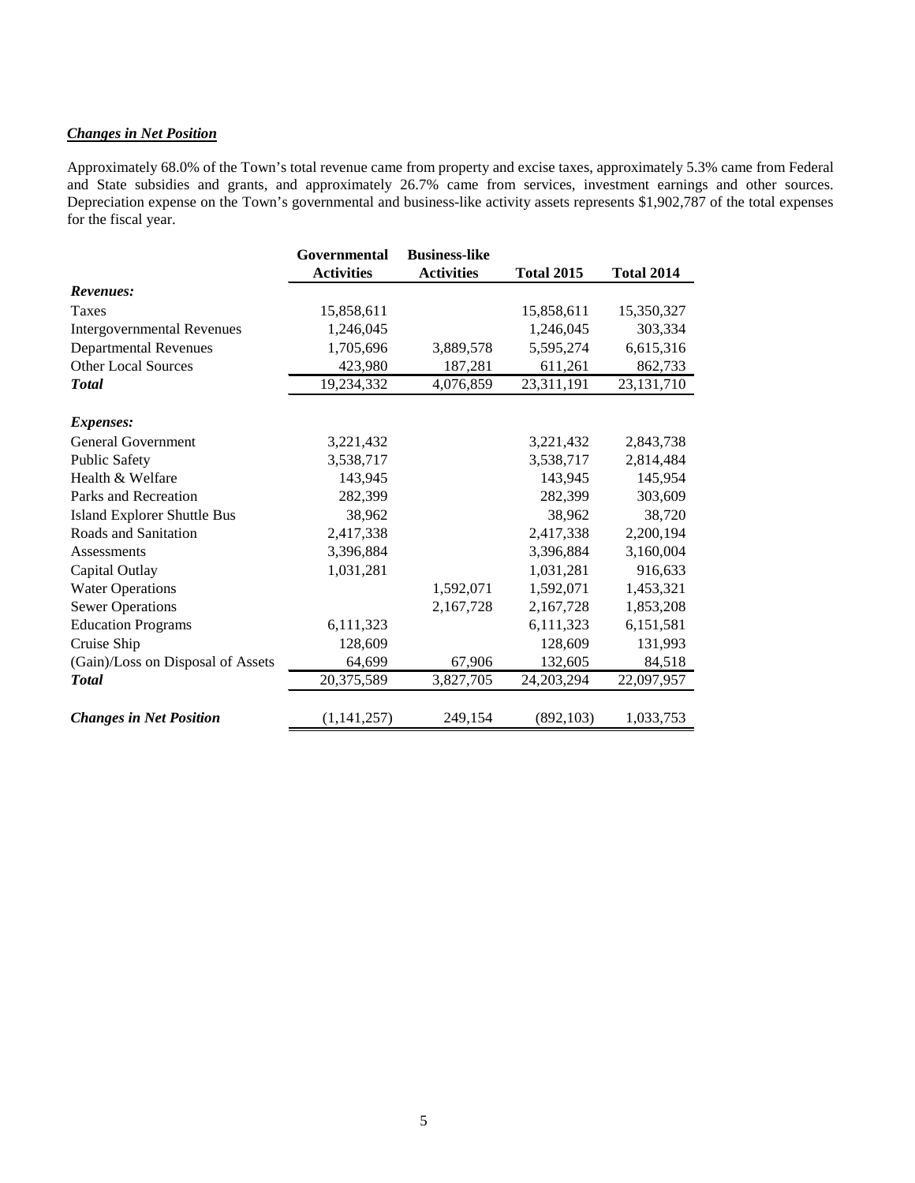#### *Changes in Net Position*

Approximately 68.0% of the Town's total revenue came from property and excise taxes, approximately 5.3% came from Federal and State subsidies and grants, and approximately 26.7% came from services, investment earnings and other sources. Depreciation expense on the Town's governmental and business-like activity assets represents \$1,902,787 of the total expenses for the fiscal year.

|                                    | Governmental      | <b>Business-like</b> |                   |                   |
|------------------------------------|-------------------|----------------------|-------------------|-------------------|
|                                    | <b>Activities</b> | <b>Activities</b>    | <b>Total 2015</b> | <b>Total 2014</b> |
| Revenues:                          |                   |                      |                   |                   |
| <b>Taxes</b>                       | 15,858,611        |                      | 15,858,611        | 15,350,327        |
| <b>Intergovernmental Revenues</b>  | 1,246,045         |                      | 1,246,045         | 303,334           |
| <b>Departmental Revenues</b>       | 1,705,696         | 3,889,578            | 5,595,274         | 6,615,316         |
| <b>Other Local Sources</b>         | 423,980           | 187,281              | 611,261           | 862,733           |
| <b>Total</b>                       | 19,234,332        | 4,076,859            | 23,311,191        | 23, 131, 710      |
| <i>Expenses:</i>                   |                   |                      |                   |                   |
| <b>General Government</b>          | 3,221,432         |                      | 3,221,432         | 2,843,738         |
| <b>Public Safety</b>               | 3,538,717         |                      | 3,538,717         | 2,814,484         |
| Health & Welfare                   | 143,945           |                      | 143,945           | 145,954           |
| Parks and Recreation               | 282,399           |                      | 282,399           | 303,609           |
| <b>Island Explorer Shuttle Bus</b> | 38,962            |                      | 38,962            | 38,720            |
| Roads and Sanitation               | 2,417,338         |                      | 2,417,338         | 2,200,194         |
| Assessments                        | 3,396,884         |                      | 3,396,884         | 3,160,004         |
| Capital Outlay                     | 1,031,281         |                      | 1,031,281         | 916,633           |
| <b>Water Operations</b>            |                   | 1,592,071            | 1,592,071         | 1,453,321         |
| <b>Sewer Operations</b>            |                   | 2,167,728            | 2,167,728         | 1,853,208         |
| <b>Education Programs</b>          | 6,111,323         |                      | 6,111,323         | 6,151,581         |
| Cruise Ship                        | 128,609           |                      | 128,609           | 131,993           |
| (Gain)/Loss on Disposal of Assets  | 64,699            | 67,906               | 132,605           | 84,518            |
| <b>Total</b>                       | 20,375,589        | 3,827,705            | 24,203,294        | 22,097,957        |
| <b>Changes in Net Position</b>     | (1, 141, 257)     | 249,154              | (892, 103)        | 1,033,753         |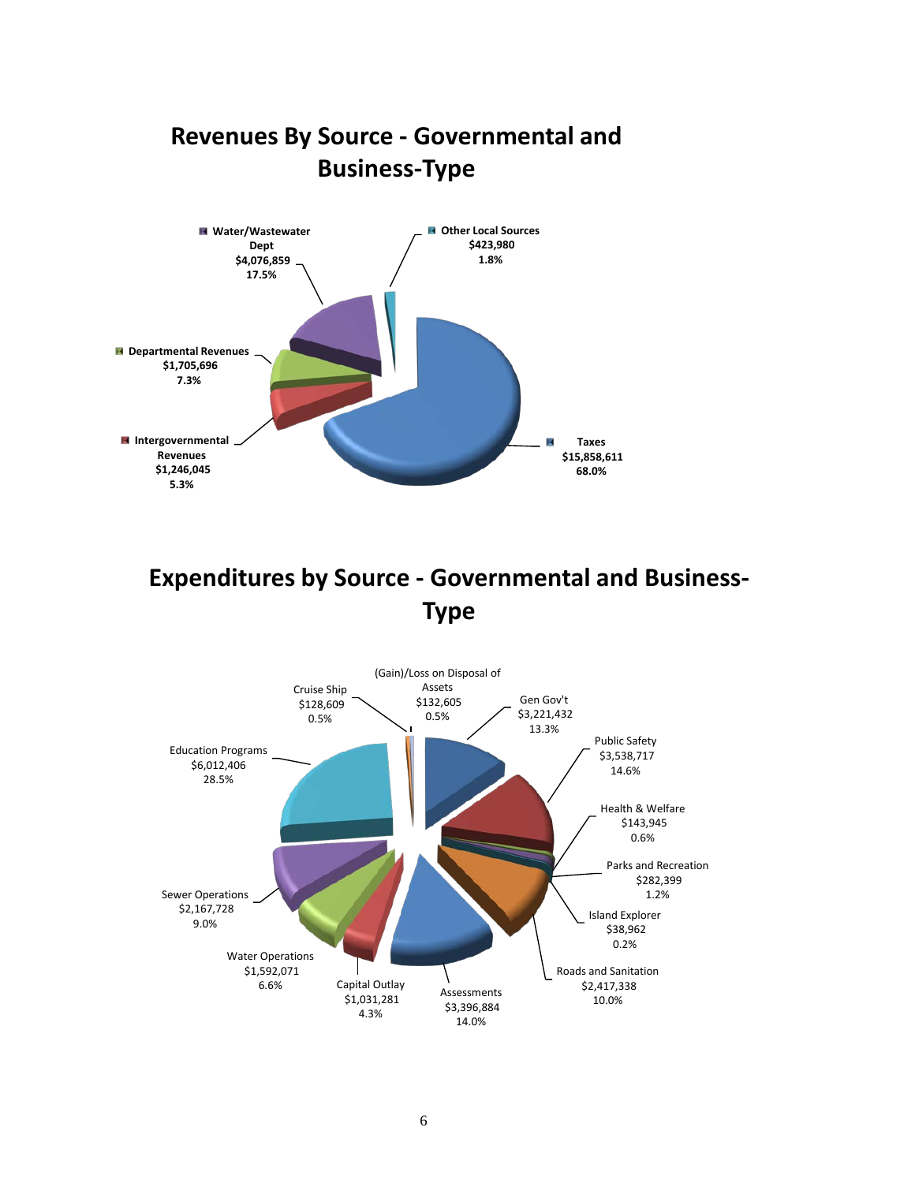

# **Expenditures by Source - Governmental and Business-Type**

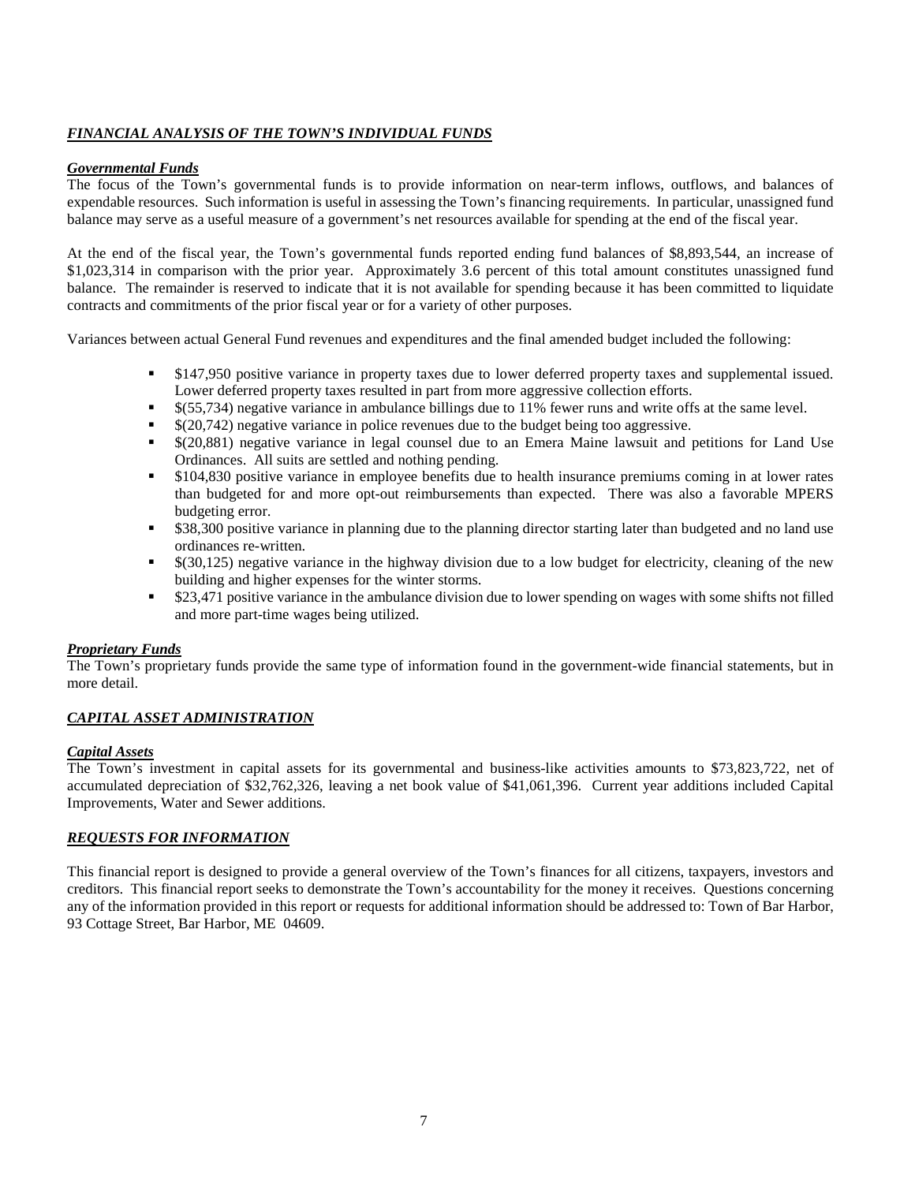### *FINANCIAL ANALYSIS OF THE TOWN'S INDIVIDUAL FUNDS*

#### *Governmental Funds*

The focus of the Town's governmental funds is to provide information on near-term inflows, outflows, and balances of expendable resources. Such information is useful in assessing the Town's financing requirements. In particular, unassigned fund balance may serve as a useful measure of a government's net resources available for spending at the end of the fiscal year.

At the end of the fiscal year, the Town's governmental funds reported ending fund balances of \$8,893,544, an increase of \$1,023,314 in comparison with the prior year. Approximately 3.6 percent of this total amount constitutes unassigned fund balance. The remainder is reserved to indicate that it is not available for spending because it has been committed to liquidate contracts and commitments of the prior fiscal year or for a variety of other purposes.

Variances between actual General Fund revenues and expenditures and the final amended budget included the following:

- \$147,950 positive variance in property taxes due to lower deferred property taxes and supplemental issued. Lower deferred property taxes resulted in part from more aggressive collection efforts.
- \$(55,734) negative variance in ambulance billings due to 11% fewer runs and write offs at the same level.
- \$(20,742) negative variance in police revenues due to the budget being too aggressive.
- \$(20,881) negative variance in legal counsel due to an Emera Maine lawsuit and petitions for Land Use Ordinances. All suits are settled and nothing pending.
- \$104,830 positive variance in employee benefits due to health insurance premiums coming in at lower rates than budgeted for and more opt-out reimbursements than expected. There was also a favorable MPERS budgeting error.
- \$38,300 positive variance in planning due to the planning director starting later than budgeted and no land use ordinances re-written.
- \$(30,125) negative variance in the highway division due to a low budget for electricity, cleaning of the new building and higher expenses for the winter storms.
- \$23,471 positive variance in the ambulance division due to lower spending on wages with some shifts not filled and more part-time wages being utilized.

#### *Proprietary Funds*

The Town's proprietary funds provide the same type of information found in the government-wide financial statements, but in more detail.

#### *CAPITAL ASSET ADMINISTRATION*

#### *Capital Assets*

The Town's investment in capital assets for its governmental and business-like activities amounts to \$73,823,722, net of accumulated depreciation of \$32,762,326, leaving a net book value of \$41,061,396. Current year additions included Capital Improvements, Water and Sewer additions.

#### *REQUESTS FOR INFORMATION*

This financial report is designed to provide a general overview of the Town's finances for all citizens, taxpayers, investors and creditors. This financial report seeks to demonstrate the Town's accountability for the money it receives. Questions concerning any of the information provided in this report or requests for additional information should be addressed to: Town of Bar Harbor, 93 Cottage Street, Bar Harbor, ME 04609.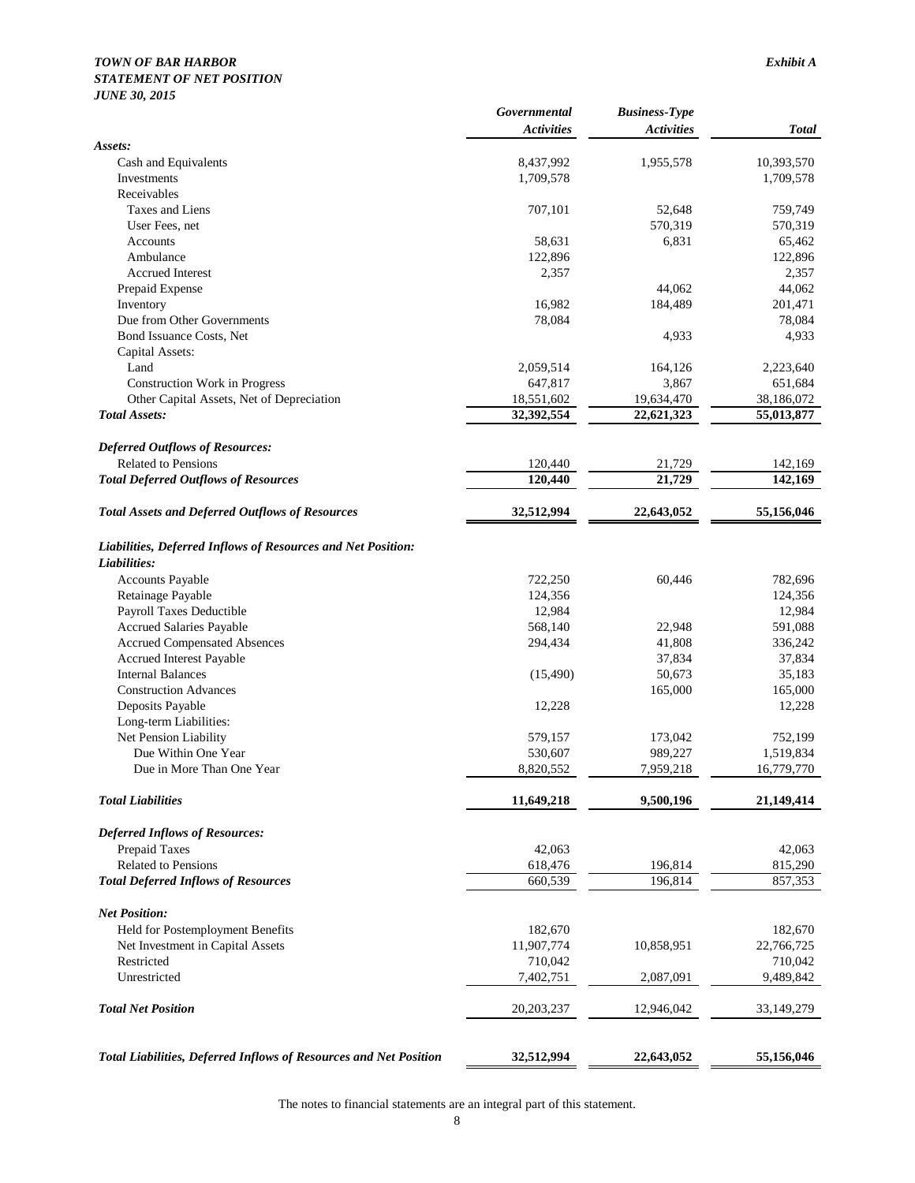#### *TOWN OF BAR HARBOR Exhibit A STATEMENT OF NET POSITION JUNE 30, 2015*

|                                                                              | Governmental<br><b>Activities</b> | <b>Business-Type</b><br><b>Activities</b> | <b>Total</b> |
|------------------------------------------------------------------------------|-----------------------------------|-------------------------------------------|--------------|
| Assets:                                                                      |                                   |                                           |              |
| Cash and Equivalents                                                         | 8,437,992                         | 1,955,578                                 | 10,393,570   |
| Investments                                                                  | 1,709,578                         |                                           | 1,709,578    |
| Receivables                                                                  |                                   |                                           |              |
| Taxes and Liens                                                              | 707,101                           | 52,648                                    | 759,749      |
| User Fees, net                                                               |                                   | 570,319                                   | 570,319      |
| Accounts                                                                     | 58,631                            | 6,831                                     | 65,462       |
| Ambulance                                                                    | 122,896                           |                                           | 122,896      |
| <b>Accrued Interest</b>                                                      | 2,357                             |                                           | 2,357        |
| Prepaid Expense                                                              |                                   | 44,062                                    | 44,062       |
| Inventory                                                                    | 16,982                            | 184,489                                   | 201,471      |
| Due from Other Governments                                                   | 78,084                            |                                           | 78,084       |
| Bond Issuance Costs, Net                                                     |                                   | 4,933                                     | 4,933        |
| Capital Assets:                                                              |                                   |                                           |              |
| Land                                                                         | 2,059,514                         | 164,126                                   | 2,223,640    |
| <b>Construction Work in Progress</b>                                         | 647,817                           | 3,867                                     | 651,684      |
| Other Capital Assets, Net of Depreciation                                    | 18,551,602                        | 19,634,470                                | 38,186,072   |
| <b>Total Assets:</b>                                                         | 32,392,554                        | 22,621,323                                | 55,013,877   |
| <b>Deferred Outflows of Resources:</b>                                       |                                   |                                           |              |
| <b>Related to Pensions</b>                                                   | 120,440                           | 21,729                                    | 142,169      |
| <b>Total Deferred Outflows of Resources</b>                                  | 120,440                           | 21,729                                    | 142,169      |
| <b>Total Assets and Deferred Outflows of Resources</b>                       | 32,512,994                        | 22,643,052                                | 55,156,046   |
| Liabilities, Deferred Inflows of Resources and Net Position:<br>Liabilities: |                                   |                                           |              |
| <b>Accounts Payable</b>                                                      | 722,250                           | 60,446                                    | 782,696      |
| Retainage Payable                                                            | 124,356                           |                                           | 124,356      |
| Payroll Taxes Deductible                                                     | 12,984                            |                                           | 12,984       |
| <b>Accrued Salaries Payable</b>                                              | 568,140                           | 22,948                                    | 591,088      |
| <b>Accrued Compensated Absences</b>                                          | 294,434                           | 41,808                                    | 336,242      |
| Accrued Interest Payable                                                     |                                   | 37,834                                    | 37,834       |
| <b>Internal Balances</b>                                                     | (15, 490)                         | 50,673                                    | 35,183       |
| <b>Construction Advances</b>                                                 |                                   | 165,000                                   | 165,000      |
| Deposits Payable                                                             | 12,228                            |                                           | 12,228       |
| Long-term Liabilities:                                                       |                                   |                                           |              |
| Net Pension Liability                                                        | 579,157                           | 173,042                                   | 752,199      |
| Due Within One Year                                                          | 530,607                           | 989,227                                   | 1,519,834    |
| Due in More Than One Year                                                    | 8,820,552                         | 7,959,218                                 | 16,779,770   |
| <b>Total Liabilities</b>                                                     | 11,649,218                        | 9,500,196                                 | 21,149,414   |
| <b>Deferred Inflows of Resources:</b>                                        |                                   |                                           |              |
| Prepaid Taxes                                                                | 42,063                            |                                           | 42,063       |
| <b>Related to Pensions</b>                                                   | 618,476                           | 196,814                                   | 815,290      |
| <b>Total Deferred Inflows of Resources</b>                                   | 660,539                           | 196,814                                   | 857,353      |
| <b>Net Position:</b>                                                         |                                   |                                           |              |
| Held for Postemployment Benefits                                             | 182,670                           |                                           | 182,670      |
| Net Investment in Capital Assets                                             | 11,907,774                        | 10,858,951                                | 22,766,725   |
| Restricted                                                                   | 710,042                           |                                           | 710,042      |
| Unrestricted                                                                 | 7,402,751                         | 2,087,091                                 | 9,489,842    |
| <b>Total Net Position</b>                                                    | 20,203,237                        | 12,946,042                                | 33,149,279   |
| Total Liabilities, Deferred Inflows of Resources and Net Position            | 32,512,994                        | 22,643,052                                | 55,156,046   |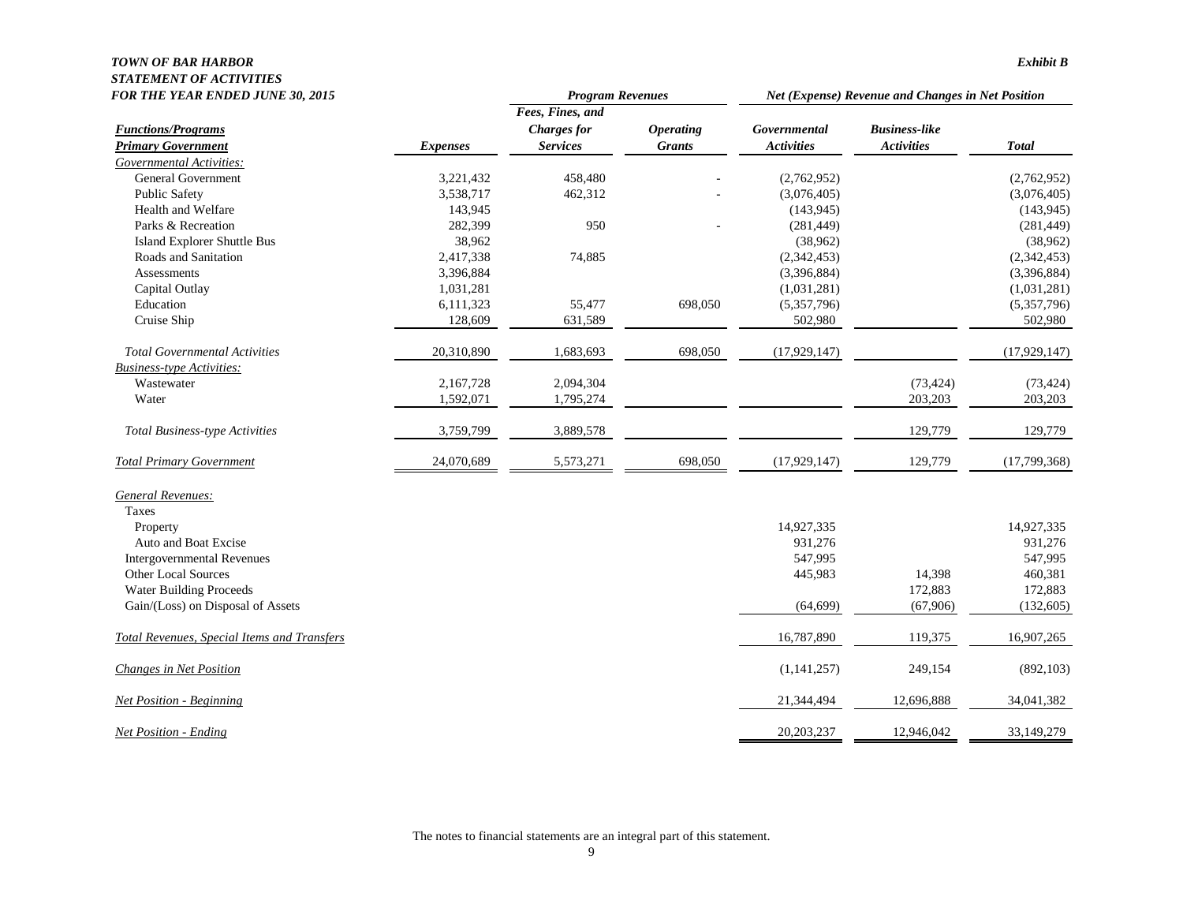#### *TOWN OF BAR HARBOR Exhibit B STATEMENT OF ACTIVITIES FOR THE YEAR ENDED JUNE 30, 2015*

| FOR THE YEAR ENDED JUNE 30, 2015                   |                 | <b>Program Revenues</b> |                  | Net (Expense) Revenue and Changes in Net Position |                      |                |
|----------------------------------------------------|-----------------|-------------------------|------------------|---------------------------------------------------|----------------------|----------------|
|                                                    |                 | Fees, Fines, and        |                  |                                                   |                      |                |
| <b>Functions/Programs</b>                          |                 | <b>Charges</b> for      | <b>Operating</b> | Governmental                                      | <b>Business-like</b> |                |
| <b>Primary Government</b>                          | <b>Expenses</b> | <b>Services</b>         | <b>Grants</b>    | <b>Activities</b>                                 | <b>Activities</b>    | <b>Total</b>   |
| Governmental Activities:                           |                 |                         |                  |                                                   |                      |                |
| <b>General Government</b>                          | 3,221,432       | 458,480                 |                  | (2,762,952)                                       |                      | (2,762,952)    |
| <b>Public Safety</b>                               | 3,538,717       | 462,312                 |                  | (3,076,405)                                       |                      | (3,076,405)    |
| Health and Welfare                                 | 143,945         |                         |                  | (143, 945)                                        |                      | (143, 945)     |
| Parks & Recreation                                 | 282,399         | 950                     |                  | (281, 449)                                        |                      | (281, 449)     |
| Island Explorer Shuttle Bus                        | 38,962          |                         |                  | (38,962)                                          |                      | (38,962)       |
| Roads and Sanitation                               | 2,417,338       | 74,885                  |                  | (2,342,453)                                       |                      | (2,342,453)    |
| Assessments                                        | 3,396,884       |                         |                  | (3,396,884)                                       |                      | (3,396,884)    |
| Capital Outlay                                     | 1,031,281       |                         |                  | (1,031,281)                                       |                      | (1,031,281)    |
| Education                                          | 6,111,323       | 55,477                  | 698,050          | (5,357,796)                                       |                      | (5,357,796)    |
| Cruise Ship                                        | 128,609         | 631,589                 |                  | 502,980                                           |                      | 502,980        |
| <b>Total Governmental Activities</b>               | 20,310,890      | 1,683,693               | 698,050          | (17, 929, 147)                                    |                      | (17, 929, 147) |
| <b>Business-type Activities:</b>                   |                 |                         |                  |                                                   |                      |                |
| Wastewater                                         | 2,167,728       | 2,094,304               |                  |                                                   | (73, 424)            | (73, 424)      |
| Water                                              | 1,592,071       | 1,795,274               |                  |                                                   | 203,203              | 203,203        |
| <b>Total Business-type Activities</b>              | 3,759,799       | 3,889,578               |                  |                                                   | 129,779              | 129,779        |
| <b>Total Primary Government</b>                    | 24,070,689      | 5,573,271               | 698,050          | (17, 929, 147)                                    | 129,779              | (17,799,368)   |
| General Revenues:                                  |                 |                         |                  |                                                   |                      |                |
| Taxes                                              |                 |                         |                  |                                                   |                      |                |
| Property                                           |                 |                         |                  | 14,927,335                                        |                      | 14,927,335     |
| Auto and Boat Excise                               |                 |                         |                  | 931,276                                           |                      | 931,276        |
| <b>Intergovernmental Revenues</b>                  |                 |                         |                  | 547,995                                           |                      | 547,995        |
| Other Local Sources                                |                 |                         |                  | 445,983                                           | 14,398               | 460,381        |
| <b>Water Building Proceeds</b>                     |                 |                         |                  |                                                   | 172,883              | 172,883        |
| Gain/(Loss) on Disposal of Assets                  |                 |                         |                  | (64, 699)                                         | (67,906)             | (132, 605)     |
| <b>Total Revenues, Special Items and Transfers</b> |                 |                         |                  | 16,787,890                                        | 119,375              | 16,907,265     |
| <b>Changes in Net Position</b>                     |                 |                         |                  | (1, 141, 257)                                     | 249,154              | (892, 103)     |
| <b>Net Position - Beginning</b>                    |                 |                         |                  | 21,344,494                                        | 12,696,888           | 34,041,382     |
| <b>Net Position - Ending</b>                       |                 |                         |                  | 20,203,237                                        | 12,946,042           | 33,149,279     |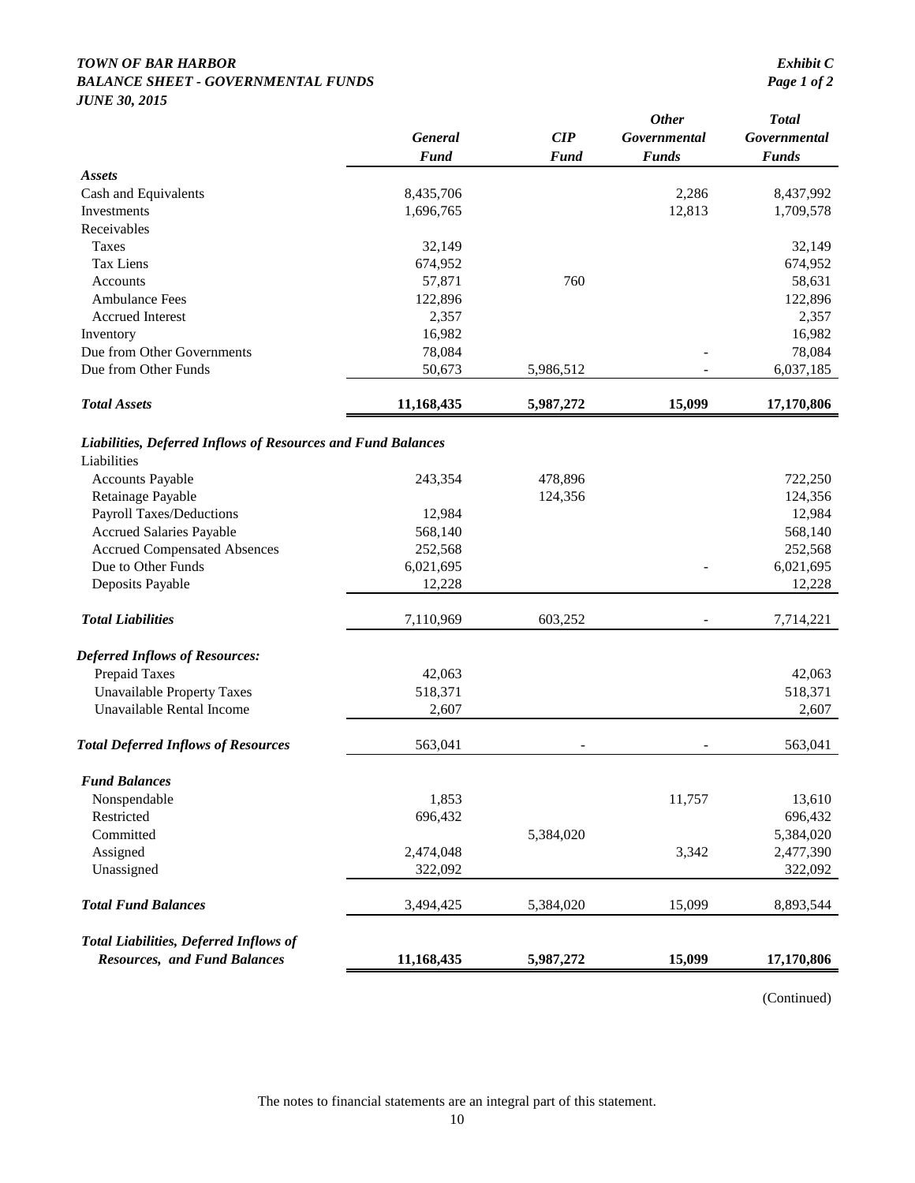### *TOWN OF BAR HARBOR Exhibit C* **BALANCE SHEET - GOVERNMENTAL FUNDS** *JUNE 30, 2015*

|                                                                                      | General<br>Fund | CIP<br><b>Fund</b> | <b>Other</b><br>Governmental<br><b>Funds</b> | <b>Total</b><br>Governmental<br><b>Funds</b> |
|--------------------------------------------------------------------------------------|-----------------|--------------------|----------------------------------------------|----------------------------------------------|
| <b>Assets</b>                                                                        |                 |                    |                                              |                                              |
| Cash and Equivalents                                                                 | 8,435,706       |                    | 2,286                                        | 8,437,992                                    |
| Investments                                                                          | 1,696,765       |                    | 12,813                                       | 1,709,578                                    |
| Receivables                                                                          |                 |                    |                                              |                                              |
| Taxes                                                                                | 32,149          |                    |                                              | 32,149                                       |
| <b>Tax Liens</b>                                                                     | 674,952         |                    |                                              | 674,952                                      |
| Accounts                                                                             | 57,871          | 760                |                                              | 58,631                                       |
| <b>Ambulance Fees</b>                                                                | 122,896         |                    |                                              | 122,896                                      |
| <b>Accrued Interest</b>                                                              | 2,357           |                    |                                              | 2,357                                        |
| Inventory                                                                            | 16,982          |                    |                                              | 16,982                                       |
| Due from Other Governments                                                           | 78,084          |                    |                                              | 78,084                                       |
| Due from Other Funds                                                                 | 50,673          | 5,986,512          |                                              | 6,037,185                                    |
| <b>Total Assets</b>                                                                  | 11,168,435      | 5,987,272          | 15,099                                       | 17,170,806                                   |
| Liabilities, Deferred Inflows of Resources and Fund Balances<br>Liabilities          |                 |                    |                                              |                                              |
| <b>Accounts Payable</b>                                                              | 243,354         | 478,896            |                                              | 722,250                                      |
| Retainage Payable                                                                    |                 | 124,356            |                                              | 124,356                                      |
| <b>Payroll Taxes/Deductions</b>                                                      | 12,984          |                    |                                              | 12,984                                       |
| <b>Accrued Salaries Payable</b>                                                      | 568,140         |                    |                                              | 568,140                                      |
| <b>Accrued Compensated Absences</b>                                                  | 252,568         |                    |                                              | 252,568                                      |
| Due to Other Funds                                                                   | 6,021,695       |                    |                                              | 6,021,695                                    |
| Deposits Payable                                                                     | 12,228          |                    |                                              | 12,228                                       |
| <b>Total Liabilities</b>                                                             | 7,110,969       | 603,252            |                                              | 7,714,221                                    |
| <b>Deferred Inflows of Resources:</b>                                                |                 |                    |                                              |                                              |
| Prepaid Taxes                                                                        | 42,063          |                    |                                              | 42,063                                       |
| <b>Unavailable Property Taxes</b>                                                    | 518,371         |                    |                                              | 518,371                                      |
| Unavailable Rental Income                                                            | 2,607           |                    |                                              | 2,607                                        |
| <b>Total Deferred Inflows of Resources</b>                                           | 563,041         |                    |                                              | 563,041                                      |
| <b>Fund Balances</b>                                                                 |                 |                    |                                              |                                              |
| Nonspendable                                                                         | 1,853           |                    | 11,757                                       | 13,610                                       |
| Restricted                                                                           | 696,432         |                    |                                              | 696,432                                      |
| Committed                                                                            |                 | 5,384,020          |                                              | 5,384,020                                    |
| Assigned                                                                             | 2,474,048       |                    | 3,342                                        | 2,477,390                                    |
| Unassigned                                                                           | 322,092         |                    |                                              | 322,092                                      |
| <b>Total Fund Balances</b>                                                           | 3,494,425       | 5,384,020          | 15,099                                       | 8,893,544                                    |
| <b>Total Liabilities, Deferred Inflows of</b><br><b>Resources, and Fund Balances</b> | 11,168,435      | 5,987,272          | 15,099                                       | 17,170,806                                   |

(Continued)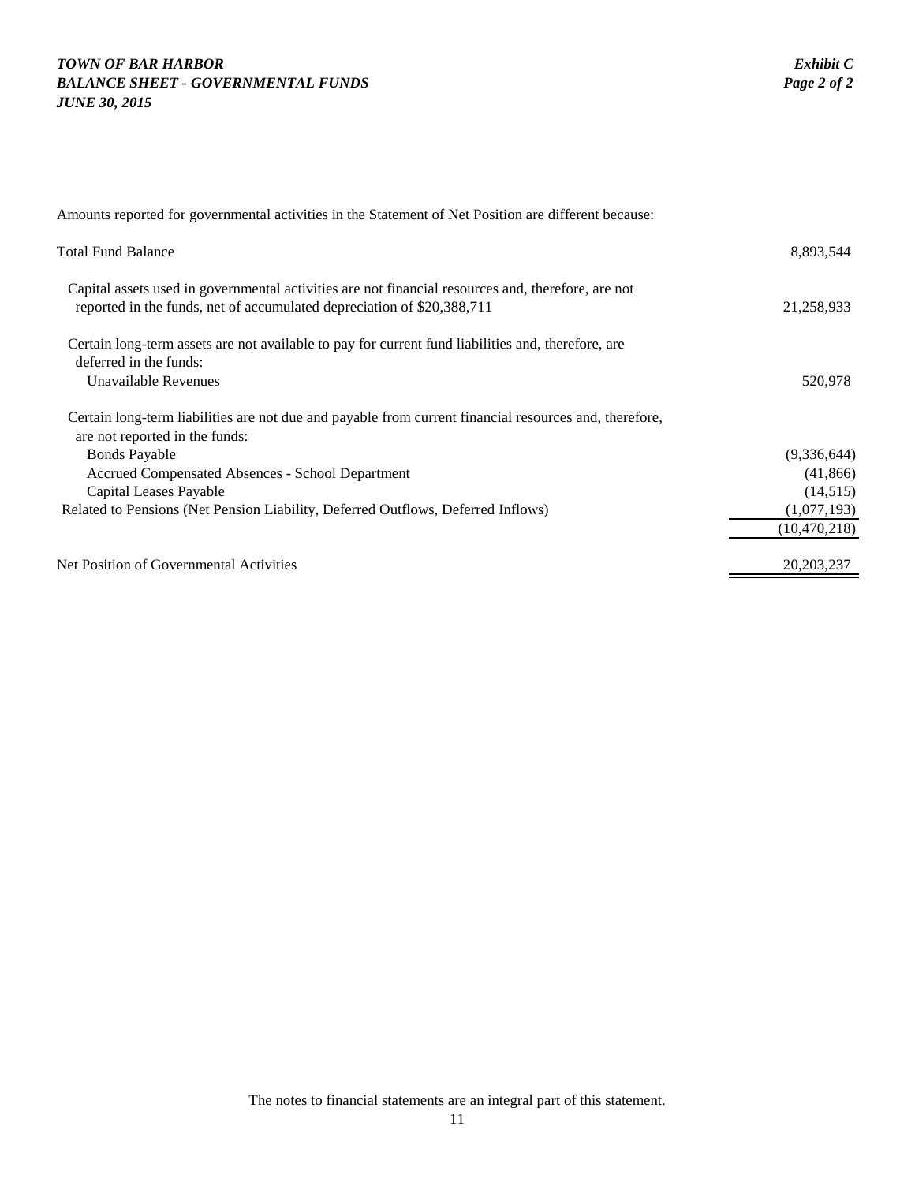## *TOWN OF BAR HARBOR Exhibit C* **BALANCE SHEET - GOVERNMENTAL FUNDS** *JUNE 30, 2015*

| Amounts reported for governmental activities in the Statement of Net Position are different because:                                                                         |                               |
|------------------------------------------------------------------------------------------------------------------------------------------------------------------------------|-------------------------------|
| <b>Total Fund Balance</b>                                                                                                                                                    | 8,893,544                     |
| Capital assets used in governmental activities are not financial resources and, therefore, are not<br>reported in the funds, net of accumulated depreciation of \$20,388,711 | 21,258,933                    |
| Certain long-term assets are not available to pay for current fund liabilities and, therefore, are<br>deferred in the funds:<br><b>Unavailable Revenues</b>                  | 520,978                       |
| Certain long-term liabilities are not due and payable from current financial resources and, therefore,<br>are not reported in the funds:                                     |                               |
| <b>Bonds Payable</b>                                                                                                                                                         | (9,336,644)                   |
| Accrued Compensated Absences - School Department                                                                                                                             | (41, 866)                     |
| Capital Leases Payable                                                                                                                                                       | (14,515)                      |
| Related to Pensions (Net Pension Liability, Deferred Outflows, Deferred Inflows)                                                                                             | (1,077,193)<br>(10, 470, 218) |
| Net Position of Governmental Activities                                                                                                                                      | 20,203,237                    |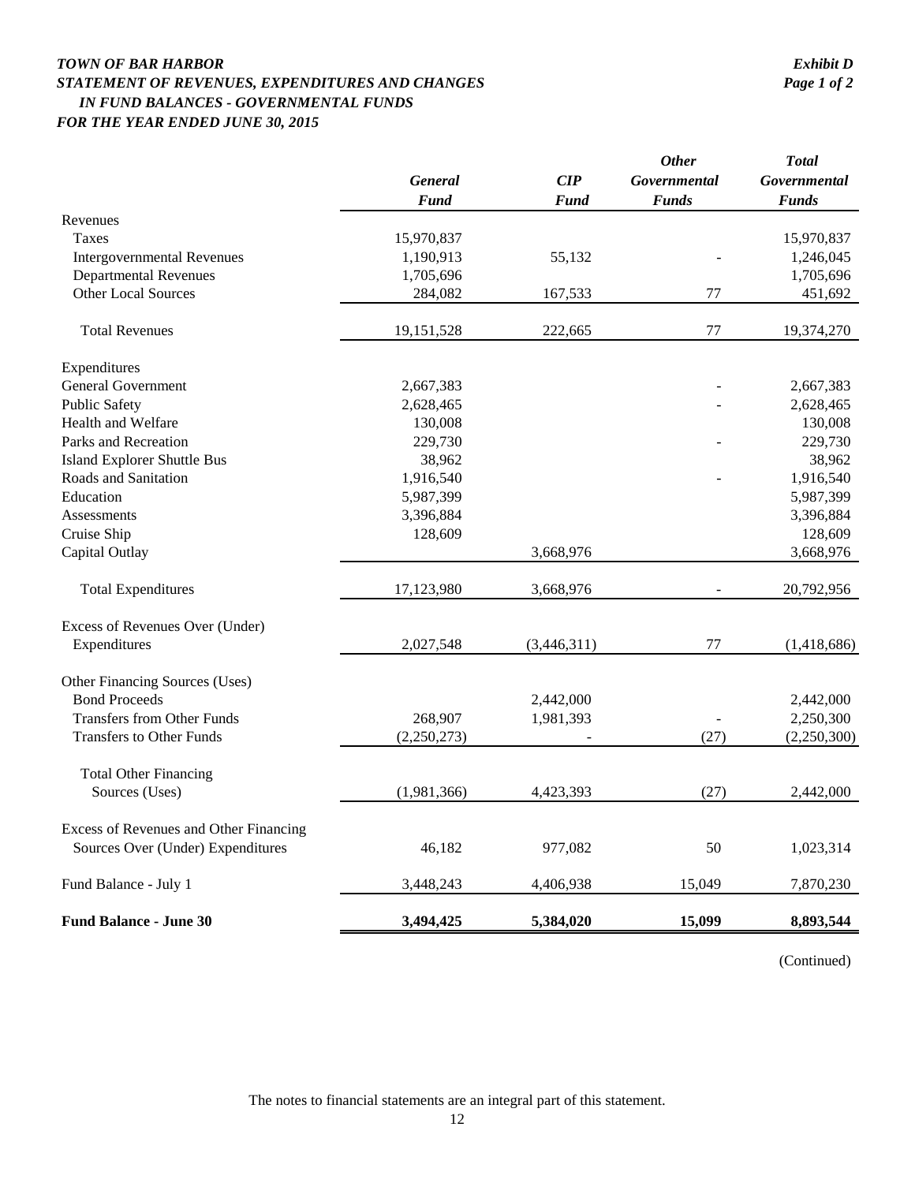## *TOWN OF BAR HARBOR Exhibit D STATEMENT OF REVENUES, EXPENDITURES AND CHANGES Page 1 of 2 IN FUND BALANCES - GOVERNMENTAL FUNDS FOR THE YEAR ENDED JUNE 30, 2015*

|                                        |                |                    | <b>Other</b> | <b>Total</b> |
|----------------------------------------|----------------|--------------------|--------------|--------------|
|                                        | <b>General</b> | $\boldsymbol{CIP}$ | Governmental | Governmental |
|                                        | <b>Fund</b>    | <b>Fund</b>        | <b>Funds</b> | <b>Funds</b> |
| Revenues                               |                |                    |              |              |
| Taxes                                  | 15,970,837     |                    |              | 15,970,837   |
| <b>Intergovernmental Revenues</b>      | 1,190,913      | 55,132             |              | 1,246,045    |
| <b>Departmental Revenues</b>           | 1,705,696      |                    |              | 1,705,696    |
| <b>Other Local Sources</b>             | 284,082        | 167,533            | 77           | 451,692      |
| <b>Total Revenues</b>                  | 19,151,528     | 222,665            | 77           | 19,374,270   |
| Expenditures                           |                |                    |              |              |
| <b>General Government</b>              | 2,667,383      |                    |              | 2,667,383    |
| <b>Public Safety</b>                   | 2,628,465      |                    |              | 2,628,465    |
| Health and Welfare                     | 130,008        |                    |              | 130,008      |
| Parks and Recreation                   | 229,730        |                    |              | 229,730      |
| <b>Island Explorer Shuttle Bus</b>     | 38,962         |                    |              | 38,962       |
| Roads and Sanitation                   | 1,916,540      |                    |              | 1,916,540    |
| Education                              | 5,987,399      |                    |              | 5,987,399    |
| Assessments                            | 3,396,884      |                    |              | 3,396,884    |
| Cruise Ship                            | 128,609        |                    |              | 128,609      |
| Capital Outlay                         |                | 3,668,976          |              | 3,668,976    |
| <b>Total Expenditures</b>              | 17,123,980     | 3,668,976          |              | 20,792,956   |
| Excess of Revenues Over (Under)        |                |                    |              |              |
| Expenditures                           | 2,027,548      | (3,446,311)        | 77           | (1,418,686)  |
| Other Financing Sources (Uses)         |                |                    |              |              |
| <b>Bond Proceeds</b>                   |                | 2,442,000          |              | 2,442,000    |
| <b>Transfers from Other Funds</b>      | 268,907        | 1,981,393          |              | 2,250,300    |
| <b>Transfers to Other Funds</b>        | (2,250,273)    |                    | (27)         | (2,250,300)  |
| <b>Total Other Financing</b>           |                |                    |              |              |
| Sources (Uses)                         | (1,981,366)    | 4,423,393          | (27)         | 2,442,000    |
| Excess of Revenues and Other Financing |                |                    |              |              |
| Sources Over (Under) Expenditures      | 46,182         | 977,082            | 50           | 1,023,314    |
| Fund Balance - July 1                  | 3,448,243      | 4,406,938          | 15,049       | 7,870,230    |
| <b>Fund Balance - June 30</b>          | 3,494,425      | 5,384,020          | 15,099       | 8,893,544    |

(Continued)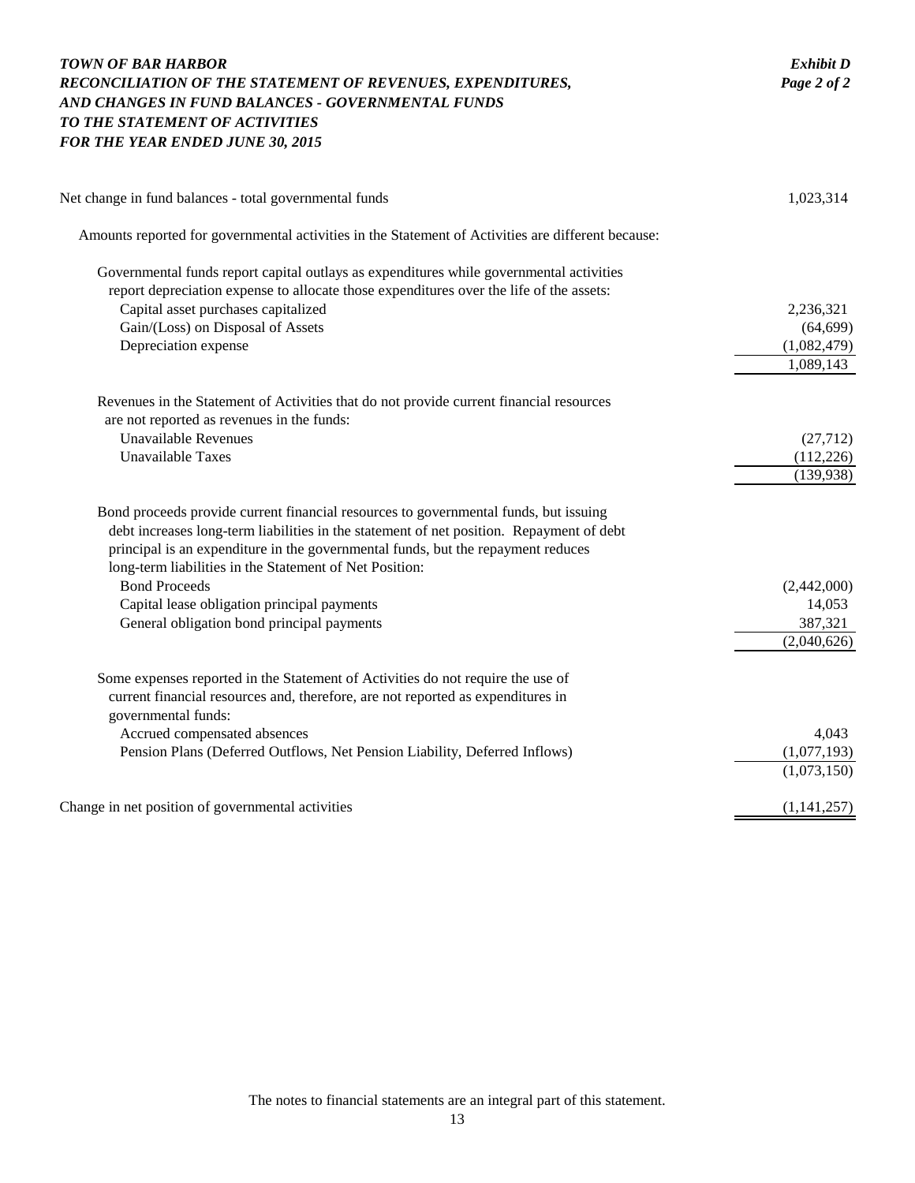| <b>TOWN OF BAR HARBOR</b><br>RECONCILIATION OF THE STATEMENT OF REVENUES, EXPENDITURES,<br>AND CHANGES IN FUND BALANCES - GOVERNMENTAL FUNDS<br><b>TO THE STATEMENT OF ACTIVITIES</b><br>FOR THE YEAR ENDED JUNE 30, 2015                                                                                                       | Exhibit D<br>Page 2 of 2                           |
|---------------------------------------------------------------------------------------------------------------------------------------------------------------------------------------------------------------------------------------------------------------------------------------------------------------------------------|----------------------------------------------------|
| Net change in fund balances - total governmental funds                                                                                                                                                                                                                                                                          | 1,023,314                                          |
| Amounts reported for governmental activities in the Statement of Activities are different because:                                                                                                                                                                                                                              |                                                    |
| Governmental funds report capital outlays as expenditures while governmental activities<br>report depreciation expense to allocate those expenditures over the life of the assets:<br>Capital asset purchases capitalized<br>Gain/(Loss) on Disposal of Assets<br>Depreciation expense                                          | 2,236,321<br>(64, 699)<br>(1,082,479)<br>1,089,143 |
| Revenues in the Statement of Activities that do not provide current financial resources<br>are not reported as revenues in the funds:<br><b>Unavailable Revenues</b><br><b>Unavailable Taxes</b>                                                                                                                                | (27,712)<br>(112, 226)                             |
|                                                                                                                                                                                                                                                                                                                                 | (139,938)                                          |
| Bond proceeds provide current financial resources to governmental funds, but issuing<br>debt increases long-term liabilities in the statement of net position. Repayment of debt<br>principal is an expenditure in the governmental funds, but the repayment reduces<br>long-term liabilities in the Statement of Net Position: |                                                    |
| <b>Bond Proceeds</b>                                                                                                                                                                                                                                                                                                            | (2,442,000)                                        |
| Capital lease obligation principal payments                                                                                                                                                                                                                                                                                     | 14,053                                             |
| General obligation bond principal payments                                                                                                                                                                                                                                                                                      | 387,321                                            |
|                                                                                                                                                                                                                                                                                                                                 | (2,040,626)                                        |
| Some expenses reported in the Statement of Activities do not require the use of<br>current financial resources and, therefore, are not reported as expenditures in<br>governmental funds:                                                                                                                                       |                                                    |
| Accrued compensated absences                                                                                                                                                                                                                                                                                                    | 4.043                                              |
| Pension Plans (Deferred Outflows, Net Pension Liability, Deferred Inflows)                                                                                                                                                                                                                                                      | (1,077,193)                                        |
|                                                                                                                                                                                                                                                                                                                                 | (1,073,150)                                        |
| Change in net position of governmental activities                                                                                                                                                                                                                                                                               | (1,141,257)                                        |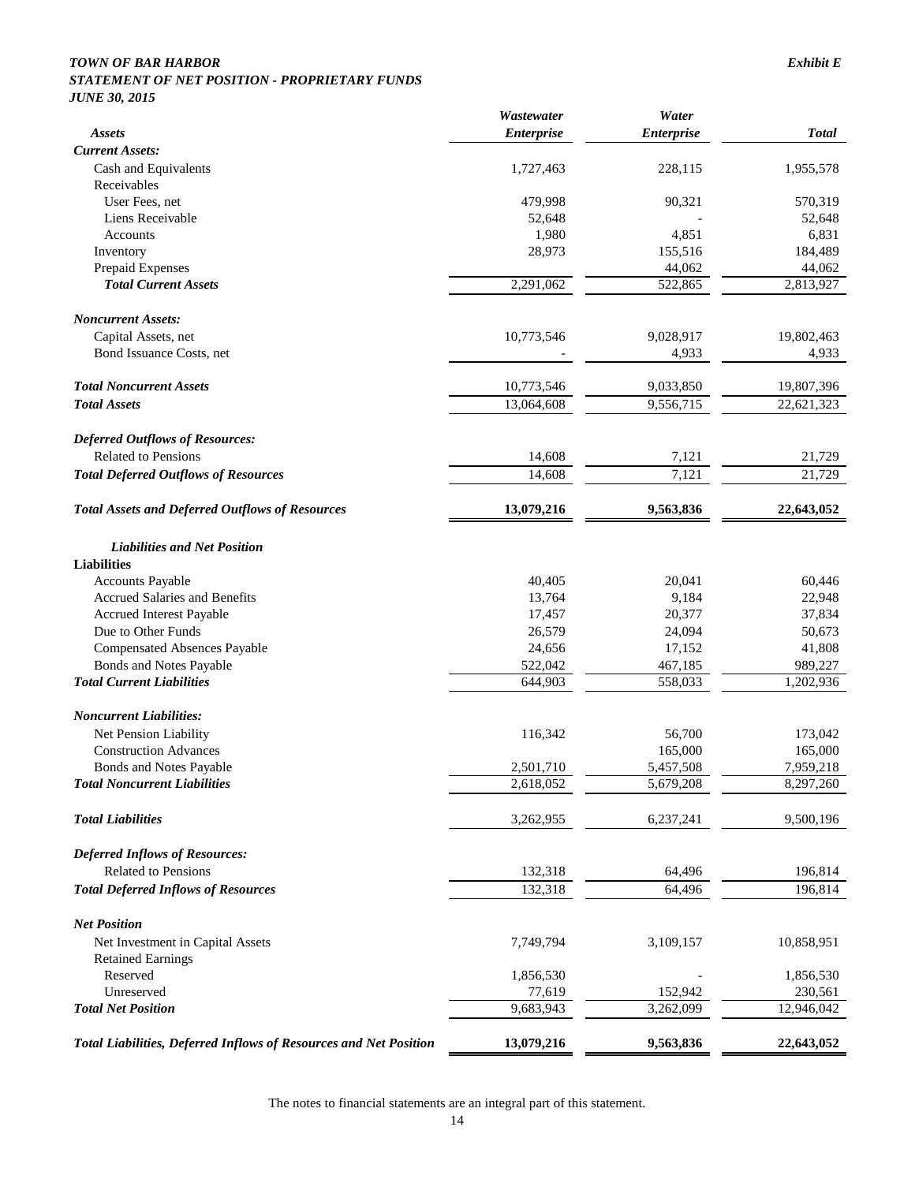#### *TOWN OF BAR HARBOR Exhibit E*

#### *STATEMENT OF NET POSITION - PROPRIETARY FUNDS JUNE 30, 2015*

|                                                                   | Wastewater               | Water             |              |
|-------------------------------------------------------------------|--------------------------|-------------------|--------------|
| <b>Assets</b>                                                     | <i><b>Enterprise</b></i> | <b>Enterprise</b> | <b>Total</b> |
| <b>Current Assets:</b>                                            |                          |                   |              |
| Cash and Equivalents                                              | 1,727,463                | 228,115           | 1,955,578    |
| Receivables                                                       |                          |                   |              |
| User Fees, net                                                    | 479,998                  | 90,321            | 570,319      |
| Liens Receivable                                                  | 52,648                   |                   | 52,648       |
| Accounts                                                          | 1,980                    | 4,851             | 6,831        |
| Inventory                                                         | 28,973                   | 155,516           | 184,489      |
| Prepaid Expenses                                                  |                          | 44,062            | 44,062       |
| <b>Total Current Assets</b>                                       | 2,291,062                | 522,865           | 2,813,927    |
| <b>Noncurrent Assets:</b>                                         |                          |                   |              |
|                                                                   |                          |                   |              |
| Capital Assets, net                                               | 10,773,546               | 9,028,917         | 19,802,463   |
| Bond Issuance Costs, net                                          |                          | 4,933             | 4,933        |
| <b>Total Noncurrent Assets</b>                                    | 10,773,546               | 9,033,850         | 19,807,396   |
| <b>Total Assets</b>                                               | 13,064,608               | 9,556,715         | 22,621,323   |
|                                                                   |                          |                   |              |
| <b>Deferred Outflows of Resources:</b>                            |                          |                   |              |
| Related to Pensions                                               | 14,608                   | 7,121             | 21,729       |
| <b>Total Deferred Outflows of Resources</b>                       | 14,608                   | 7,121             | 21,729       |
|                                                                   |                          |                   |              |
| <b>Total Assets and Deferred Outflows of Resources</b>            | 13,079,216               | 9,563,836         | 22,643,052   |
| <b>Liabilities and Net Position</b>                               |                          |                   |              |
| <b>Liabilities</b>                                                |                          |                   |              |
| <b>Accounts Payable</b>                                           | 40,405                   | 20,041            | 60,446       |
| Accrued Salaries and Benefits                                     | 13,764                   | 9,184             | 22,948       |
| <b>Accrued Interest Payable</b>                                   | 17,457                   | 20,377            | 37,834       |
| Due to Other Funds                                                | 26,579                   | 24,094            | 50,673       |
| <b>Compensated Absences Payable</b>                               | 24,656                   | 17,152            | 41,808       |
| <b>Bonds and Notes Payable</b>                                    | 522,042                  | 467,185           | 989,227      |
| <b>Total Current Liabilities</b>                                  | 644,903                  | 558,033           | 1,202,936    |
|                                                                   |                          |                   |              |
| <b>Noncurrent Liabilities:</b>                                    |                          |                   |              |
| Net Pension Liability                                             | 116,342                  | 56,700            | 173,042      |
| <b>Construction Advances</b>                                      |                          | 165,000           | 165,000      |
| Bonds and Notes Payable                                           | 2,501,710                | 5,457,508         | 7,959,218    |
| <b>Total Noncurrent Liabilities</b>                               | 2,618,052                | 5,679,208         | 8,297,260    |
| <b>Total Liabilities</b>                                          | 3,262,955                | 6,237,241         | 9,500,196    |
|                                                                   |                          |                   |              |
| <b>Deferred Inflows of Resources:</b>                             |                          |                   |              |
| Related to Pensions                                               | 132,318                  | 64,496            | 196,814      |
| <b>Total Deferred Inflows of Resources</b>                        | 132,318                  | 64,496            | 196,814      |
| <b>Net Position</b>                                               |                          |                   |              |
| Net Investment in Capital Assets                                  | 7,749,794                | 3,109,157         | 10,858,951   |
| <b>Retained Earnings</b>                                          |                          |                   |              |
| Reserved                                                          | 1,856,530                |                   | 1,856,530    |
| Unreserved                                                        | 77,619                   | 152,942           | 230,561      |
| <b>Total Net Position</b>                                         | 9,683,943                | 3,262,099         | 12,946,042   |
|                                                                   |                          |                   |              |
| Total Liabilities, Deferred Inflows of Resources and Net Position | 13,079,216               | 9,563,836         | 22,643,052   |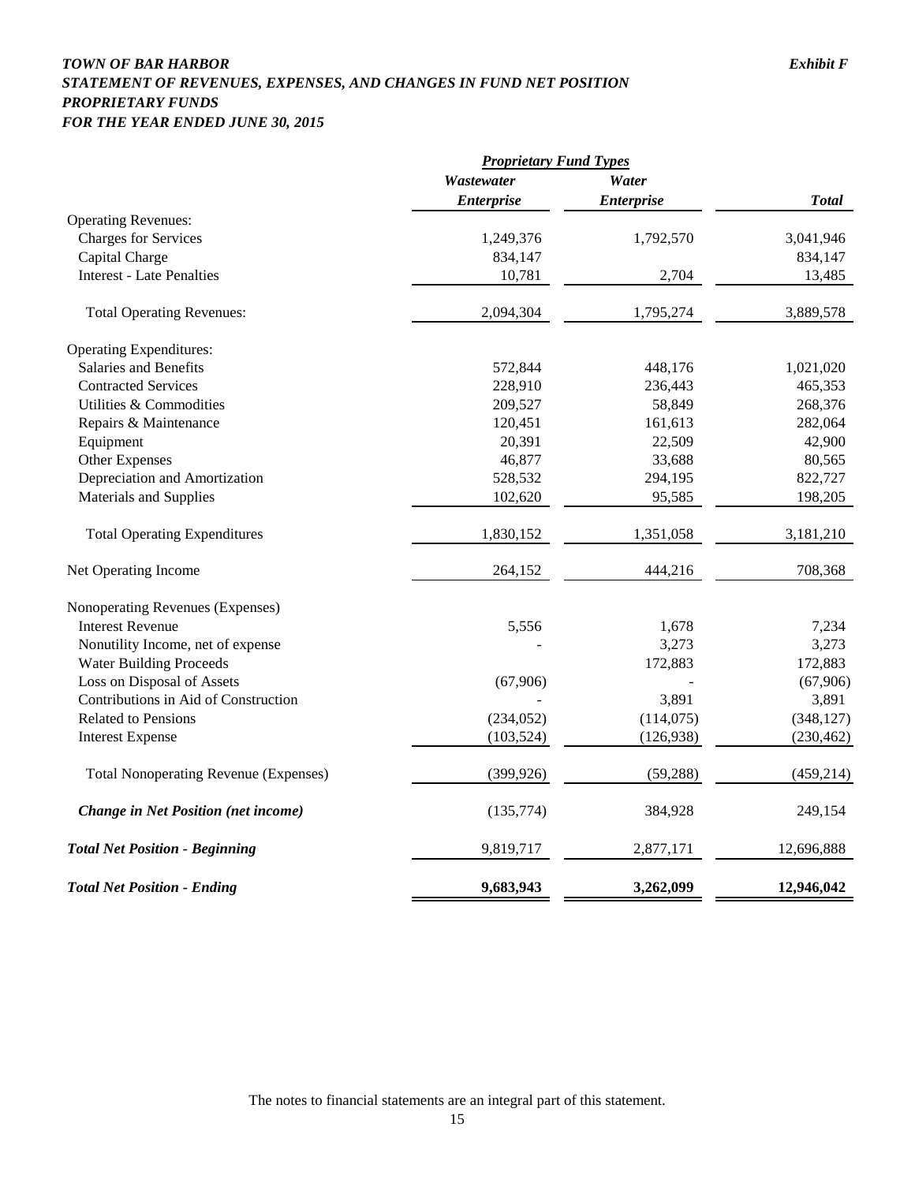## *TOWN OF BAR HARBOR Exhibit F STATEMENT OF REVENUES, EXPENSES, AND CHANGES IN FUND NET POSITION PROPRIETARY FUNDS FOR THE YEAR ENDED JUNE 30, 2015*

|                                              | <b>Proprietary Fund Types</b> |                   |              |
|----------------------------------------------|-------------------------------|-------------------|--------------|
|                                              | Wastewater                    | Water             |              |
|                                              | <b>Enterprise</b>             | <b>Enterprise</b> | <b>Total</b> |
| <b>Operating Revenues:</b>                   |                               |                   |              |
| <b>Charges for Services</b>                  | 1,249,376                     | 1,792,570         | 3,041,946    |
| Capital Charge                               | 834,147                       |                   | 834,147      |
| <b>Interest - Late Penalties</b>             | 10,781                        | 2,704             | 13,485       |
| <b>Total Operating Revenues:</b>             | 2,094,304                     | 1,795,274         | 3,889,578    |
| <b>Operating Expenditures:</b>               |                               |                   |              |
| Salaries and Benefits                        | 572,844                       | 448,176           | 1,021,020    |
| <b>Contracted Services</b>                   | 228,910                       | 236,443           | 465,353      |
| Utilities & Commodities                      | 209,527                       | 58,849            | 268,376      |
| Repairs & Maintenance                        | 120,451                       | 161,613           | 282,064      |
| Equipment                                    | 20,391                        | 22,509            | 42,900       |
| Other Expenses                               | 46,877                        | 33,688            | 80,565       |
| Depreciation and Amortization                | 528,532                       | 294,195           | 822,727      |
| Materials and Supplies                       | 102,620                       | 95,585            | 198,205      |
| <b>Total Operating Expenditures</b>          | 1,830,152                     | 1,351,058         | 3,181,210    |
| Net Operating Income                         | 264,152                       | 444,216           | 708,368      |
| Nonoperating Revenues (Expenses)             |                               |                   |              |
| <b>Interest Revenue</b>                      | 5,556                         | 1,678             | 7,234        |
| Nonutility Income, net of expense            |                               | 3,273             | 3,273        |
| <b>Water Building Proceeds</b>               |                               | 172,883           | 172,883      |
| Loss on Disposal of Assets                   | (67,906)                      |                   | (67,906)     |
| Contributions in Aid of Construction         |                               | 3,891             | 3,891        |
| <b>Related to Pensions</b>                   | (234, 052)                    | (114,075)         | (348, 127)   |
| <b>Interest Expense</b>                      | (103, 524)                    | (126, 938)        | (230, 462)   |
| <b>Total Nonoperating Revenue (Expenses)</b> | (399, 926)                    | (59, 288)         | (459, 214)   |
| Change in Net Position (net income)          | (135, 774)                    | 384,928           | 249,154      |
| <b>Total Net Position - Beginning</b>        | 9,819,717                     | 2,877,171         | 12,696,888   |
| <b>Total Net Position - Ending</b>           | 9,683,943                     | 3,262,099         | 12,946,042   |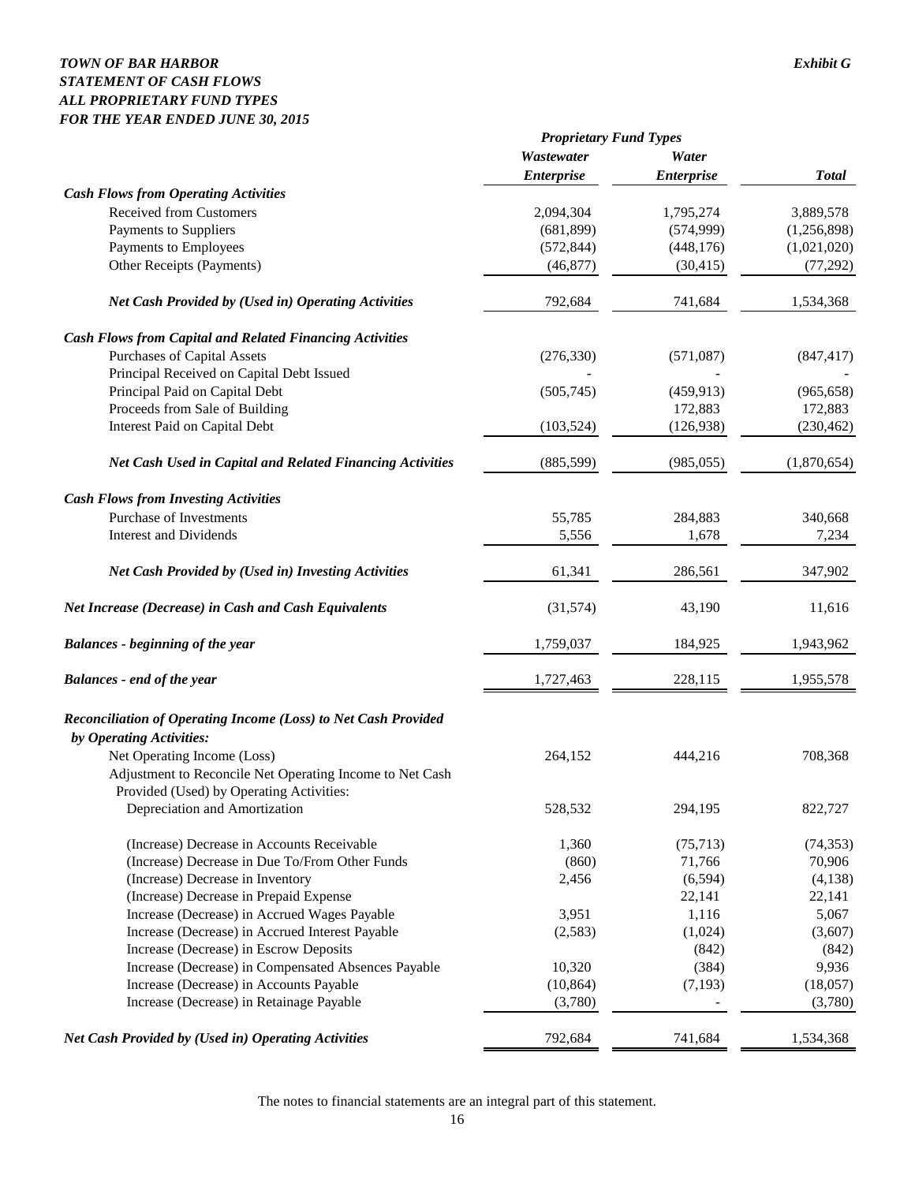## *TOWN OF BAR HARBOR Exhibit G STATEMENT OF CASH FLOWS ALL PROPRIETARY FUND TYPES FOR THE YEAR ENDED JUNE 30, 2015*

|                                                                                                                                     | <b>Proprietary Fund Types</b> |                   |              |  |
|-------------------------------------------------------------------------------------------------------------------------------------|-------------------------------|-------------------|--------------|--|
|                                                                                                                                     | Wastewater                    | Water             |              |  |
|                                                                                                                                     | <b>Enterprise</b>             | <b>Enterprise</b> | <b>Total</b> |  |
| <b>Cash Flows from Operating Activities</b>                                                                                         |                               |                   |              |  |
| <b>Received from Customers</b>                                                                                                      | 2,094,304                     | 1,795,274         | 3,889,578    |  |
| Payments to Suppliers                                                                                                               | (681, 899)                    | (574,999)         | (1,256,898)  |  |
| Payments to Employees                                                                                                               | (572, 844)                    | (448, 176)        | (1,021,020)  |  |
| Other Receipts (Payments)                                                                                                           | (46, 877)                     | (30, 415)         | (77, 292)    |  |
| Net Cash Provided by (Used in) Operating Activities                                                                                 | 792,684                       | 741,684           | 1,534,368    |  |
| <b>Cash Flows from Capital and Related Financing Activities</b>                                                                     |                               |                   |              |  |
| <b>Purchases of Capital Assets</b>                                                                                                  | (276, 330)                    | (571,087)         | (847, 417)   |  |
| Principal Received on Capital Debt Issued                                                                                           |                               |                   |              |  |
| Principal Paid on Capital Debt                                                                                                      | (505, 745)                    | (459, 913)        | (965, 658)   |  |
| Proceeds from Sale of Building                                                                                                      |                               | 172,883           | 172,883      |  |
| <b>Interest Paid on Capital Debt</b>                                                                                                | (103, 524)                    | (126, 938)        | (230, 462)   |  |
| <b>Net Cash Used in Capital and Related Financing Activities</b>                                                                    | (885, 599)                    | (985, 055)        | (1,870,654)  |  |
| <b>Cash Flows from Investing Activities</b>                                                                                         |                               |                   |              |  |
| Purchase of Investments                                                                                                             | 55,785                        | 284,883           | 340,668      |  |
| <b>Interest and Dividends</b>                                                                                                       | 5,556                         | 1,678             | 7,234        |  |
| <b>Net Cash Provided by (Used in) Investing Activities</b>                                                                          | 61,341                        | 286,561           | 347,902      |  |
| <b>Net Increase (Decrease) in Cash and Cash Equivalents</b>                                                                         | (31,574)                      | 43,190            | 11,616       |  |
| <b>Balances</b> - beginning of the year                                                                                             | 1,759,037                     | 184,925           | 1,943,962    |  |
| <b>Balances</b> - end of the year                                                                                                   | 1,727,463                     | 228,115           | 1,955,578    |  |
| <b>Reconciliation of Operating Income (Loss) to Net Cash Provided</b><br>by Operating Activities:                                   |                               |                   |              |  |
| Net Operating Income (Loss)<br>Adjustment to Reconcile Net Operating Income to Net Cash<br>Provided (Used) by Operating Activities: | 264,152                       | 444,216           | 708,368      |  |
| Depreciation and Amortization                                                                                                       | 528,532                       | 294,195           | 822,727      |  |
| (Increase) Decrease in Accounts Receivable                                                                                          | 1,360                         | (75, 713)         | (74, 353)    |  |
| (Increase) Decrease in Due To/From Other Funds                                                                                      | (860)                         | 71,766            | 70,906       |  |
| (Increase) Decrease in Inventory                                                                                                    | 2,456                         | (6, 594)          | (4,138)      |  |
| (Increase) Decrease in Prepaid Expense                                                                                              |                               | 22,141            | 22,141       |  |
| Increase (Decrease) in Accrued Wages Payable                                                                                        | 3,951                         | 1,116             | 5,067        |  |
| Increase (Decrease) in Accrued Interest Payable                                                                                     | (2,583)                       | (1,024)           | (3,607)      |  |
| Increase (Decrease) in Escrow Deposits                                                                                              |                               | (842)             | (842)        |  |
| Increase (Decrease) in Compensated Absences Payable                                                                                 | 10,320                        | (384)             | 9,936        |  |
| Increase (Decrease) in Accounts Payable                                                                                             | (10, 864)                     | (7, 193)          | (18,057)     |  |
| Increase (Decrease) in Retainage Payable                                                                                            | (3,780)                       |                   | (3,780)      |  |
| Net Cash Provided by (Used in) Operating Activities                                                                                 | 792,684                       | 741,684           | 1,534,368    |  |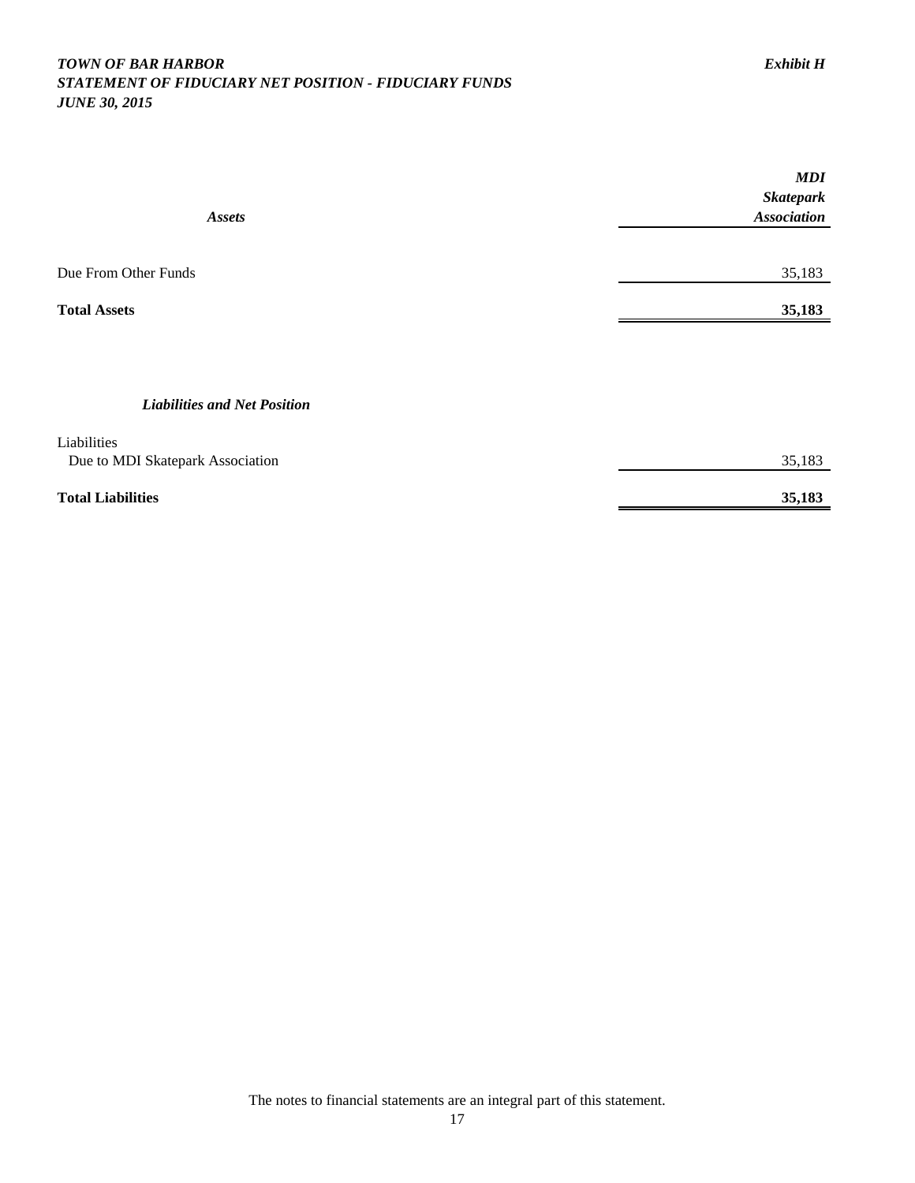## *TOWN OF BAR HARBOR Exhibit H STATEMENT OF FIDUCIARY NET POSITION - FIDUCIARY FUNDS JUNE 30, 2015*

| <b>Assets</b>                       | <b>MDI</b><br><b>Skatepark</b><br><b>Association</b> |
|-------------------------------------|------------------------------------------------------|
|                                     |                                                      |
| Due From Other Funds                | 35,183                                               |
| <b>Total Assets</b>                 | 35,183                                               |
|                                     |                                                      |
|                                     |                                                      |
| <b>Liabilities and Net Position</b> |                                                      |
| Liabilities                         |                                                      |
| Due to MDI Skatepark Association    | 35,183                                               |
| <b>Total Liabilities</b>            | 35,183                                               |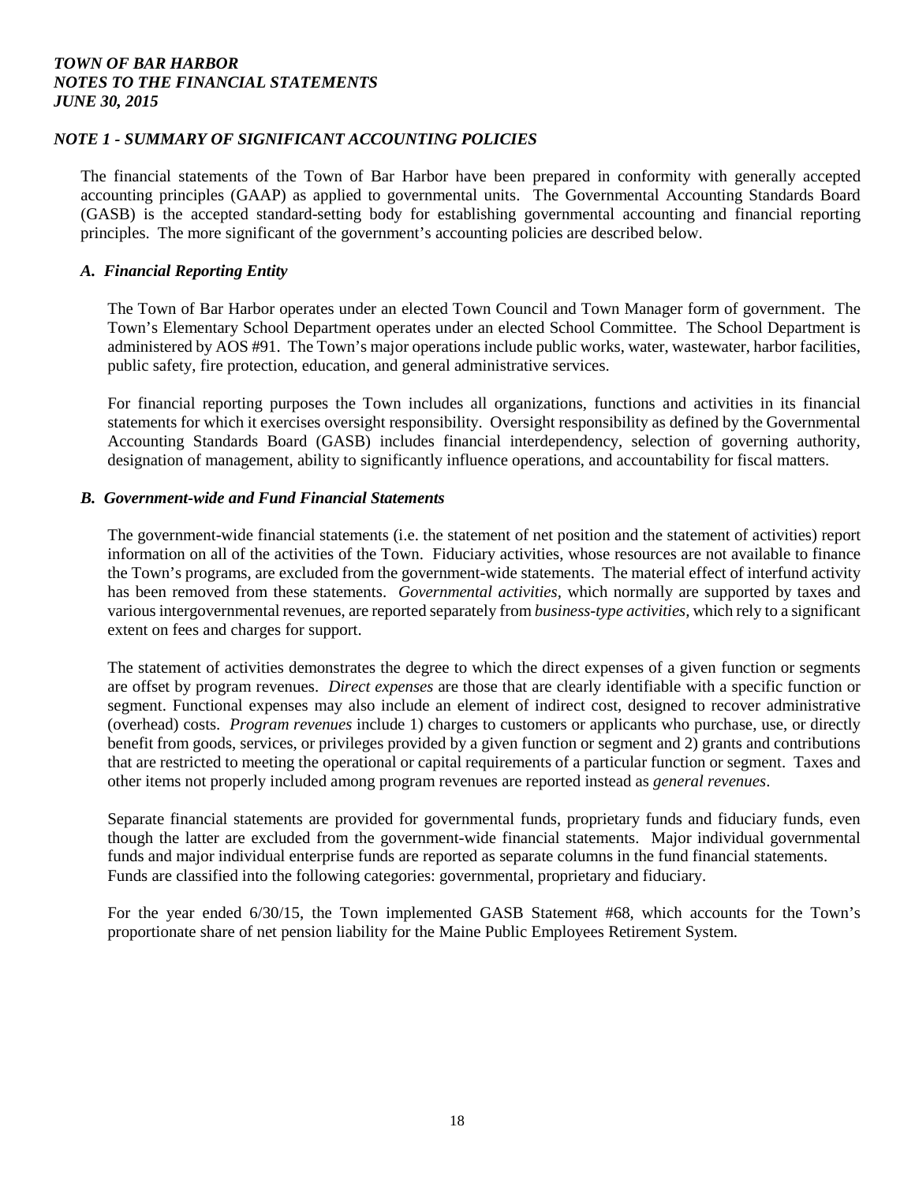## *NOTE 1 - SUMMARY OF SIGNIFICANT ACCOUNTING POLICIES*

The financial statements of the Town of Bar Harbor have been prepared in conformity with generally accepted accounting principles (GAAP) as applied to governmental units. The Governmental Accounting Standards Board (GASB) is the accepted standard-setting body for establishing governmental accounting and financial reporting principles. The more significant of the government's accounting policies are described below.

### *A. Financial Reporting Entity*

The Town of Bar Harbor operates under an elected Town Council and Town Manager form of government. The Town's Elementary School Department operates under an elected School Committee. The School Department is administered by AOS #91. The Town's major operations include public works, water, wastewater, harbor facilities, public safety, fire protection, education, and general administrative services.

For financial reporting purposes the Town includes all organizations, functions and activities in its financial statements for which it exercises oversight responsibility. Oversight responsibility as defined by the Governmental Accounting Standards Board (GASB) includes financial interdependency, selection of governing authority, designation of management, ability to significantly influence operations, and accountability for fiscal matters.

#### *B. Government-wide and Fund Financial Statements*

The government-wide financial statements (i.e. the statement of net position and the statement of activities) report information on all of the activities of the Town. Fiduciary activities, whose resources are not available to finance the Town's programs, are excluded from the government-wide statements. The material effect of interfund activity has been removed from these statements. *Governmental activities,* which normally are supported by taxes and various intergovernmental revenues, are reported separately from *business-type activities,* which rely to a significant extent on fees and charges for support.

The statement of activities demonstrates the degree to which the direct expenses of a given function or segments are offset by program revenues. *Direct expenses* are those that are clearly identifiable with a specific function or segment. Functional expenses may also include an element of indirect cost, designed to recover administrative (overhead) costs. *Program revenues* include 1) charges to customers or applicants who purchase, use, or directly benefit from goods, services, or privileges provided by a given function or segment and 2) grants and contributions that are restricted to meeting the operational or capital requirements of a particular function or segment. Taxes and other items not properly included among program revenues are reported instead as *general revenues*.

Separate financial statements are provided for governmental funds, proprietary funds and fiduciary funds, even though the latter are excluded from the government-wide financial statements. Major individual governmental funds and major individual enterprise funds are reported as separate columns in the fund financial statements. Funds are classified into the following categories: governmental, proprietary and fiduciary.

For the year ended 6/30/15, the Town implemented GASB Statement #68, which accounts for the Town's proportionate share of net pension liability for the Maine Public Employees Retirement System.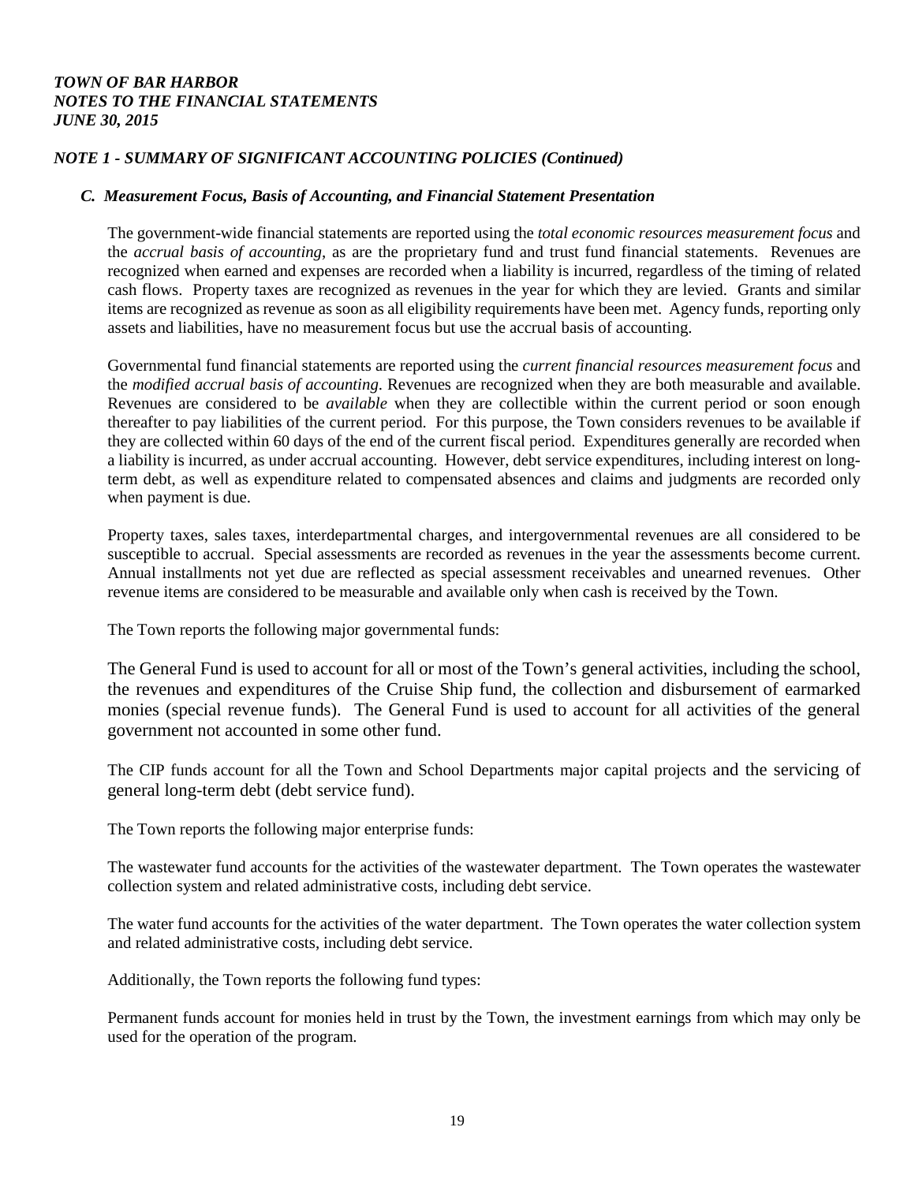## *NOTE 1 - SUMMARY OF SIGNIFICANT ACCOUNTING POLICIES (Continued)*

### *C. Measurement Focus, Basis of Accounting, and Financial Statement Presentation*

The government-wide financial statements are reported using the *total economic resources measurement focus* and the *accrual basis of accounting*, as are the proprietary fund and trust fund financial statements. Revenues are recognized when earned and expenses are recorded when a liability is incurred, regardless of the timing of related cash flows. Property taxes are recognized as revenues in the year for which they are levied. Grants and similar items are recognized as revenue as soon as all eligibility requirements have been met. Agency funds, reporting only assets and liabilities, have no measurement focus but use the accrual basis of accounting.

Governmental fund financial statements are reported using the *current financial resources measurement focus* and the *modified accrual basis of accounting*. Revenues are recognized when they are both measurable and available. Revenues are considered to be *available* when they are collectible within the current period or soon enough thereafter to pay liabilities of the current period. For this purpose, the Town considers revenues to be available if they are collected within 60 days of the end of the current fiscal period. Expenditures generally are recorded when a liability is incurred, as under accrual accounting. However, debt service expenditures, including interest on longterm debt, as well as expenditure related to compensated absences and claims and judgments are recorded only when payment is due.

Property taxes, sales taxes, interdepartmental charges, and intergovernmental revenues are all considered to be susceptible to accrual. Special assessments are recorded as revenues in the year the assessments become current. Annual installments not yet due are reflected as special assessment receivables and unearned revenues. Other revenue items are considered to be measurable and available only when cash is received by the Town.

The Town reports the following major governmental funds:

The General Fund is used to account for all or most of the Town's general activities, including the school, the revenues and expenditures of the Cruise Ship fund, the collection and disbursement of earmarked monies (special revenue funds). The General Fund is used to account for all activities of the general government not accounted in some other fund.

The CIP funds account for all the Town and School Departments major capital projects and the servicing of general long-term debt (debt service fund).

The Town reports the following major enterprise funds:

The wastewater fund accounts for the activities of the wastewater department. The Town operates the wastewater collection system and related administrative costs, including debt service.

The water fund accounts for the activities of the water department. The Town operates the water collection system and related administrative costs, including debt service.

Additionally, the Town reports the following fund types:

Permanent funds account for monies held in trust by the Town, the investment earnings from which may only be used for the operation of the program.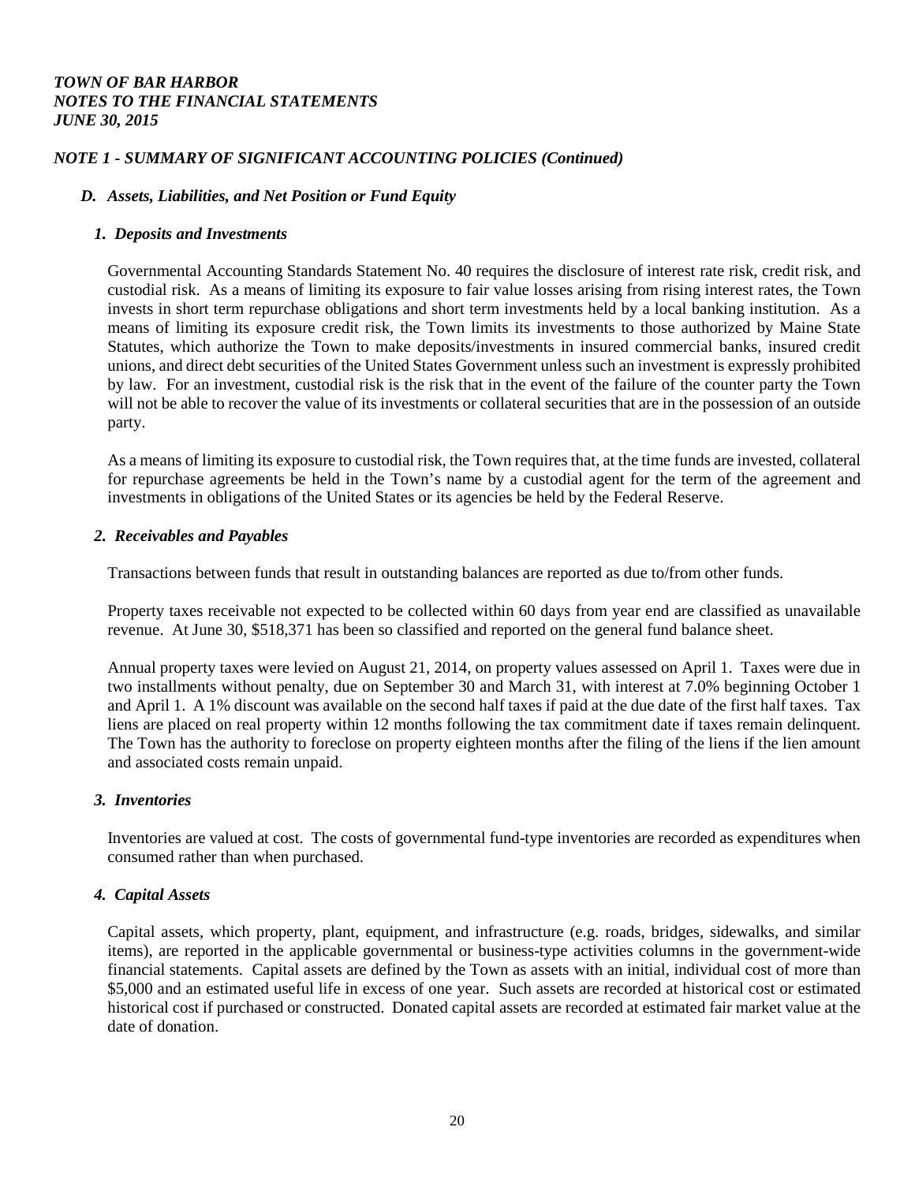## *NOTE 1 - SUMMARY OF SIGNIFICANT ACCOUNTING POLICIES (Continued)*

#### *D. Assets, Liabilities, and Net Position or Fund Equity*

#### *1. Deposits and Investments*

Governmental Accounting Standards Statement No. 40 requires the disclosure of interest rate risk, credit risk, and custodial risk. As a means of limiting its exposure to fair value losses arising from rising interest rates, the Town invests in short term repurchase obligations and short term investments held by a local banking institution. As a means of limiting its exposure credit risk, the Town limits its investments to those authorized by Maine State Statutes, which authorize the Town to make deposits/investments in insured commercial banks, insured credit unions, and direct debt securities of the United States Government unless such an investment is expressly prohibited by law. For an investment, custodial risk is the risk that in the event of the failure of the counter party the Town will not be able to recover the value of its investments or collateral securities that are in the possession of an outside party.

As a means of limiting its exposure to custodial risk, the Town requires that, at the time funds are invested, collateral for repurchase agreements be held in the Town's name by a custodial agent for the term of the agreement and investments in obligations of the United States or its agencies be held by the Federal Reserve.

#### *2. Receivables and Payables*

Transactions between funds that result in outstanding balances are reported as due to/from other funds.

Property taxes receivable not expected to be collected within 60 days from year end are classified as unavailable revenue. At June 30, \$518,371 has been so classified and reported on the general fund balance sheet.

Annual property taxes were levied on August 21, 2014, on property values assessed on April 1. Taxes were due in two installments without penalty, due on September 30 and March 31, with interest at 7.0% beginning October 1 and April 1. A 1% discount was available on the second half taxes if paid at the due date of the first half taxes. Tax liens are placed on real property within 12 months following the tax commitment date if taxes remain delinquent. The Town has the authority to foreclose on property eighteen months after the filing of the liens if the lien amount and associated costs remain unpaid.

#### *3. Inventories*

Inventories are valued at cost. The costs of governmental fund-type inventories are recorded as expenditures when consumed rather than when purchased.

#### *4. Capital Assets*

Capital assets, which property, plant, equipment, and infrastructure (e.g. roads, bridges, sidewalks, and similar items), are reported in the applicable governmental or business-type activities columns in the government-wide financial statements. Capital assets are defined by the Town as assets with an initial, individual cost of more than \$5,000 and an estimated useful life in excess of one year. Such assets are recorded at historical cost or estimated historical cost if purchased or constructed. Donated capital assets are recorded at estimated fair market value at the date of donation.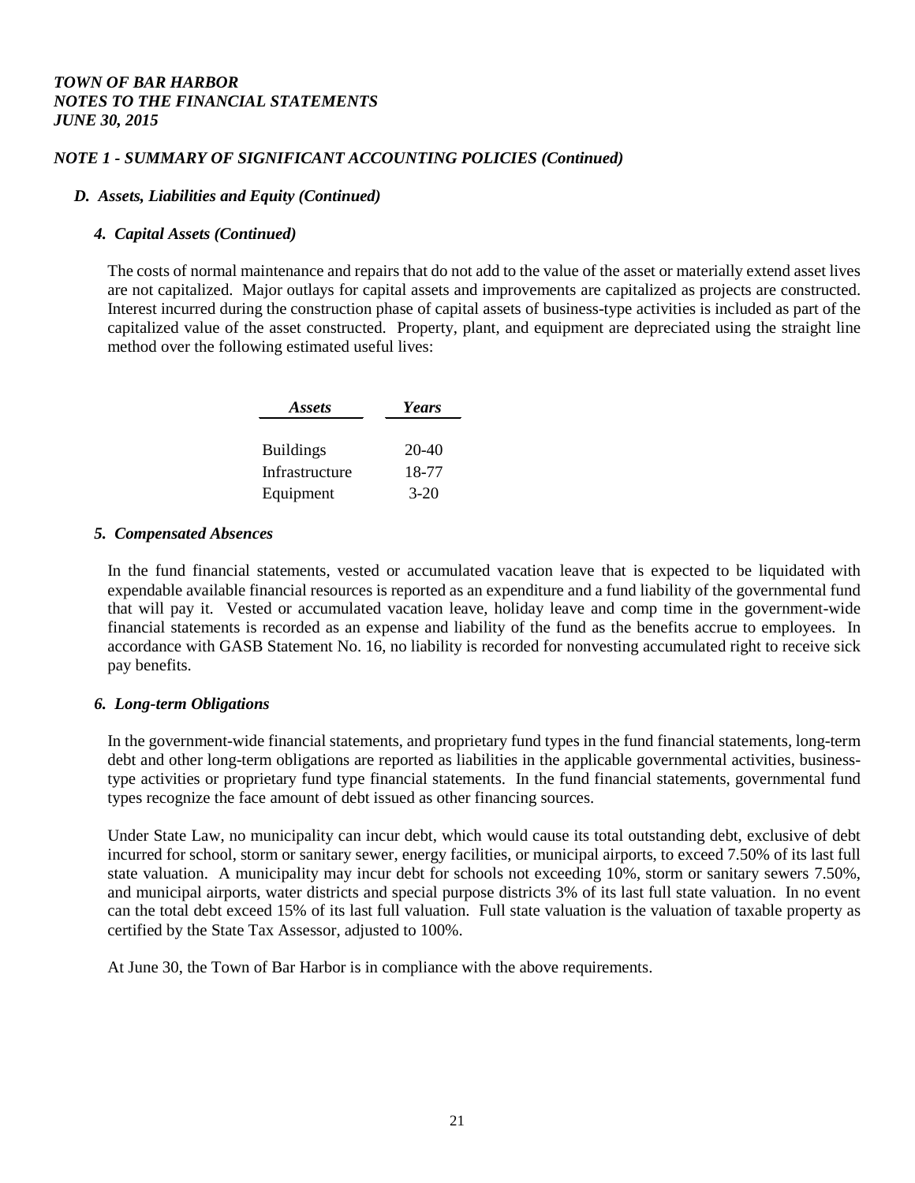## *NOTE 1 - SUMMARY OF SIGNIFICANT ACCOUNTING POLICIES (Continued)*

## *D. Assets, Liabilities and Equity (Continued)*

## *4. Capital Assets (Continued)*

The costs of normal maintenance and repairs that do not add to the value of the asset or materially extend asset lives are not capitalized. Major outlays for capital assets and improvements are capitalized as projects are constructed. Interest incurred during the construction phase of capital assets of business-type activities is included as part of the capitalized value of the asset constructed. Property, plant, and equipment are depreciated using the straight line method over the following estimated useful lives:

| <b>Assets</b>    | Years    |
|------------------|----------|
|                  |          |
| <b>Buildings</b> | $20-40$  |
| Infrastructure   | 18-77    |
| Equipment        | $3 - 20$ |

### *5. Compensated Absences*

In the fund financial statements, vested or accumulated vacation leave that is expected to be liquidated with expendable available financial resources is reported as an expenditure and a fund liability of the governmental fund that will pay it. Vested or accumulated vacation leave, holiday leave and comp time in the government-wide financial statements is recorded as an expense and liability of the fund as the benefits accrue to employees. In accordance with GASB Statement No. 16, no liability is recorded for nonvesting accumulated right to receive sick pay benefits.

## *6. Long-term Obligations*

In the government-wide financial statements, and proprietary fund types in the fund financial statements, long-term debt and other long-term obligations are reported as liabilities in the applicable governmental activities, businesstype activities or proprietary fund type financial statements. In the fund financial statements, governmental fund types recognize the face amount of debt issued as other financing sources.

Under State Law, no municipality can incur debt, which would cause its total outstanding debt, exclusive of debt incurred for school, storm or sanitary sewer, energy facilities, or municipal airports, to exceed 7.50% of its last full state valuation. A municipality may incur debt for schools not exceeding 10%, storm or sanitary sewers 7.50%, and municipal airports, water districts and special purpose districts 3% of its last full state valuation. In no event can the total debt exceed 15% of its last full valuation. Full state valuation is the valuation of taxable property as certified by the State Tax Assessor, adjusted to 100%.

At June 30, the Town of Bar Harbor is in compliance with the above requirements.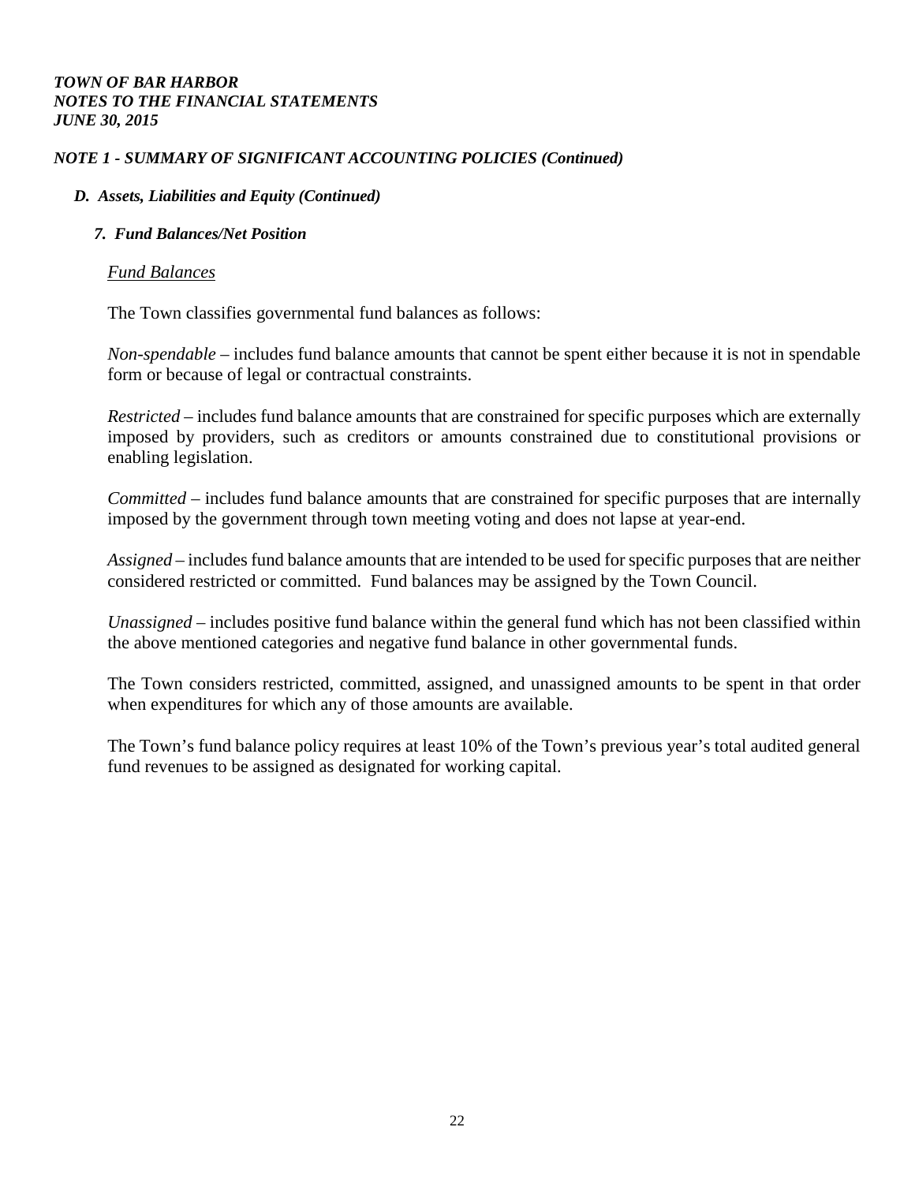## *NOTE 1 - SUMMARY OF SIGNIFICANT ACCOUNTING POLICIES (Continued)*

## *D. Assets, Liabilities and Equity (Continued)*

## *7. Fund Balances/Net Position*

## *Fund Balances*

The Town classifies governmental fund balances as follows:

*Non-spendable –* includes fund balance amounts that cannot be spent either because it is not in spendable form or because of legal or contractual constraints.

*Restricted –* includes fund balance amounts that are constrained for specific purposes which are externally imposed by providers, such as creditors or amounts constrained due to constitutional provisions or enabling legislation.

*Committed –* includes fund balance amounts that are constrained for specific purposes that are internally imposed by the government through town meeting voting and does not lapse at year-end.

*Assigned –* includes fund balance amounts that are intended to be used for specific purposes that are neither considered restricted or committed. Fund balances may be assigned by the Town Council.

*Unassigned –* includes positive fund balance within the general fund which has not been classified within the above mentioned categories and negative fund balance in other governmental funds.

The Town considers restricted, committed, assigned, and unassigned amounts to be spent in that order when expenditures for which any of those amounts are available.

The Town's fund balance policy requires at least 10% of the Town's previous year's total audited general fund revenues to be assigned as designated for working capital.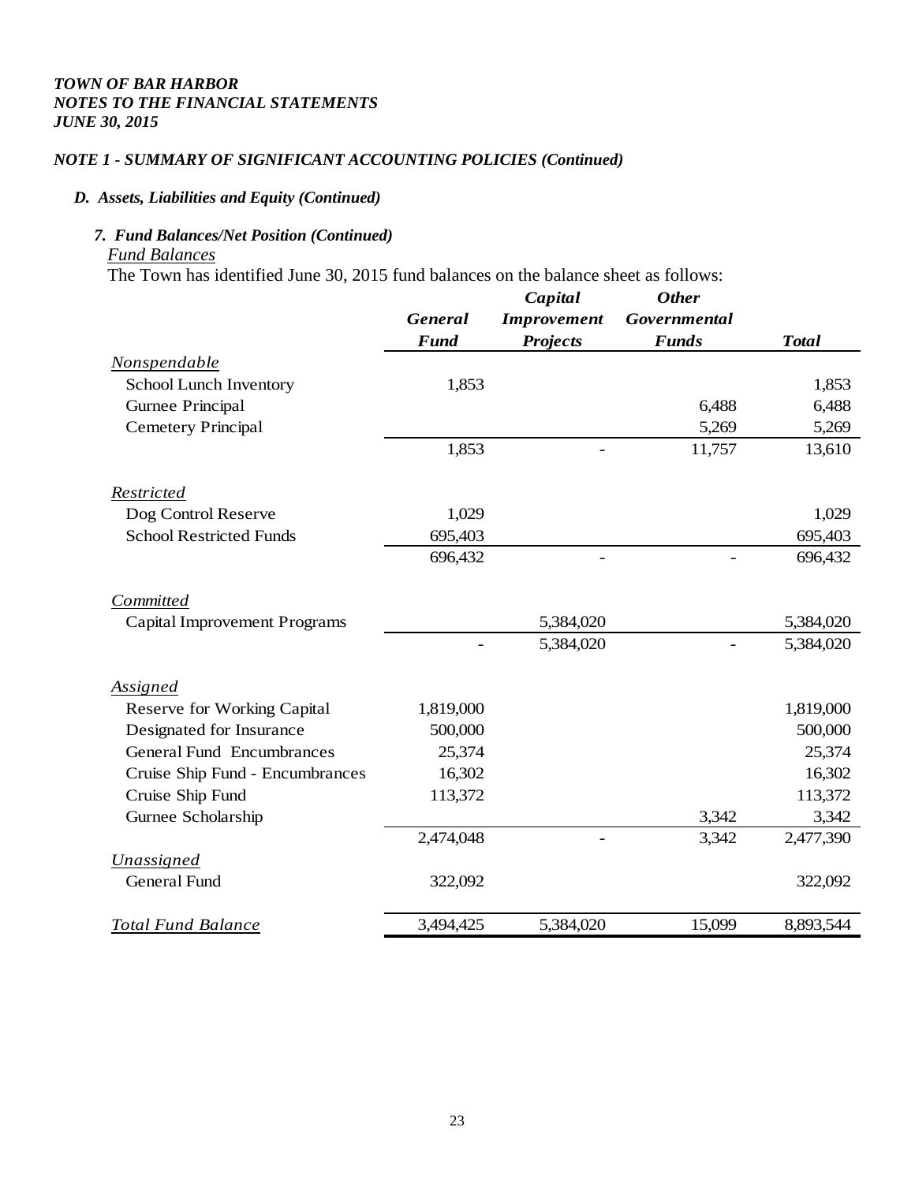## *NOTE 1 - SUMMARY OF SIGNIFICANT ACCOUNTING POLICIES (Continued)*

## *D. Assets, Liabilities and Equity (Continued)*

## *7. Fund Balances/Net Position (Continued)*

## *Fund Balances*

The Town has identified June 30, 2015 fund balances on the balance sheet as follows:

|                                     |                | Capital            | <b>Other</b> |              |
|-------------------------------------|----------------|--------------------|--------------|--------------|
|                                     | <b>General</b> | <b>Improvement</b> | Governmental |              |
|                                     | <b>Fund</b>    | <b>Projects</b>    | <b>Funds</b> | <b>Total</b> |
| <b>Nonspendable</b>                 |                |                    |              |              |
| School Lunch Inventory              | 1,853          |                    |              | 1,853        |
| Gurnee Principal                    |                |                    | 6,488        | 6,488        |
| <b>Cemetery Principal</b>           |                |                    | 5,269        | 5,269        |
|                                     | 1,853          | $\qquad \qquad -$  | 11,757       | 13,610       |
| Restricted                          |                |                    |              |              |
| Dog Control Reserve                 | 1,029          |                    |              | 1,029        |
| <b>School Restricted Funds</b>      | 695,403        |                    |              | 695,403      |
|                                     | 696,432        |                    |              | 696,432      |
| Committed                           |                |                    |              |              |
| <b>Capital Improvement Programs</b> |                | 5,384,020          |              | 5,384,020    |
|                                     |                | 5,384,020          |              | 5,384,020    |
| Assigned                            |                |                    |              |              |
| <b>Reserve for Working Capital</b>  | 1,819,000      |                    |              | 1,819,000    |
| Designated for Insurance            | 500,000        |                    |              | 500,000      |
| <b>General Fund Encumbrances</b>    | 25,374         |                    |              | 25,374       |
| Cruise Ship Fund - Encumbrances     | 16,302         |                    |              | 16,302       |
| Cruise Ship Fund                    | 113,372        |                    |              | 113,372      |
| Gurnee Scholarship                  |                |                    | 3,342        | 3,342        |
|                                     | 2,474,048      |                    | 3,342        | 2,477,390    |
| Unassigned                          |                |                    |              |              |
| General Fund                        | 322,092        |                    |              | 322,092      |
| <b>Total Fund Balance</b>           | 3,494,425      | 5,384,020          | 15,099       | 8,893,544    |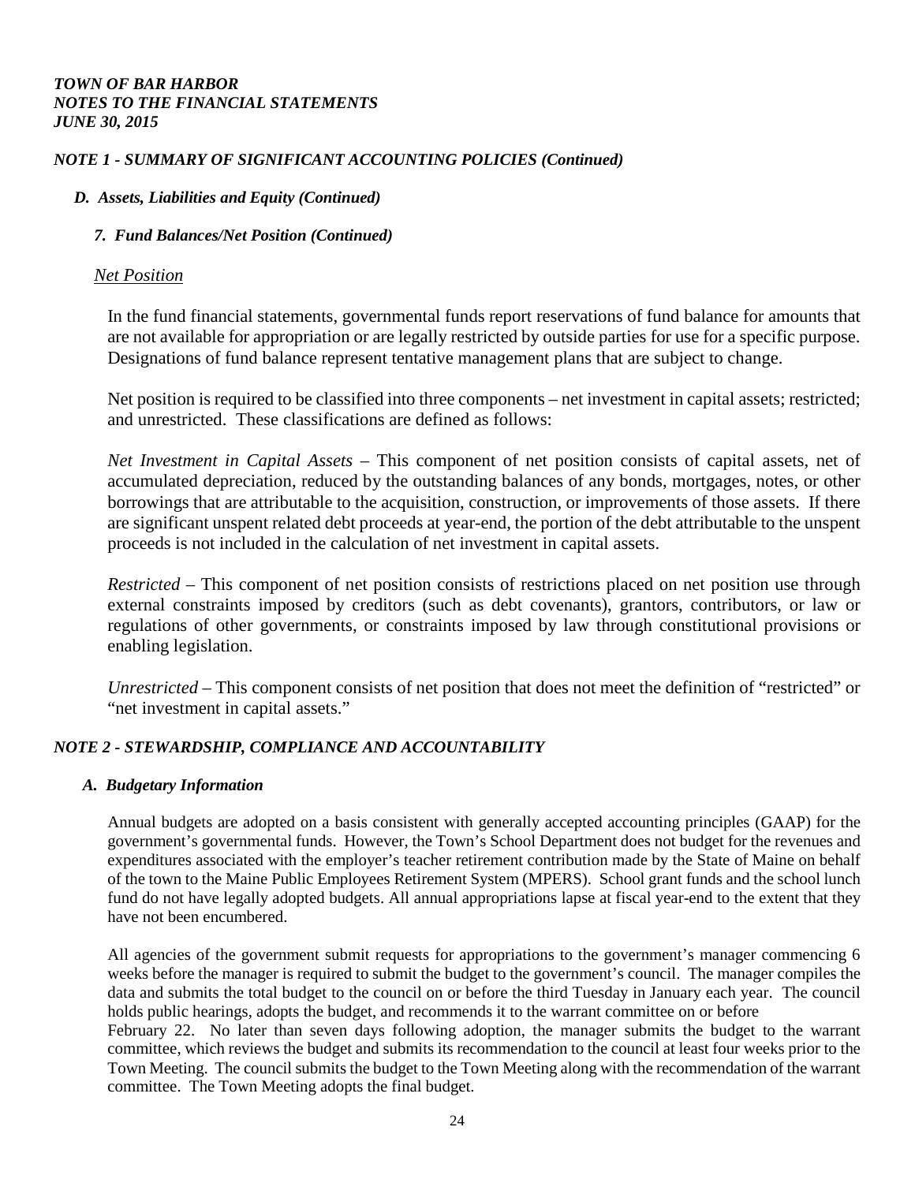## *NOTE 1 - SUMMARY OF SIGNIFICANT ACCOUNTING POLICIES (Continued)*

## *D. Assets, Liabilities and Equity (Continued)*

## *7. Fund Balances/Net Position (Continued)*

## *Net Position*

In the fund financial statements, governmental funds report reservations of fund balance for amounts that are not available for appropriation or are legally restricted by outside parties for use for a specific purpose. Designations of fund balance represent tentative management plans that are subject to change.

Net position is required to be classified into three components – net investment in capital assets; restricted; and unrestricted. These classifications are defined as follows:

*Net Investment in Capital Assets –* This component of net position consists of capital assets, net of accumulated depreciation, reduced by the outstanding balances of any bonds, mortgages, notes, or other borrowings that are attributable to the acquisition, construction, or improvements of those assets. If there are significant unspent related debt proceeds at year-end, the portion of the debt attributable to the unspent proceeds is not included in the calculation of net investment in capital assets.

*Restricted –* This component of net position consists of restrictions placed on net position use through external constraints imposed by creditors (such as debt covenants), grantors, contributors, or law or regulations of other governments, or constraints imposed by law through constitutional provisions or enabling legislation.

*Unrestricted –* This component consists of net position that does not meet the definition of "restricted" or "net investment in capital assets."

## *NOTE 2 - STEWARDSHIP, COMPLIANCE AND ACCOUNTABILITY*

## *A. Budgetary Information*

Annual budgets are adopted on a basis consistent with generally accepted accounting principles (GAAP) for the government's governmental funds. However, the Town's School Department does not budget for the revenues and expenditures associated with the employer's teacher retirement contribution made by the State of Maine on behalf of the town to the Maine Public Employees Retirement System (MPERS). School grant funds and the school lunch fund do not have legally adopted budgets. All annual appropriations lapse at fiscal year-end to the extent that they have not been encumbered.

All agencies of the government submit requests for appropriations to the government's manager commencing 6 weeks before the manager is required to submit the budget to the government's council. The manager compiles the data and submits the total budget to the council on or before the third Tuesday in January each year. The council holds public hearings, adopts the budget, and recommends it to the warrant committee on or before February 22. No later than seven days following adoption, the manager submits the budget to the warrant committee, which reviews the budget and submits its recommendation to the council at least four weeks prior to the Town Meeting. The council submits the budget to the Town Meeting along with the recommendation of the warrant committee. The Town Meeting adopts the final budget.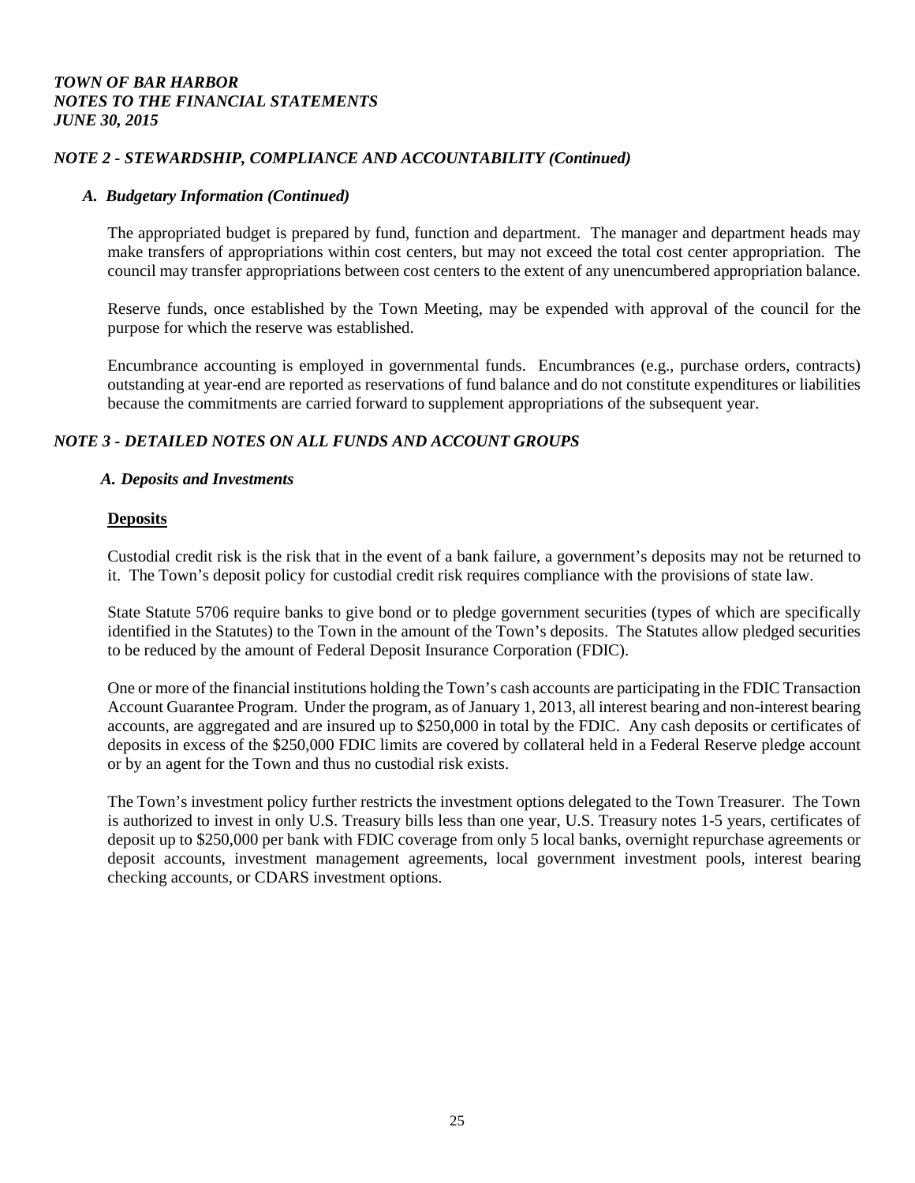## *NOTE 2 - STEWARDSHIP, COMPLIANCE AND ACCOUNTABILITY (Continued)*

### *A. Budgetary Information (Continued)*

The appropriated budget is prepared by fund, function and department. The manager and department heads may make transfers of appropriations within cost centers, but may not exceed the total cost center appropriation. The council may transfer appropriations between cost centers to the extent of any unencumbered appropriation balance.

Reserve funds, once established by the Town Meeting, may be expended with approval of the council for the purpose for which the reserve was established.

Encumbrance accounting is employed in governmental funds. Encumbrances (e.g., purchase orders, contracts) outstanding at year-end are reported as reservations of fund balance and do not constitute expenditures or liabilities because the commitments are carried forward to supplement appropriations of the subsequent year.

## *NOTE 3 - DETAILED NOTES ON ALL FUNDS AND ACCOUNT GROUPS*

### *A. Deposits and Investments*

## **Deposits**

Custodial credit risk is the risk that in the event of a bank failure, a government's deposits may not be returned to it. The Town's deposit policy for custodial credit risk requires compliance with the provisions of state law.

State Statute 5706 require banks to give bond or to pledge government securities (types of which are specifically identified in the Statutes) to the Town in the amount of the Town's deposits. The Statutes allow pledged securities to be reduced by the amount of Federal Deposit Insurance Corporation (FDIC).

One or more of the financial institutions holding the Town's cash accounts are participating in the FDIC Transaction Account Guarantee Program. Under the program, as of January 1, 2013, all interest bearing and non-interest bearing accounts, are aggregated and are insured up to \$250,000 in total by the FDIC. Any cash deposits or certificates of deposits in excess of the \$250,000 FDIC limits are covered by collateral held in a Federal Reserve pledge account or by an agent for the Town and thus no custodial risk exists.

The Town's investment policy further restricts the investment options delegated to the Town Treasurer. The Town is authorized to invest in only U.S. Treasury bills less than one year, U.S. Treasury notes 1-5 years, certificates of deposit up to \$250,000 per bank with FDIC coverage from only 5 local banks, overnight repurchase agreements or deposit accounts, investment management agreements, local government investment pools, interest bearing checking accounts, or CDARS investment options.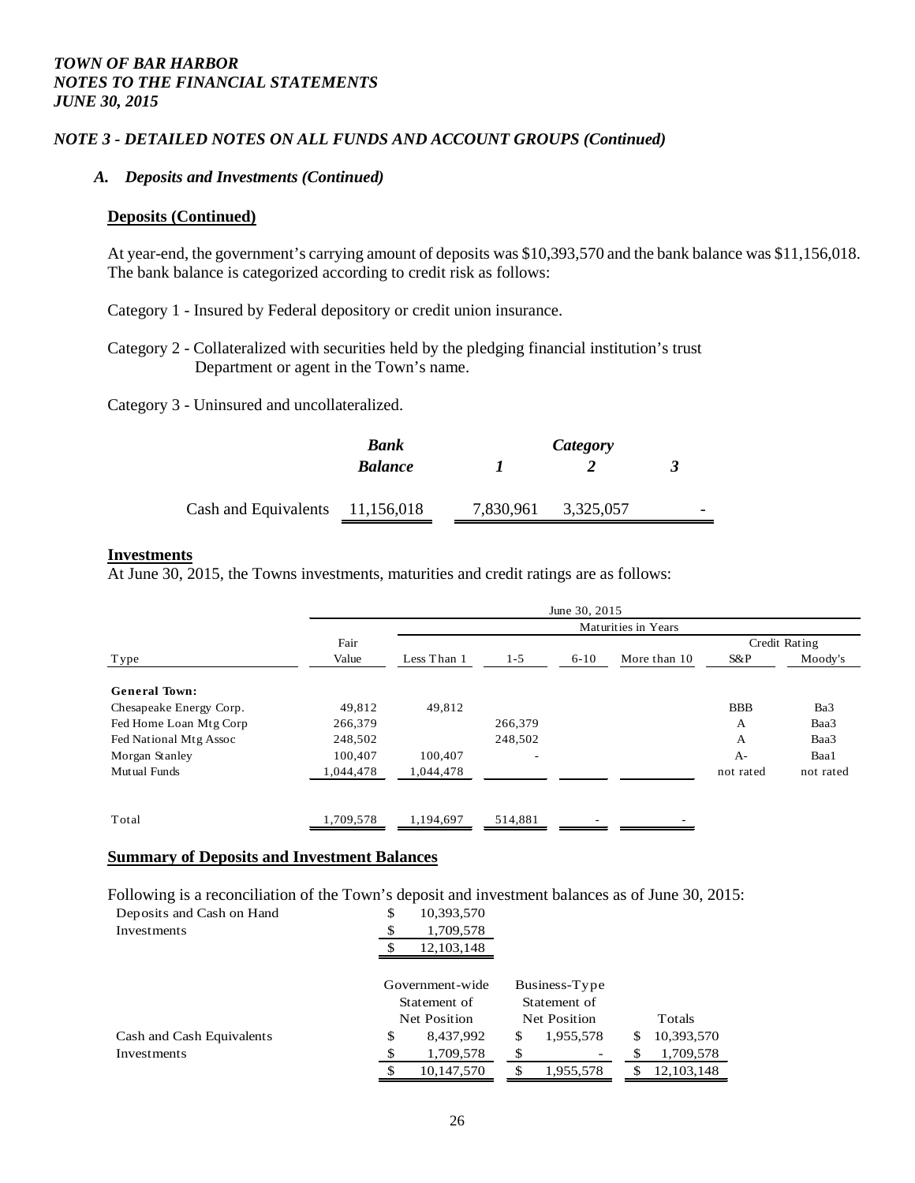## *NOTE 3 - DETAILED NOTES ON ALL FUNDS AND ACCOUNT GROUPS (Continued)*

### *A. Deposits and Investments (Continued)*

#### **Deposits (Continued)**

At year-end, the government's carrying amount of deposits was \$10,393,570 and the bank balance was \$11,156,018. The bank balance is categorized according to credit risk as follows:

Category 1 - Insured by Federal depository or credit union insurance.

Category 2 - Collateralized with securities held by the pledging financial institution's trust Department or agent in the Town's name.

Category 3 - Uninsured and uncollateralized.

|                                 | Bank           |           | Category  |   |
|---------------------------------|----------------|-----------|-----------|---|
|                                 | <b>Balance</b> |           |           | 3 |
| Cash and Equivalents 11,156,018 |                | 7,830,961 | 3,325,057 |   |

#### **Investments**

At June 30, 2015, the Towns investments, maturities and credit ratings are as follows:

|                         |           |             |                          | June 30, 2015 |                     |            |               |
|-------------------------|-----------|-------------|--------------------------|---------------|---------------------|------------|---------------|
|                         |           |             |                          |               | Maturities in Years |            |               |
|                         | Fair      |             |                          |               |                     |            | Credit Rating |
| Type                    | Value     | Less Than 1 | $1-5$                    | $6 - 10$      | More than 10        | S&P        | Moody's       |
| <b>General Town:</b>    |           |             |                          |               |                     |            |               |
| Chesapeake Energy Corp. | 49,812    | 49,812      |                          |               |                     | <b>BBB</b> | Ba3           |
| Fed Home Loan Mtg Corp  | 266,379   |             | 266,379                  |               |                     | A          | Baa3          |
| Fed National Mtg Assoc  | 248,502   |             | 248,502                  |               |                     | A          | Baa3          |
| Morgan Stanley          | 100,407   | 100,407     | $\overline{\phantom{a}}$ |               |                     | $A-$       | Baa1          |
| Mutual Funds            | 1,044,478 | 1,044,478   |                          |               |                     | not rated  | not rated     |
|                         |           |             |                          |               |                     |            |               |
| Total                   | 1,709,578 | 1,194,697   | 514,881                  |               |                     |            |               |

### **Summary of Deposits and Investment Balances**

Following is a reconciliation of the Town's deposit and investment balances as of June 30, 2015:

| Deposits and Cash on Hand | \$<br>10,393,570   |                 |                   |
|---------------------------|--------------------|-----------------|-------------------|
| Investments               | 1,709,578<br>\$    |                 |                   |
|                           | 12, 103, 148<br>۰ъ |                 |                   |
|                           |                    |                 |                   |
|                           | Government-wide    | Business-Type   |                   |
|                           | Statement of       | Statement of    |                   |
|                           | Net Position       | Net Position    | Totals            |
| Cash and Cash Equivalents | 8,437,992<br>\$    | 1,955,578<br>\$ | 10,393,570<br>\$  |
| Investments               | 1,709,578<br>\$    | \$              | 1,709,578         |
|                           | 10.147.570<br>\$   | \$<br>1.955.578 | 12.103.148<br>\$. |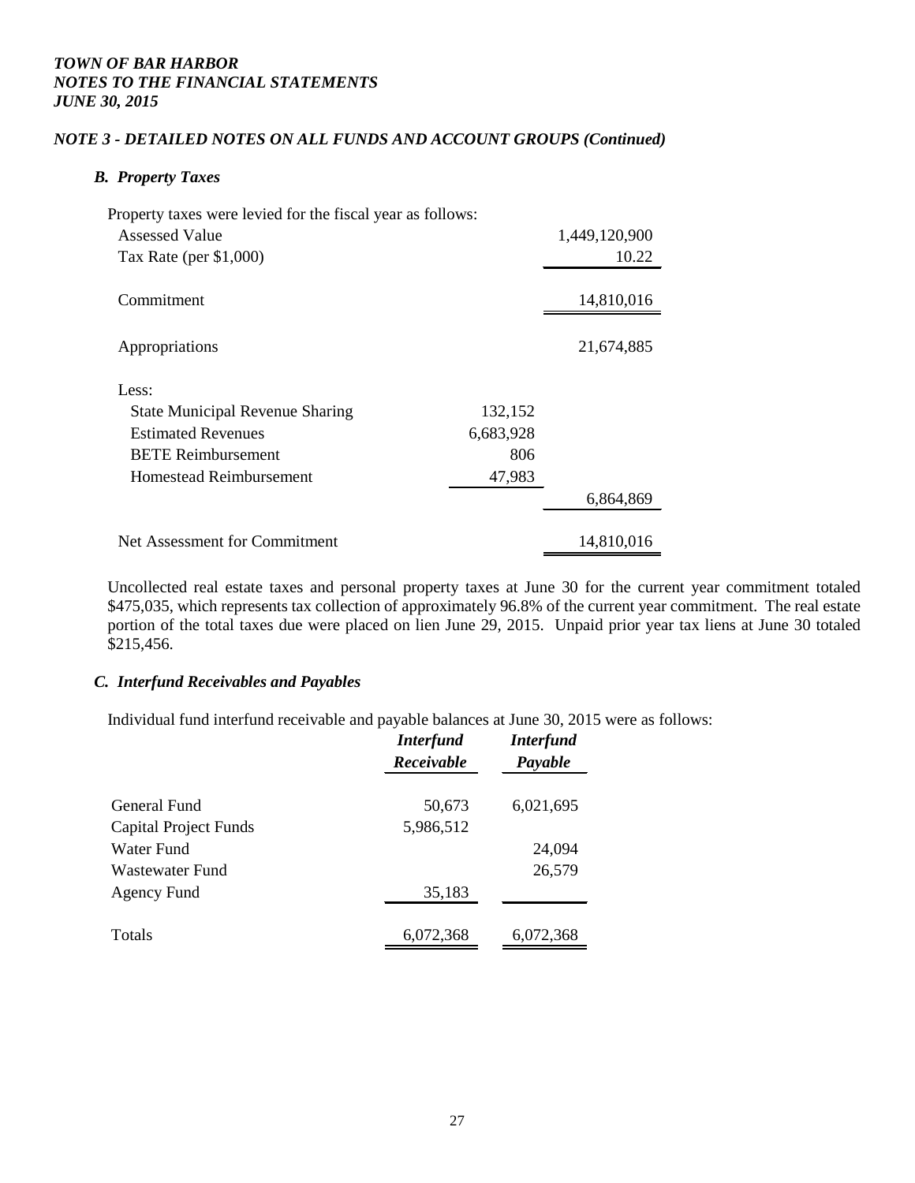## *NOTE 3 - DETAILED NOTES ON ALL FUNDS AND ACCOUNT GROUPS (Continued)*

## *B. Property Taxes*

| Property taxes were levied for the fiscal year as follows: |           |               |
|------------------------------------------------------------|-----------|---------------|
| Assessed Value                                             |           | 1,449,120,900 |
| Tax Rate (per $$1,000$ )                                   |           | 10.22         |
| Commitment                                                 |           | 14,810,016    |
| Appropriations                                             |           | 21,674,885    |
| Less:                                                      |           |               |
| <b>State Municipal Revenue Sharing</b>                     | 132,152   |               |
| <b>Estimated Revenues</b>                                  | 6,683,928 |               |
| <b>BETE Reimbursement</b>                                  | 806       |               |
| Homestead Reimbursement                                    | 47,983    |               |
|                                                            |           | 6,864,869     |
| Net Assessment for Commitment                              |           | 14,810,016    |

Uncollected real estate taxes and personal property taxes at June 30 for the current year commitment totaled \$475,035, which represents tax collection of approximately 96.8% of the current year commitment. The real estate portion of the total taxes due were placed on lien June 29, 2015. Unpaid prior year tax liens at June 30 totaled \$215,456.

## *C. Interfund Receivables and Payables*

Individual fund interfund receivable and payable balances at June 30, 2015 were as follows:

|                       | <b>Interfund</b><br>Receivable | <b>Interfund</b><br>Payable |
|-----------------------|--------------------------------|-----------------------------|
|                       |                                |                             |
| General Fund          | 50,673                         | 6,021,695                   |
| Capital Project Funds | 5,986,512                      |                             |
| Water Fund            |                                | 24,094                      |
| Wastewater Fund       |                                | 26,579                      |
| <b>Agency Fund</b>    | 35,183                         |                             |
|                       |                                |                             |
| Totals                | 6,072,368                      | 6,072,368                   |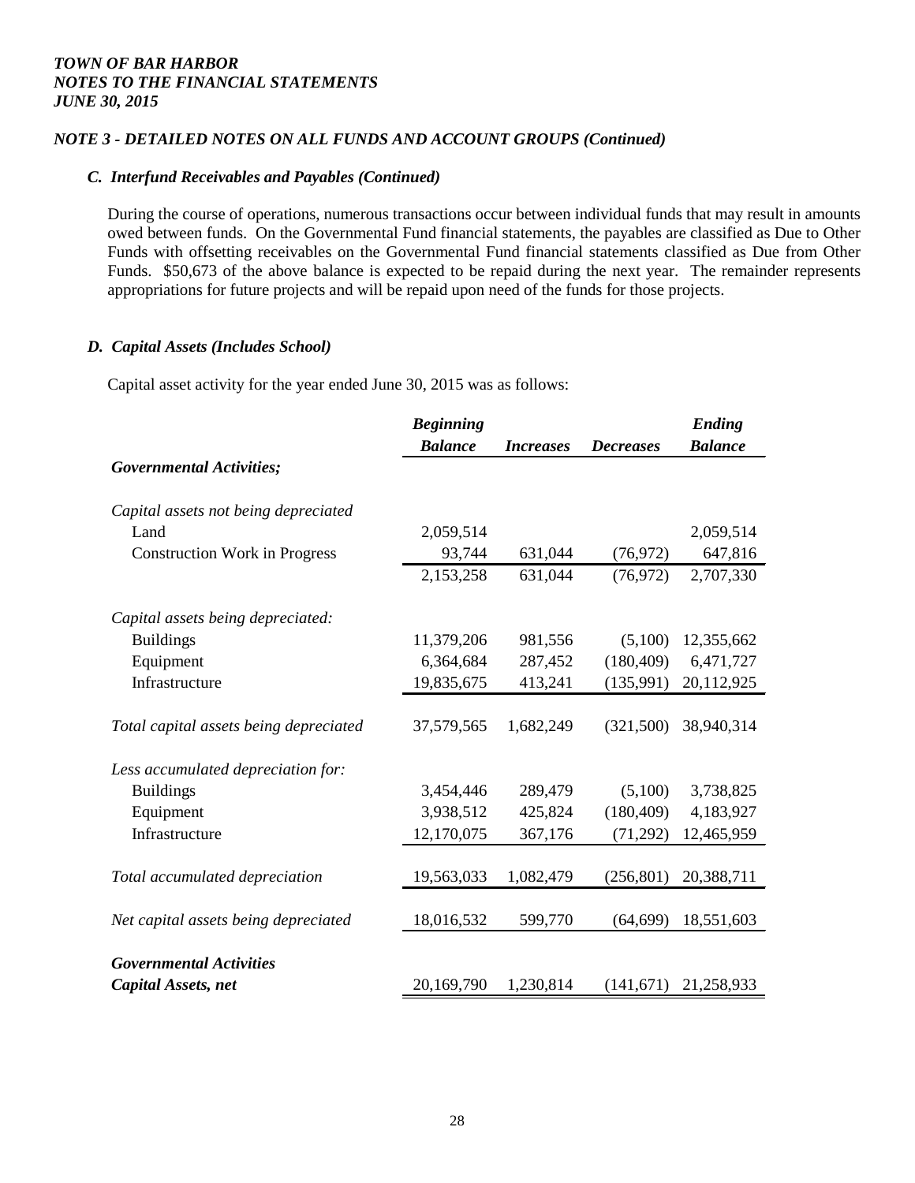## *NOTE 3 - DETAILED NOTES ON ALL FUNDS AND ACCOUNT GROUPS (Continued)*

### *C. Interfund Receivables and Payables (Continued)*

During the course of operations, numerous transactions occur between individual funds that may result in amounts owed between funds. On the Governmental Fund financial statements, the payables are classified as Due to Other Funds with offsetting receivables on the Governmental Fund financial statements classified as Due from Other Funds. \$50,673 of the above balance is expected to be repaid during the next year. The remainder represents appropriations for future projects and will be repaid upon need of the funds for those projects.

### *D. Capital Assets (Includes School)*

Capital asset activity for the year ended June 30, 2015 was as follows:

|                                        | <b>Beginning</b> |                  |                  | <b>Ending</b>  |
|----------------------------------------|------------------|------------------|------------------|----------------|
|                                        | <b>Balance</b>   | <b>Increases</b> | <b>Decreases</b> | <b>Balance</b> |
| <b>Governmental Activities;</b>        |                  |                  |                  |                |
| Capital assets not being depreciated   |                  |                  |                  |                |
| Land                                   | 2,059,514        |                  |                  | 2,059,514      |
| <b>Construction Work in Progress</b>   | 93,744           | 631,044          | (76, 972)        | 647,816        |
|                                        | 2,153,258        | 631,044          | (76, 972)        | 2,707,330      |
| Capital assets being depreciated:      |                  |                  |                  |                |
| <b>Buildings</b>                       | 11,379,206       | 981,556          | (5,100)          | 12,355,662     |
| Equipment                              | 6,364,684        | 287,452          | (180, 409)       | 6,471,727      |
| Infrastructure                         | 19,835,675       | 413,241          | (135,991)        | 20,112,925     |
| Total capital assets being depreciated | 37,579,565       | 1,682,249        | (321,500)        | 38,940,314     |
| Less accumulated depreciation for:     |                  |                  |                  |                |
| <b>Buildings</b>                       | 3,454,446        | 289,479          | (5,100)          | 3,738,825      |
| Equipment                              | 3,938,512        | 425,824          | (180, 409)       | 4,183,927      |
| Infrastructure                         | 12,170,075       | 367,176          | (71, 292)        | 12,465,959     |
| Total accumulated depreciation         | 19,563,033       | 1,082,479        | (256, 801)       | 20,388,711     |
| Net capital assets being depreciated   | 18,016,532       | 599,770          | (64, 699)        | 18,551,603     |
| <b>Governmental Activities</b>         |                  |                  |                  |                |
| Capital Assets, net                    | 20,169,790       | 1,230,814        | (141, 671)       | 21,258,933     |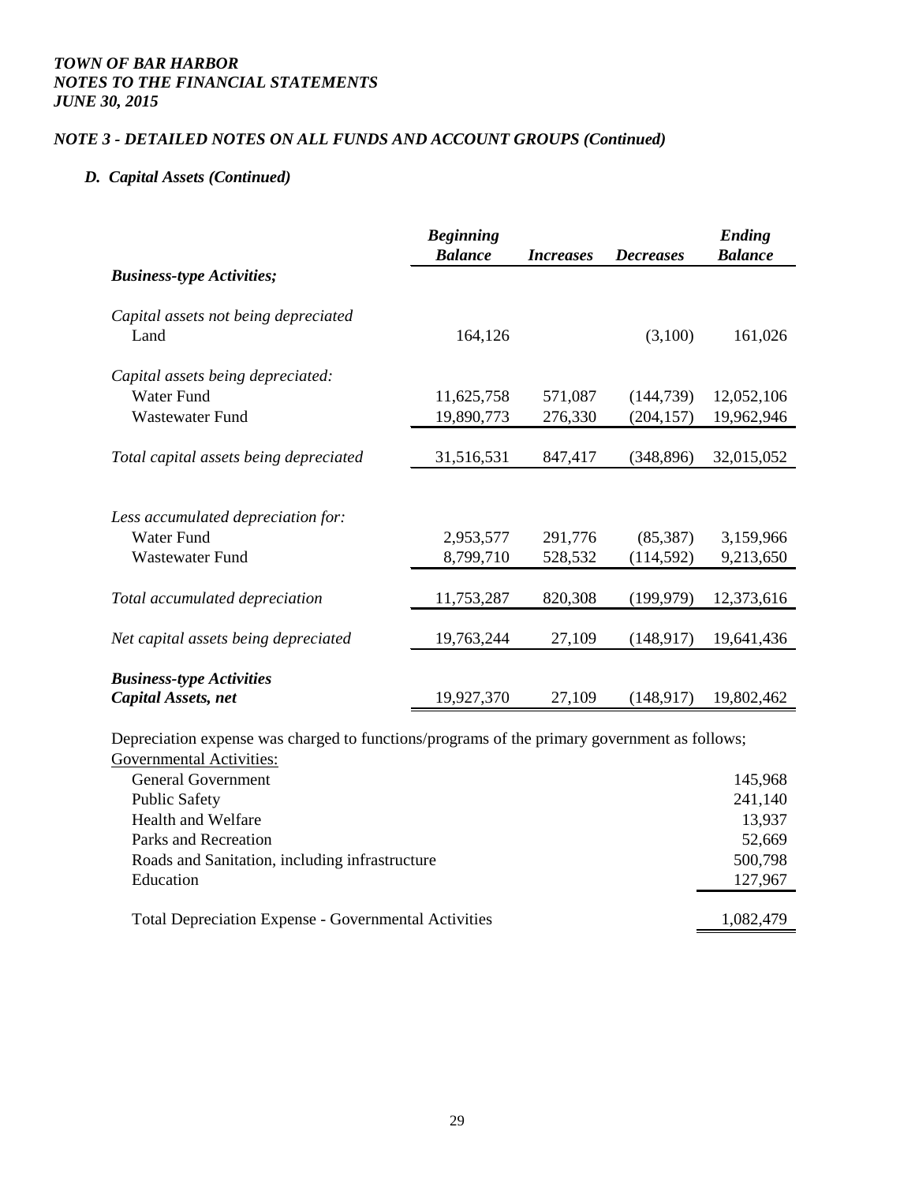## *NOTE 3 - DETAILED NOTES ON ALL FUNDS AND ACCOUNT GROUPS (Continued)*

## *D. Capital Assets (Continued)*

|                                        | <b>Beginning</b><br><b>Balance</b> | <i>Increases</i> | <b>Decreases</b> | Ending<br><b>Balance</b> |
|----------------------------------------|------------------------------------|------------------|------------------|--------------------------|
| <b>Business-type Activities;</b>       |                                    |                  |                  |                          |
| Capital assets not being depreciated   |                                    |                  |                  |                          |
| Land                                   | 164,126                            |                  | (3,100)          | 161,026                  |
| Capital assets being depreciated:      |                                    |                  |                  |                          |
| <b>Water Fund</b>                      | 11,625,758                         | 571,087          | (144, 739)       | 12,052,106               |
| Wastewater Fund                        | 19,890,773                         | 276,330          | (204, 157)       | 19,962,946               |
|                                        |                                    |                  |                  |                          |
| Total capital assets being depreciated | 31,516,531                         | 847,417          | (348, 896)       | 32,015,052               |
|                                        |                                    |                  |                  |                          |
| Less accumulated depreciation for:     |                                    |                  |                  |                          |
| <b>Water Fund</b>                      | 2,953,577                          | 291,776          | (85, 387)        | 3,159,966                |
| <b>Wastewater Fund</b>                 | 8,799,710                          | 528,532          | (114, 592)       | 9,213,650                |
|                                        |                                    |                  |                  |                          |
| Total accumulated depreciation         | 11,753,287                         | 820,308          | (199, 979)       | 12,373,616               |
|                                        |                                    |                  |                  |                          |
| Net capital assets being depreciated   | 19,763,244                         | 27,109           | (148, 917)       | 19,641,436               |
| <b>Business-type Activities</b>        |                                    |                  |                  |                          |
| Capital Assets, net                    | 19,927,370                         | 27,109           | (148, 917)       | 19,802,462               |

Depreciation expense was charged to functions/programs of the primary government as follows;

| Governmental Activities:                                    |           |
|-------------------------------------------------------------|-----------|
| General Government                                          | 145,968   |
| <b>Public Safety</b>                                        | 241,140   |
| Health and Welfare                                          | 13,937    |
| Parks and Recreation                                        | 52,669    |
| Roads and Sanitation, including infrastructure              | 500,798   |
| Education                                                   | 127,967   |
|                                                             |           |
| <b>Total Depreciation Expense - Governmental Activities</b> | 1,082,479 |
|                                                             |           |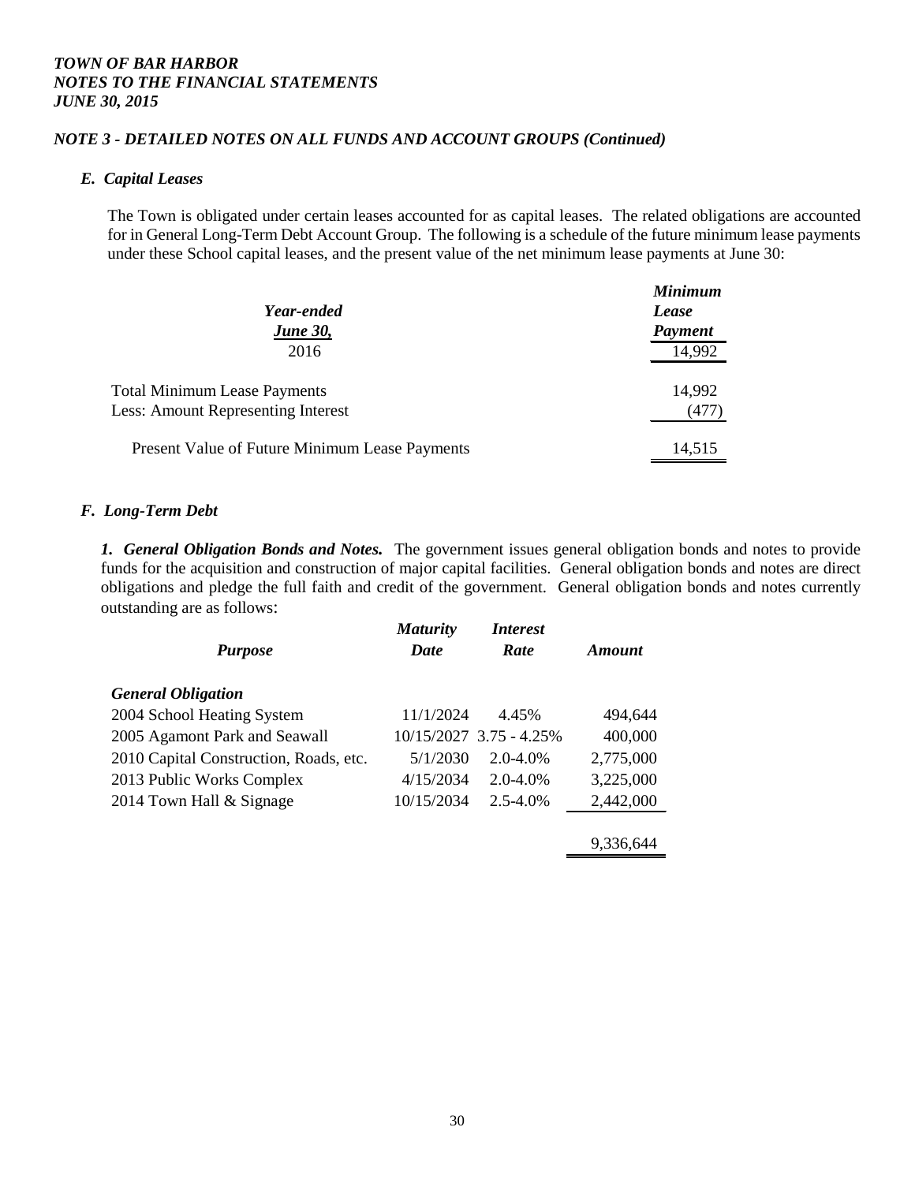## *NOTE 3 - DETAILED NOTES ON ALL FUNDS AND ACCOUNT GROUPS (Continued)*

#### *E. Capital Leases*

The Town is obligated under certain leases accounted for as capital leases. The related obligations are accounted for in General Long-Term Debt Account Group. The following is a schedule of the future minimum lease payments under these School capital leases, and the present value of the net minimum lease payments at June 30:

| Year-ended<br><b>June 30,</b>                                             | <b>Minimum</b><br>Lease<br>Payment |
|---------------------------------------------------------------------------|------------------------------------|
| 2016                                                                      | 14,992                             |
| <b>Total Minimum Lease Payments</b><br>Less: Amount Representing Interest | 14,992<br>(477)                    |
| Present Value of Future Minimum Lease Payments                            | 14,515                             |

## *F. Long-Term Debt*

*1. General Obligation Bonds and Notes.* The government issues general obligation bonds and notes to provide funds for the acquisition and construction of major capital facilities. General obligation bonds and notes are direct obligations and pledge the full faith and credit of the government. General obligation bonds and notes currently outstanding are as follows:

|                                        | <b>Maturity</b> | <i>Interest</i>         |               |
|----------------------------------------|-----------------|-------------------------|---------------|
| <b>Purpose</b>                         | <b>Date</b>     | Rate                    | <b>Amount</b> |
| <b>General Obligation</b>              |                 |                         |               |
| 2004 School Heating System             | 11/1/2024       | 4.45%                   | 494,644       |
| 2005 Agamont Park and Seawall          |                 | 10/15/2027 3.75 - 4.25% | 400,000       |
| 2010 Capital Construction, Roads, etc. | 5/1/2030        | $2.0 - 4.0\%$           | 2,775,000     |
| 2013 Public Works Complex              | 4/15/2034       | $2.0 - 4.0\%$           | 3,225,000     |
| 2014 Town Hall & Signage               | 10/15/2034      | $2.5 - 4.0\%$           | 2,442,000     |
|                                        |                 |                         |               |
|                                        |                 |                         | 9,336,644     |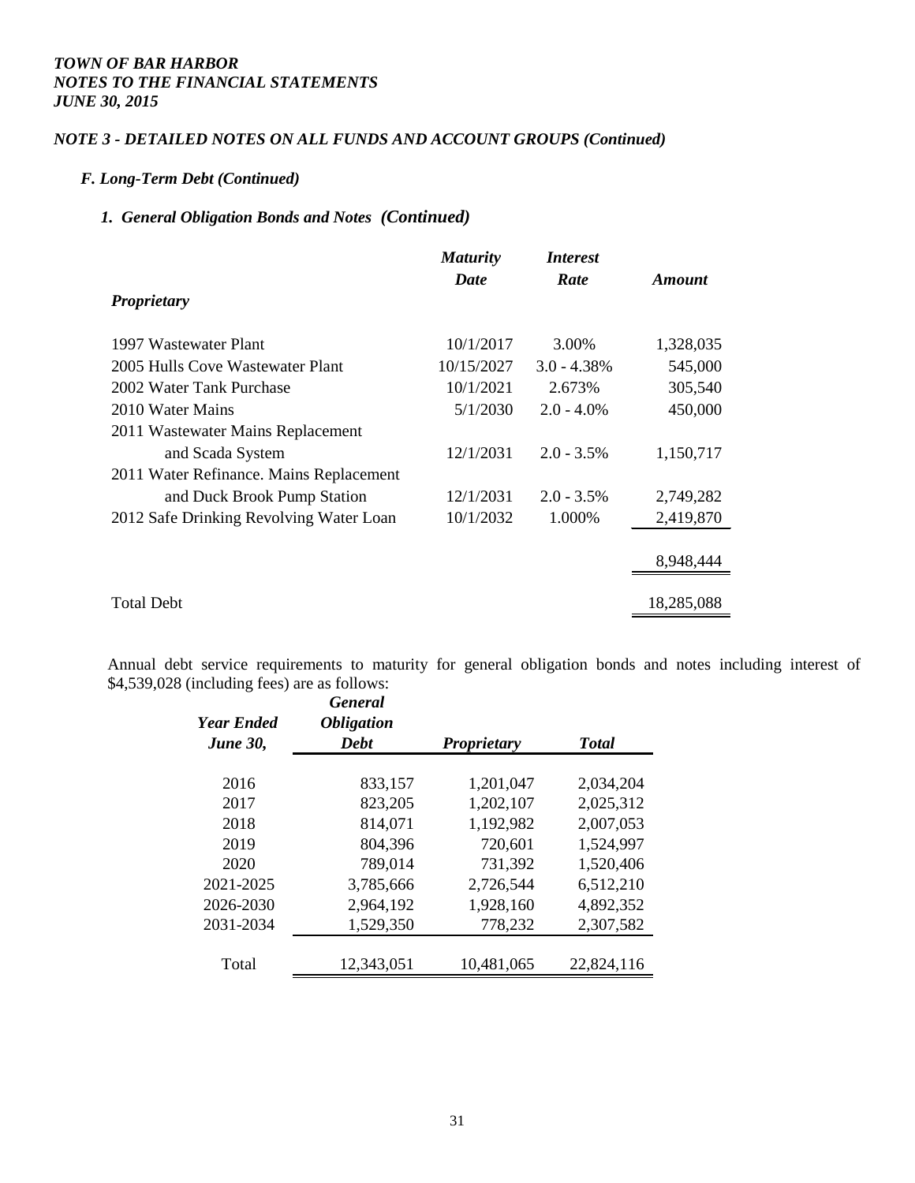## *NOTE 3 - DETAILED NOTES ON ALL FUNDS AND ACCOUNT GROUPS (Continued)*

### *F. Long-Term Debt (Continued)*

## *1. General Obligation Bonds and Notes (Continued)*

|                                         | <b>Maturity</b> | <i>Interest</i> |            |
|-----------------------------------------|-----------------|-----------------|------------|
| <b>Proprietary</b>                      | <b>Date</b>     | Rate            | Amount     |
| 1997 Wastewater Plant                   | 10/1/2017       | 3.00%           | 1,328,035  |
| 2005 Hulls Cove Wastewater Plant        | 10/15/2027      | $3.0 - 4.38\%$  | 545,000    |
| 2002 Water Tank Purchase                | 10/1/2021       | 2.673%          | 305,540    |
| 2010 Water Mains                        | 5/1/2030        | $2.0 - 4.0\%$   | 450,000    |
| 2011 Wastewater Mains Replacement       |                 |                 |            |
| and Scada System                        | 12/1/2031       | $2.0 - 3.5\%$   | 1,150,717  |
| 2011 Water Refinance. Mains Replacement |                 |                 |            |
| and Duck Brook Pump Station             | 12/1/2031       | $2.0 - 3.5\%$   | 2,749,282  |
| 2012 Safe Drinking Revolving Water Loan | 10/1/2032       | 1.000%          | 2,419,870  |
|                                         |                 |                 |            |
|                                         |                 |                 | 8,948,444  |
| <b>Total Debt</b>                       |                 |                 | 18,285,088 |

Annual debt service requirements to maturity for general obligation bonds and notes including interest of \$4,539,028 (including fees) are as follows:

| Year Ended<br><b>June 30,</b> | <b>General</b><br><i><b>Obligation</b></i><br><b>Debt</b> | <b>Proprietary</b> | <b>Total</b> |
|-------------------------------|-----------------------------------------------------------|--------------------|--------------|
|                               |                                                           |                    |              |
| 2016                          | 833,157                                                   | 1,201,047          | 2,034,204    |
| 2017                          | 823,205                                                   | 1,202,107          | 2,025,312    |
| 2018                          | 814,071                                                   | 1,192,982          | 2,007,053    |
| 2019                          | 804,396                                                   | 720,601            | 1,524,997    |
| 2020                          | 789,014                                                   | 731,392            | 1,520,406    |
| 2021-2025                     | 3,785,666                                                 | 2,726,544          | 6,512,210    |
| 2026-2030                     | 2,964,192                                                 | 1,928,160          | 4,892,352    |
| 2031-2034                     | 1,529,350                                                 | 778,232            | 2,307,582    |
| Total                         | 12,343,051                                                | 10,481,065         | 22,824,116   |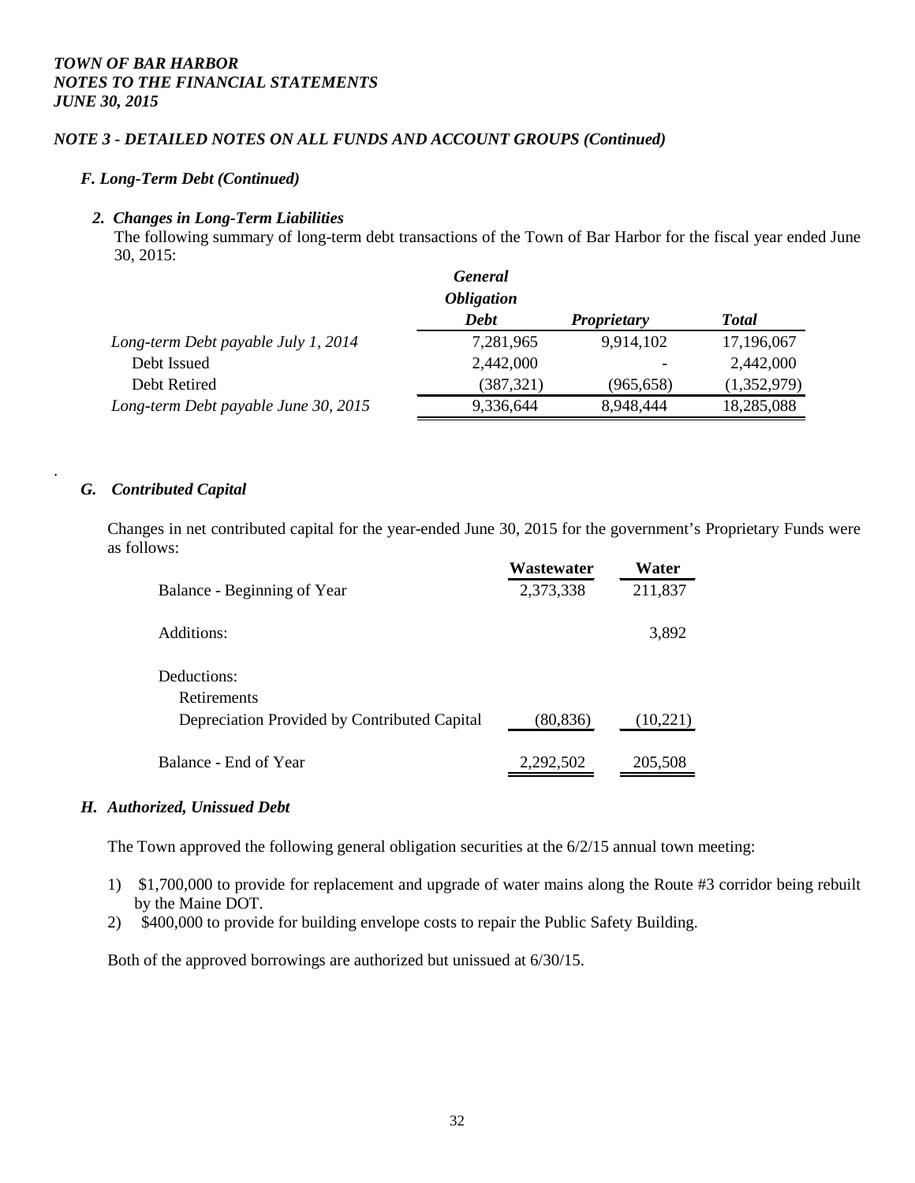## *NOTE 3 - DETAILED NOTES ON ALL FUNDS AND ACCOUNT GROUPS (Continued)*

#### *F. Long-Term Debt (Continued)*

#### *2. Changes in Long-Term Liabilities*

The following summary of long-term debt transactions of the Town of Bar Harbor for the fiscal year ended June 30, 2015:

|                                      | <b>General</b><br><i><b>Obligation</b></i> |                    |              |
|--------------------------------------|--------------------------------------------|--------------------|--------------|
|                                      | <b>Debt</b>                                | <b>Proprietary</b> | <b>Total</b> |
| Long-term Debt payable July 1, 2014  | 7,281,965                                  | 9,914,102          | 17,196,067   |
| Debt Issued                          | 2,442,000                                  |                    | 2,442,000    |
| Debt Retired                         | (387, 321)                                 | (965, 658)         | (1,352,979)  |
| Long-term Debt payable June 30, 2015 | 9,336,644                                  | 8,948,444          | 18,285,088   |

#### *G. Contributed Capital*

.

Changes in net contributed capital for the year-ended June 30, 2015 for the government's Proprietary Funds were as follows:

|                                              | Wastewater | Water    |
|----------------------------------------------|------------|----------|
| Balance - Beginning of Year                  | 2,373,338  | 211,837  |
| Additions:                                   |            | 3,892    |
| Deductions:<br><b>Retirements</b>            |            |          |
| Depreciation Provided by Contributed Capital | (80, 836)  | (10,221) |
| Balance - End of Year                        | 2,292,502  | 205,508  |

#### *H. Authorized, Unissued Debt*

The Town approved the following general obligation securities at the 6/2/15 annual town meeting:

- 1) \$1,700,000 to provide for replacement and upgrade of water mains along the Route #3 corridor being rebuilt by the Maine DOT.
- 2) \$400,000 to provide for building envelope costs to repair the Public Safety Building.

Both of the approved borrowings are authorized but unissued at 6/30/15.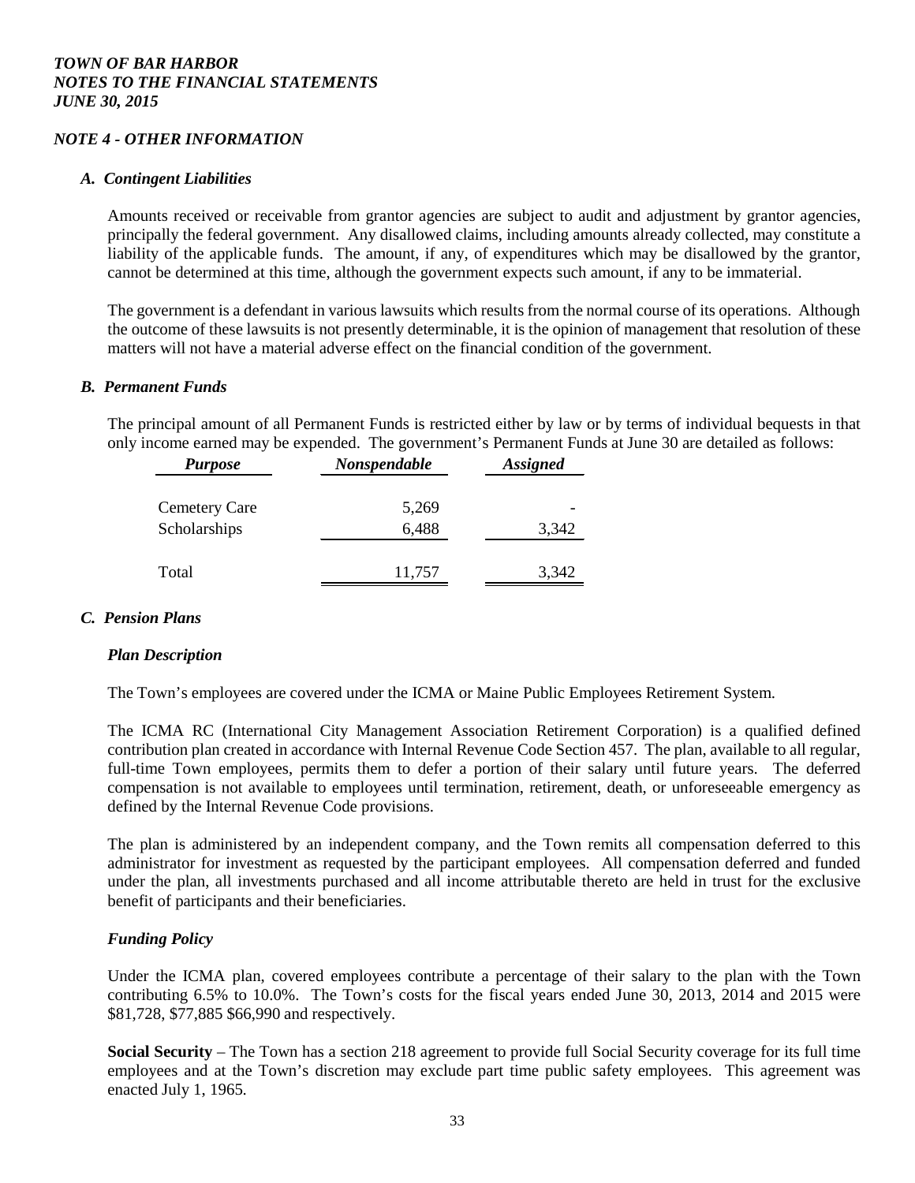#### *NOTE 4 - OTHER INFORMATION*

#### *A. Contingent Liabilities*

Amounts received or receivable from grantor agencies are subject to audit and adjustment by grantor agencies, principally the federal government. Any disallowed claims, including amounts already collected, may constitute a liability of the applicable funds. The amount, if any, of expenditures which may be disallowed by the grantor, cannot be determined at this time, although the government expects such amount, if any to be immaterial.

The government is a defendant in various lawsuits which results from the normal course of its operations. Although the outcome of these lawsuits is not presently determinable, it is the opinion of management that resolution of these matters will not have a material adverse effect on the financial condition of the government.

#### *B. Permanent Funds*

The principal amount of all Permanent Funds is restricted either by law or by terms of individual bequests in that only income earned may be expended. The government's Permanent Funds at June 30 are detailed as follows:

| <b>Purpose</b>       | Nonspendable | <b>Assigned</b> |
|----------------------|--------------|-----------------|
| <b>Cemetery Care</b> | 5,269        |                 |
| Scholarships         | 6,488        | 3,342           |
| Total                | 11,757       | 3,342           |

#### *C. Pension Plans*

#### *Plan Description*

The Town's employees are covered under the ICMA or Maine Public Employees Retirement System.

The ICMA RC (International City Management Association Retirement Corporation) is a qualified defined contribution plan created in accordance with Internal Revenue Code Section 457. The plan, available to all regular, full-time Town employees, permits them to defer a portion of their salary until future years. The deferred compensation is not available to employees until termination, retirement, death, or unforeseeable emergency as defined by the Internal Revenue Code provisions.

The plan is administered by an independent company, and the Town remits all compensation deferred to this administrator for investment as requested by the participant employees. All compensation deferred and funded under the plan, all investments purchased and all income attributable thereto are held in trust for the exclusive benefit of participants and their beneficiaries.

#### *Funding Policy*

Under the ICMA plan, covered employees contribute a percentage of their salary to the plan with the Town contributing 6.5% to 10.0%. The Town's costs for the fiscal years ended June 30, 2013, 2014 and 2015 were \$81,728, \$77,885 \$66,990 and respectively.

**Social Security** – The Town has a section 218 agreement to provide full Social Security coverage for its full time employees and at the Town's discretion may exclude part time public safety employees. This agreement was enacted July 1, 1965.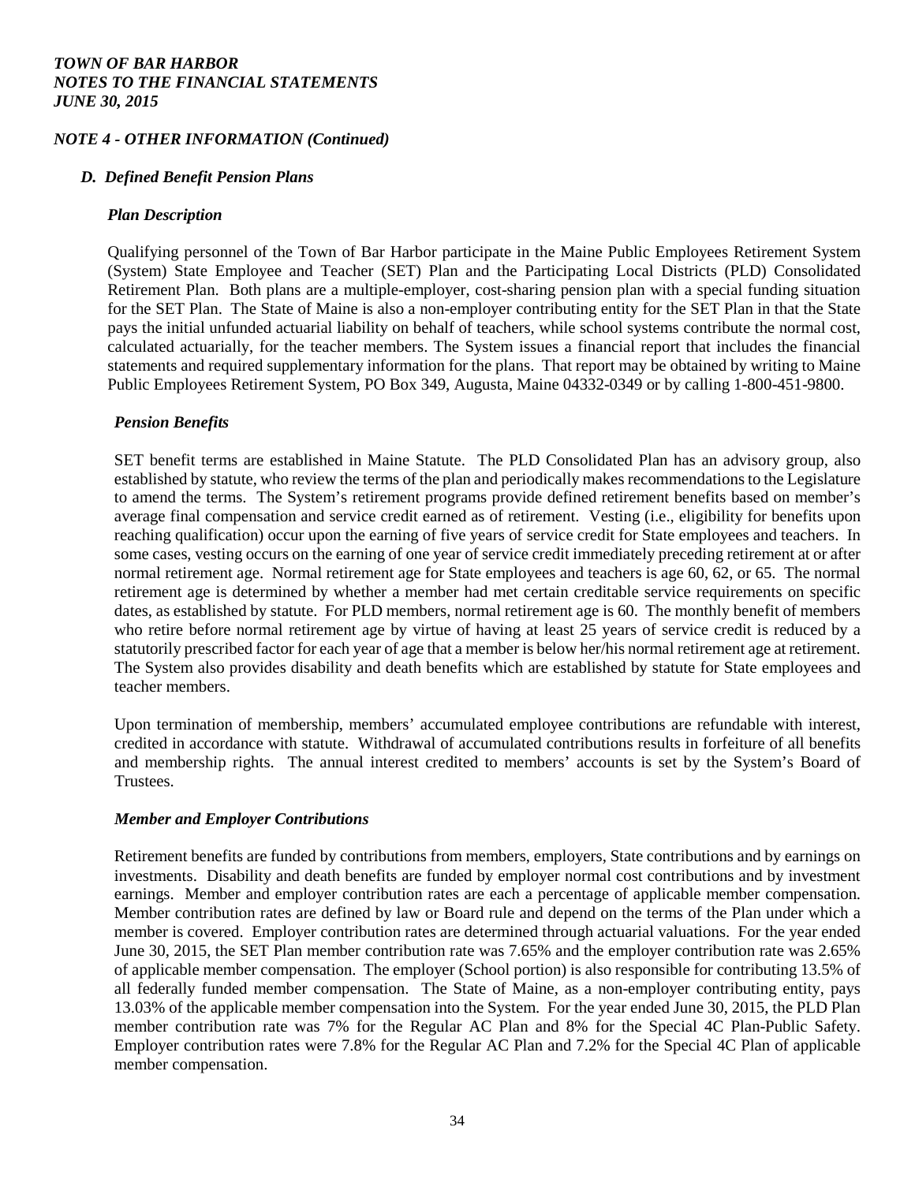### *NOTE 4 - OTHER INFORMATION (Continued)*

#### *D. Defined Benefit Pension Plans*

### *Plan Description*

Qualifying personnel of the Town of Bar Harbor participate in the Maine Public Employees Retirement System (System) State Employee and Teacher (SET) Plan and the Participating Local Districts (PLD) Consolidated Retirement Plan. Both plans are a multiple-employer, cost-sharing pension plan with a special funding situation for the SET Plan. The State of Maine is also a non-employer contributing entity for the SET Plan in that the State pays the initial unfunded actuarial liability on behalf of teachers, while school systems contribute the normal cost, calculated actuarially, for the teacher members. The System issues a financial report that includes the financial statements and required supplementary information for the plans. That report may be obtained by writing to Maine Public Employees Retirement System, PO Box 349, Augusta, Maine 04332-0349 or by calling 1-800-451-9800.

### *Pension Benefits*

SET benefit terms are established in Maine Statute. The PLD Consolidated Plan has an advisory group, also established by statute, who review the terms of the plan and periodically makes recommendations to the Legislature to amend the terms. The System's retirement programs provide defined retirement benefits based on member's average final compensation and service credit earned as of retirement. Vesting (i.e., eligibility for benefits upon reaching qualification) occur upon the earning of five years of service credit for State employees and teachers. In some cases, vesting occurs on the earning of one year of service credit immediately preceding retirement at or after normal retirement age. Normal retirement age for State employees and teachers is age 60, 62, or 65. The normal retirement age is determined by whether a member had met certain creditable service requirements on specific dates, as established by statute. For PLD members, normal retirement age is 60. The monthly benefit of members who retire before normal retirement age by virtue of having at least 25 years of service credit is reduced by a statutorily prescribed factor for each year of age that a member is below her/his normal retirement age at retirement. The System also provides disability and death benefits which are established by statute for State employees and teacher members.

Upon termination of membership, members' accumulated employee contributions are refundable with interest, credited in accordance with statute. Withdrawal of accumulated contributions results in forfeiture of all benefits and membership rights. The annual interest credited to members' accounts is set by the System's Board of Trustees.

#### *Member and Employer Contributions*

Retirement benefits are funded by contributions from members, employers, State contributions and by earnings on investments. Disability and death benefits are funded by employer normal cost contributions and by investment earnings. Member and employer contribution rates are each a percentage of applicable member compensation. Member contribution rates are defined by law or Board rule and depend on the terms of the Plan under which a member is covered. Employer contribution rates are determined through actuarial valuations. For the year ended June 30, 2015, the SET Plan member contribution rate was 7.65% and the employer contribution rate was 2.65% of applicable member compensation. The employer (School portion) is also responsible for contributing 13.5% of all federally funded member compensation. The State of Maine, as a non-employer contributing entity, pays 13.03% of the applicable member compensation into the System. For the year ended June 30, 2015, the PLD Plan member contribution rate was 7% for the Regular AC Plan and 8% for the Special 4C Plan-Public Safety. Employer contribution rates were 7.8% for the Regular AC Plan and 7.2% for the Special 4C Plan of applicable member compensation.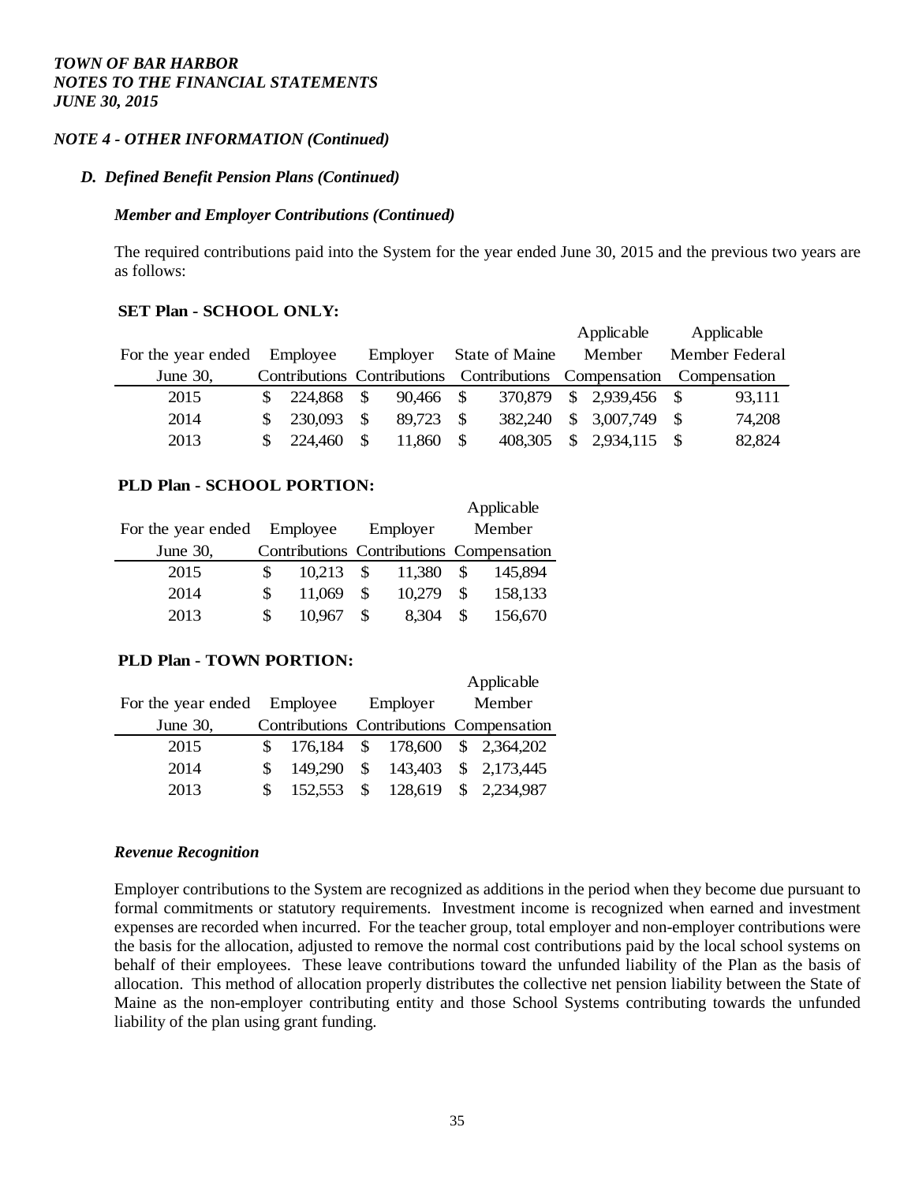## *NOTE 4 - OTHER INFORMATION (Continued)*

#### *D. Defined Benefit Pension Plans (Continued)*

### *Member and Employer Contributions (Continued)*

The required contributions paid into the System for the year ended June 30, 2015 and the previous two years are as follows:

### **SET Plan - SCHOOL ONLY:**

|                             |     |                             |    |             |      |                |               | Applicable      | Applicable                              |
|-----------------------------|-----|-----------------------------|----|-------------|------|----------------|---------------|-----------------|-----------------------------------------|
| For the year ended Employee |     |                             |    | Employer    |      | State of Maine |               | Member          | Member Federal                          |
| June $30$ ,                 |     | Contributions Contributions |    |             |      |                |               |                 | Contributions Compensation Compensation |
| 2015                        | SS. | 224,868 \$                  |    | $90.466$ \$ |      | 370.879        |               | $$2,939,456$ \; | 93,111                                  |
| 2014                        | \$. | 230.093                     | -S | 89.723      | - \$ | 382.240        | <sup>\$</sup> | 3,007,749       | 74,208                                  |
| 2013                        |     | 224.460                     | -S | 11.860      |      | 408.305        |               | \$2,934,115     | 82,824                                  |

### **PLD Plan - SCHOOL PORTION:**

| For the year ended Employee |   |        |     | Employer |     | Applicable<br>Member                     |
|-----------------------------|---|--------|-----|----------|-----|------------------------------------------|
| June $30$ ,                 |   |        |     |          |     | Contributions Contributions Compensation |
| 2015                        | S | 10,213 | \$. | 11,380   | \$. | 145,894                                  |
| 2014                        | S | 11.069 | \$. | 10.279   | \$. | 158,133                                  |
| 2013                        | S | 10.967 |     | 8.304    | \$. | 156,670                                  |

#### **PLD Plan - TOWN PORTION:**

|                             |         |          | Applicable                               |
|-----------------------------|---------|----------|------------------------------------------|
| For the year ended Employee |         | Employer | Member                                   |
| June $30$ ,                 |         |          | Contributions Contributions Compensation |
| 2015                        |         |          | $$176,184$ $$178,600$ $$2,364,202$       |
| 2014                        | 149.290 |          | $$143,403 \quad $2,173,445$              |
| 2013                        |         |          | 152,553 \$ 128,619 \$ 2,234,987          |

#### *Revenue Recognition*

Employer contributions to the System are recognized as additions in the period when they become due pursuant to formal commitments or statutory requirements. Investment income is recognized when earned and investment expenses are recorded when incurred. For the teacher group, total employer and non-employer contributions were the basis for the allocation, adjusted to remove the normal cost contributions paid by the local school systems on behalf of their employees. These leave contributions toward the unfunded liability of the Plan as the basis of allocation. This method of allocation properly distributes the collective net pension liability between the State of Maine as the non-employer contributing entity and those School Systems contributing towards the unfunded liability of the plan using grant funding.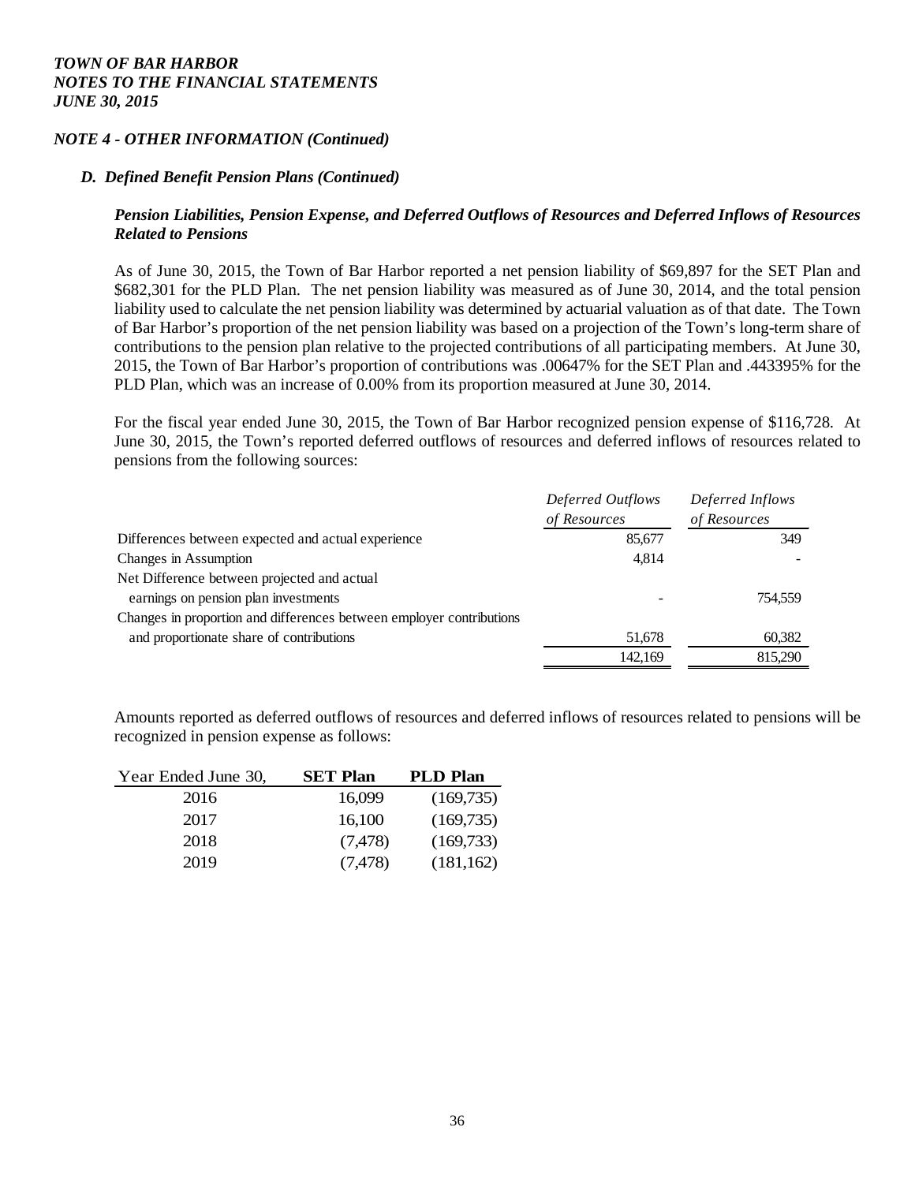## *NOTE 4 - OTHER INFORMATION (Continued)*

## *D. Defined Benefit Pension Plans (Continued)*

## *Pension Liabilities, Pension Expense, and Deferred Outflows of Resources and Deferred Inflows of Resources Related to Pensions*

As of June 30, 2015, the Town of Bar Harbor reported a net pension liability of \$69,897 for the SET Plan and \$682,301 for the PLD Plan. The net pension liability was measured as of June 30, 2014, and the total pension liability used to calculate the net pension liability was determined by actuarial valuation as of that date. The Town of Bar Harbor's proportion of the net pension liability was based on a projection of the Town's long-term share of contributions to the pension plan relative to the projected contributions of all participating members. At June 30, 2015, the Town of Bar Harbor's proportion of contributions was .00647% for the SET Plan and .443395% for the PLD Plan, which was an increase of 0.00% from its proportion measured at June 30, 2014.

For the fiscal year ended June 30, 2015, the Town of Bar Harbor recognized pension expense of \$116,728. At June 30, 2015, the Town's reported deferred outflows of resources and deferred inflows of resources related to pensions from the following sources:

|                                                                      | Deferred Outflows | Deferred Inflows |
|----------------------------------------------------------------------|-------------------|------------------|
|                                                                      | of Resources      | of Resources     |
| Differences between expected and actual experience                   | 85,677            | 349              |
| Changes in Assumption                                                | 4,814             |                  |
| Net Difference between projected and actual                          |                   |                  |
| earnings on pension plan investments                                 |                   | 754.559          |
| Changes in proportion and differences between employer contributions |                   |                  |
| and proportionate share of contributions                             | 51,678            | 60,382           |
|                                                                      | 142,169           | 815,290          |

Amounts reported as deferred outflows of resources and deferred inflows of resources related to pensions will be recognized in pension expense as follows:

| Year Ended June 30, | <b>SET Plan</b> | <b>PLD Plan</b> |
|---------------------|-----------------|-----------------|
| 2016                | 16,099          | (169, 735)      |
| 2017                | 16,100          | (169, 735)      |
| 2018                | (7, 478)        | (169,733)       |
| 2019                | (7, 478)        | (181, 162)      |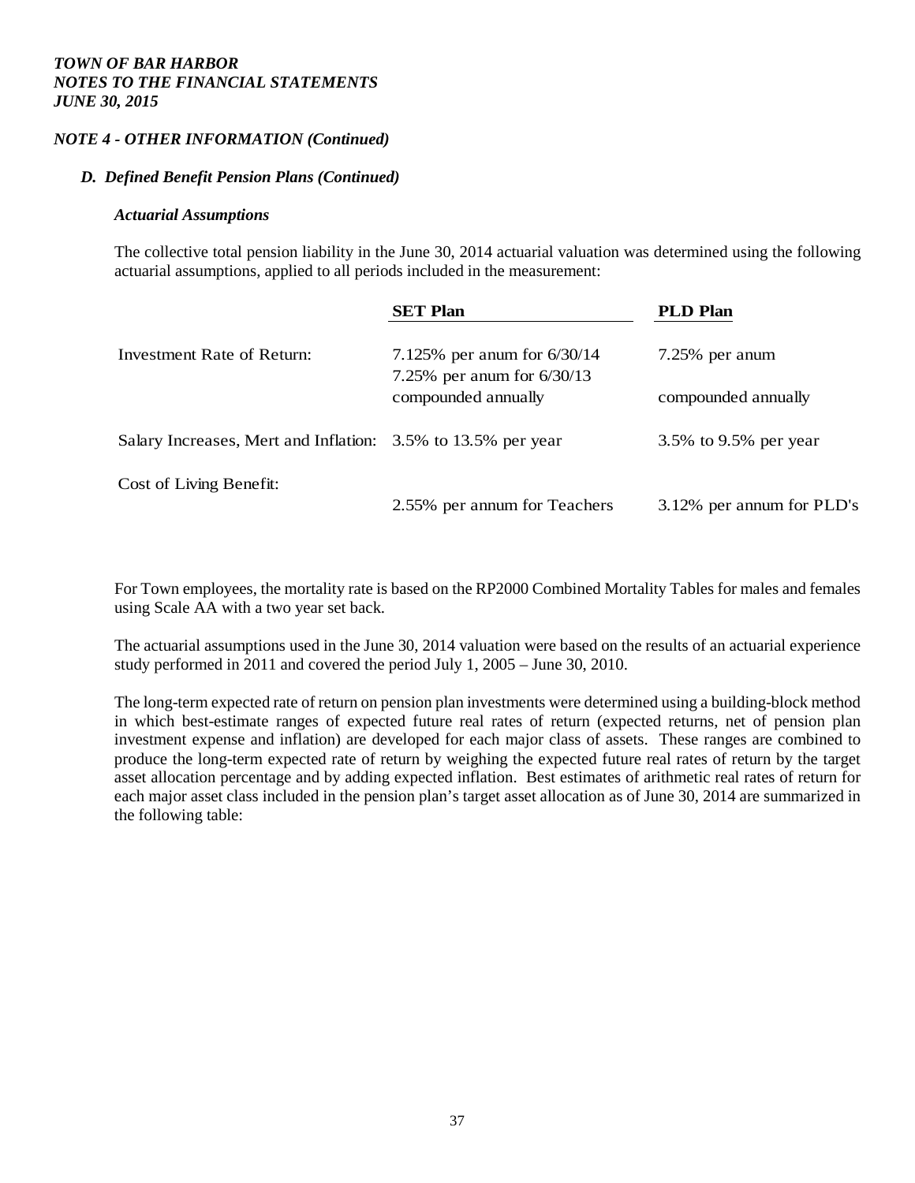## *NOTE 4 - OTHER INFORMATION (Continued)*

#### *D. Defined Benefit Pension Plans (Continued)*

### *Actuarial Assumptions*

The collective total pension liability in the June 30, 2014 actuarial valuation was determined using the following actuarial assumptions, applied to all periods included in the measurement:

|                                                              | <b>SET Plan</b>                                             | <b>PLD Plan</b>           |
|--------------------------------------------------------------|-------------------------------------------------------------|---------------------------|
| Investment Rate of Return:                                   | 7.125% per anum for $6/30/14$<br>7.25% per anum for 6/30/13 | $7.25\%$ per anum         |
|                                                              | compounded annually                                         | compounded annually       |
| Salary Increases, Mert and Inflation: 3.5% to 13.5% per year |                                                             | 3.5% to 9.5% per year     |
| Cost of Living Benefit:                                      |                                                             |                           |
|                                                              | 2.55% per annum for Teachers                                | 3.12% per annum for PLD's |

For Town employees, the mortality rate is based on the RP2000 Combined Mortality Tables for males and females using Scale AA with a two year set back.

The actuarial assumptions used in the June 30, 2014 valuation were based on the results of an actuarial experience study performed in 2011 and covered the period July 1, 2005 – June 30, 2010.

The long-term expected rate of return on pension plan investments were determined using a building-block method in which best-estimate ranges of expected future real rates of return (expected returns, net of pension plan investment expense and inflation) are developed for each major class of assets. These ranges are combined to produce the long-term expected rate of return by weighing the expected future real rates of return by the target asset allocation percentage and by adding expected inflation. Best estimates of arithmetic real rates of return for each major asset class included in the pension plan's target asset allocation as of June 30, 2014 are summarized in the following table: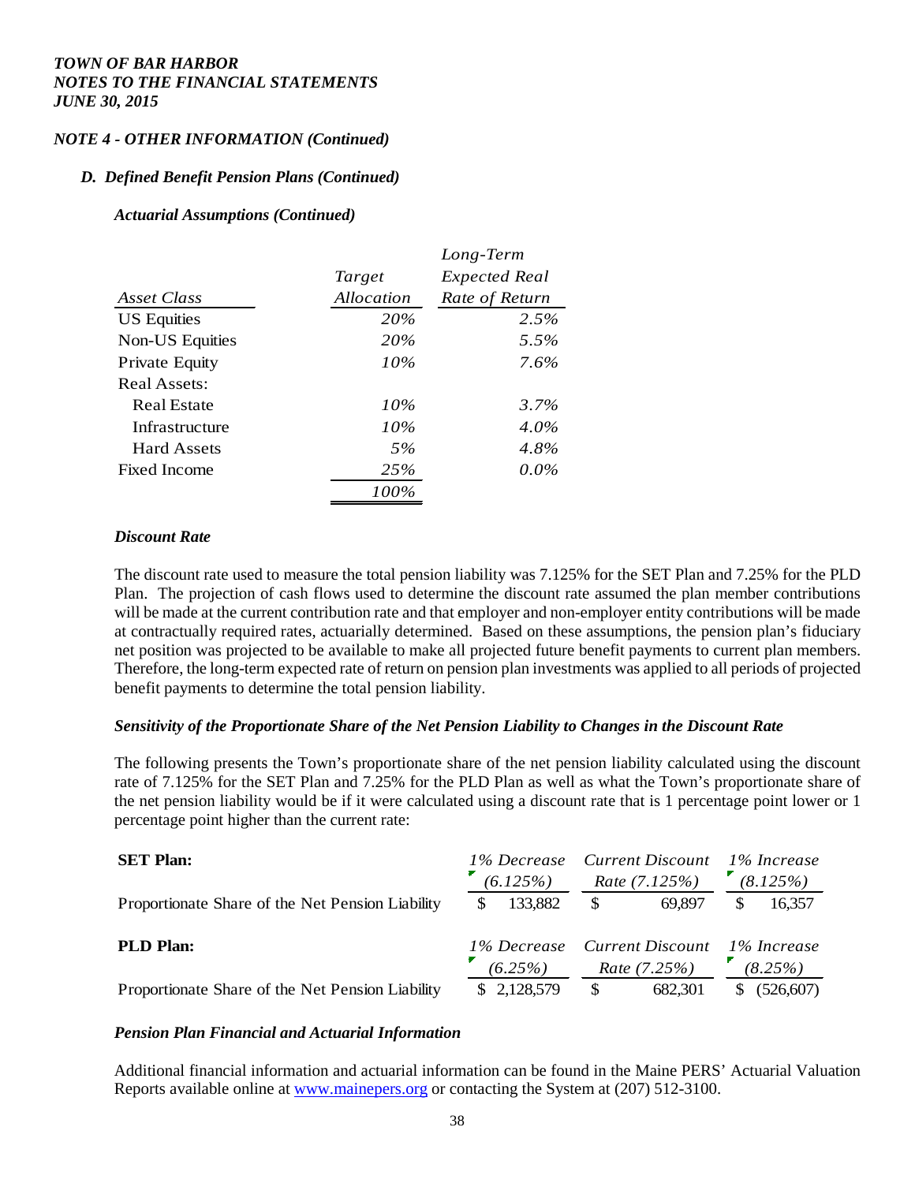## *NOTE 4 - OTHER INFORMATION (Continued)*

#### *D. Defined Benefit Pension Plans (Continued)*

### *Actuarial Assumptions (Continued)*

|                        |            | Long-Term            |
|------------------------|------------|----------------------|
|                        | Target     | <b>Expected Real</b> |
| Asset Class            | Allocation | Rate of Return       |
| <b>US Equities</b>     | 20%        | 2.5%                 |
| <b>Non-US Equities</b> | 20%        | 5.5%                 |
| Private Equity         | 10%        | 7.6%                 |
| <b>Real Assets:</b>    |            |                      |
| <b>Real Estate</b>     | 10%        | $3.7\%$              |
| Infrastructure         | 10%        | $4.0\%$              |
| <b>Hard Assets</b>     | 5%         | 4.8%                 |
| Fixed Income           | 25%        | $0.0\%$              |
|                        | 100%       |                      |

#### *Discount Rate*

The discount rate used to measure the total pension liability was 7.125% for the SET Plan and 7.25% for the PLD Plan. The projection of cash flows used to determine the discount rate assumed the plan member contributions will be made at the current contribution rate and that employer and non-employer entity contributions will be made at contractually required rates, actuarially determined. Based on these assumptions, the pension plan's fiduciary net position was projected to be available to make all projected future benefit payments to current plan members. Therefore, the long-term expected rate of return on pension plan investments was applied to all periods of projected benefit payments to determine the total pension liability.

#### *Sensitivity of the Proportionate Share of the Net Pension Liability to Changes in the Discount Rate*

The following presents the Town's proportionate share of the net pension liability calculated using the discount rate of 7.125% for the SET Plan and 7.25% for the PLD Plan as well as what the Town's proportionate share of the net pension liability would be if it were calculated using a discount rate that is 1 percentage point lower or 1 percentage point higher than the current rate:

| <b>SET Plan:</b>                                 |     |             |               | 1% Decrease Current Discount |     | 1% Increase  |
|--------------------------------------------------|-----|-------------|---------------|------------------------------|-----|--------------|
|                                                  |     | (6.125%)    |               | <i>Rate</i> $(7.125%)$       |     | (8.125%)     |
| Proportionate Share of the Net Pension Liability | \$. | 133,882     | <sup>\$</sup> | 69.897                       | \$. | 16.357       |
|                                                  |     |             |               |                              |     |              |
| <b>PLD Plan:</b>                                 |     |             |               | 1% Decrease Current Discount |     | 1% Increase  |
|                                                  |     | $(6.25\%)$  |               | <i>Rate</i> $(7.25%)$        |     | $(8.25\%)$   |
| Proportionate Share of the Net Pension Liability |     | \$2,128,579 | <sup>\$</sup> | 682.301                      |     | \$ (526,607) |

#### *Pension Plan Financial and Actuarial Information*

Additional financial information and actuarial information can be found in the Maine PERS' Actuarial Valuation Reports available online at [www.mainepers.org](http://www.mainepers.org/) or contacting the System at (207) 512-3100.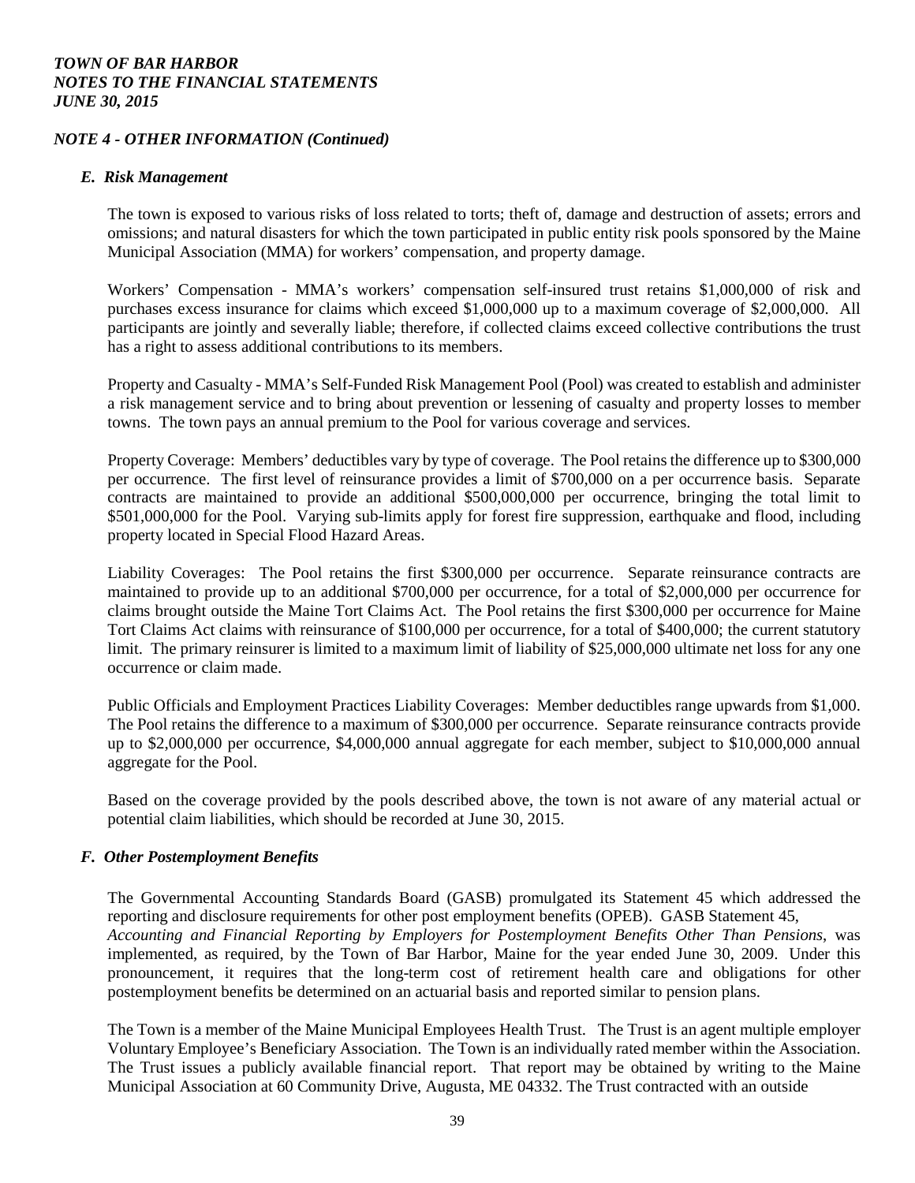### *NOTE 4 - OTHER INFORMATION (Continued)*

#### *E. Risk Management*

The town is exposed to various risks of loss related to torts; theft of, damage and destruction of assets; errors and omissions; and natural disasters for which the town participated in public entity risk pools sponsored by the Maine Municipal Association (MMA) for workers' compensation, and property damage.

Workers' Compensation - MMA's workers' compensation self-insured trust retains \$1,000,000 of risk and purchases excess insurance for claims which exceed \$1,000,000 up to a maximum coverage of \$2,000,000. All participants are jointly and severally liable; therefore, if collected claims exceed collective contributions the trust has a right to assess additional contributions to its members.

Property and Casualty - MMA's Self-Funded Risk Management Pool (Pool) was created to establish and administer a risk management service and to bring about prevention or lessening of casualty and property losses to member towns. The town pays an annual premium to the Pool for various coverage and services.

Property Coverage: Members' deductibles vary by type of coverage. The Pool retains the difference up to \$300,000 per occurrence. The first level of reinsurance provides a limit of \$700,000 on a per occurrence basis. Separate contracts are maintained to provide an additional \$500,000,000 per occurrence, bringing the total limit to \$501,000,000 for the Pool. Varying sub-limits apply for forest fire suppression, earthquake and flood, including property located in Special Flood Hazard Areas.

Liability Coverages: The Pool retains the first \$300,000 per occurrence. Separate reinsurance contracts are maintained to provide up to an additional \$700,000 per occurrence, for a total of \$2,000,000 per occurrence for claims brought outside the Maine Tort Claims Act. The Pool retains the first \$300,000 per occurrence for Maine Tort Claims Act claims with reinsurance of \$100,000 per occurrence, for a total of \$400,000; the current statutory limit. The primary reinsurer is limited to a maximum limit of liability of \$25,000,000 ultimate net loss for any one occurrence or claim made.

Public Officials and Employment Practices Liability Coverages: Member deductibles range upwards from \$1,000. The Pool retains the difference to a maximum of \$300,000 per occurrence. Separate reinsurance contracts provide up to \$2,000,000 per occurrence, \$4,000,000 annual aggregate for each member, subject to \$10,000,000 annual aggregate for the Pool.

Based on the coverage provided by the pools described above, the town is not aware of any material actual or potential claim liabilities, which should be recorded at June 30, 2015.

## *F. Other Postemployment Benefits*

The Governmental Accounting Standards Board (GASB) promulgated its Statement 45 which addressed the reporting and disclosure requirements for other post employment benefits (OPEB). GASB Statement 45, *Accounting and Financial Reporting by Employers for Postemployment Benefits Other Than Pensions*, was implemented, as required, by the Town of Bar Harbor, Maine for the year ended June 30, 2009. Under this pronouncement, it requires that the long-term cost of retirement health care and obligations for other postemployment benefits be determined on an actuarial basis and reported similar to pension plans.

The Town is a member of the Maine Municipal Employees Health Trust. The Trust is an agent multiple employer Voluntary Employee's Beneficiary Association. The Town is an individually rated member within the Association. The Trust issues a publicly available financial report. That report may be obtained by writing to the Maine Municipal Association at 60 Community Drive, Augusta, ME 04332. The Trust contracted with an outside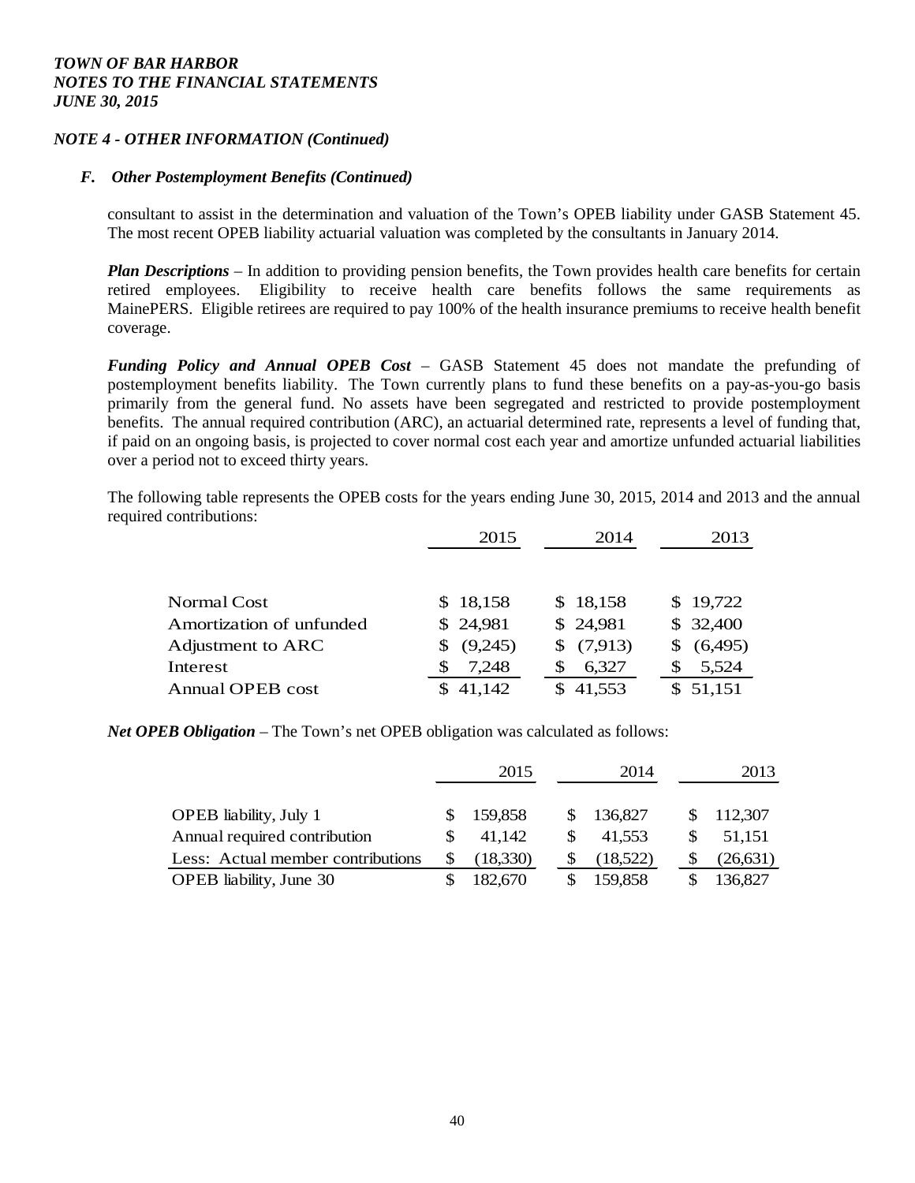### *NOTE 4 - OTHER INFORMATION (Continued)*

#### *F. Other Postemployment Benefits (Continued)*

consultant to assist in the determination and valuation of the Town's OPEB liability under GASB Statement 45. The most recent OPEB liability actuarial valuation was completed by the consultants in January 2014.

*Plan Descriptions* – In addition to providing pension benefits, the Town provides health care benefits for certain retired employees. Eligibility to receive health care benefits follows the same requirements as MainePERS. Eligible retirees are required to pay 100% of the health insurance premiums to receive health benefit coverage.

*Funding Policy and Annual OPEB Cost* – GASB Statement 45 does not mandate the prefunding of postemployment benefits liability. The Town currently plans to fund these benefits on a pay-as-you-go basis primarily from the general fund. No assets have been segregated and restricted to provide postemployment benefits. The annual required contribution (ARC), an actuarial determined rate, represents a level of funding that, if paid on an ongoing basis, is projected to cover normal cost each year and amortize unfunded actuarial liabilities over a period not to exceed thirty years.

The following table represents the OPEB costs for the years ending June 30, 2015, 2014 and 2013 and the annual required contributions:

|                          | 2015     | 2014      | 2013          |
|--------------------------|----------|-----------|---------------|
|                          |          |           |               |
|                          |          |           |               |
| Normal Cost              | \$18,158 | \$18,158  | \$19,722      |
| Amortization of unfunded | \$24,981 | \$24,981  | \$32,400      |
| Adjustment to ARC        | (9,245)  | \$(7,913) | (6,495)<br>S. |
| Interest                 | 7,248    | 6,327     | 5,524<br>S    |
| Annual OPEB cost         | 41,142   | \$41,553  | \$51,151      |

*Net OPEB Obligation* – The Town's net OPEB obligation was calculated as follows:

|                                   | 2015     | 2014     |               | 2013      |
|-----------------------------------|----------|----------|---------------|-----------|
| <b>OPEB</b> liability, July 1     | 159,858  | 136,827  |               | 112,307   |
| Annual required contribution      | 41,142   | 41,553   |               | 51,151    |
| Less: Actual member contributions | (18,330) | (18,522) | <sup>\$</sup> | (26, 631) |
| <b>OPEB</b> liability, June 30    | 182,670  | 159,858  |               | 136,827   |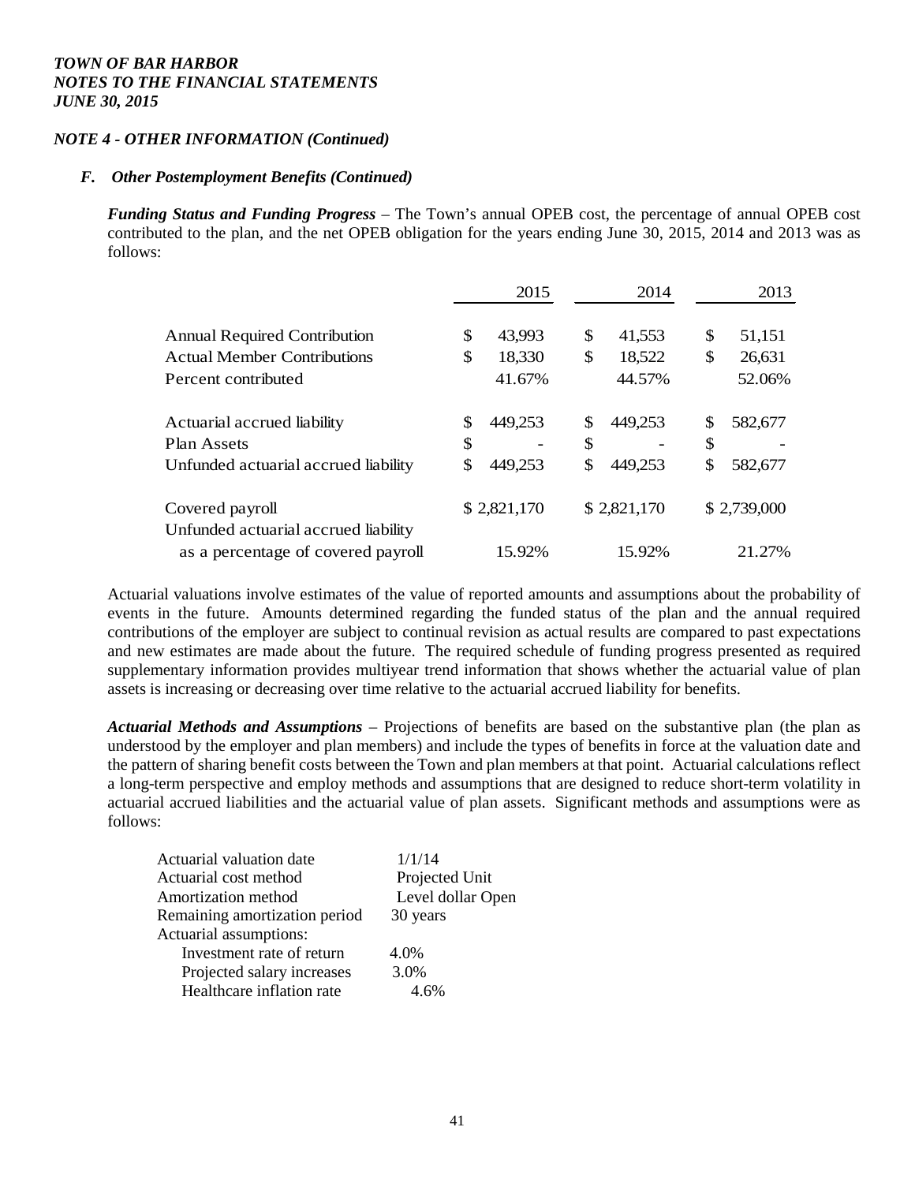## *NOTE 4 - OTHER INFORMATION (Continued)*

#### *F. Other Postemployment Benefits (Continued)*

*Funding Status and Funding Progress* – The Town's annual OPEB cost, the percentage of annual OPEB cost contributed to the plan, and the net OPEB obligation for the years ending June 30, 2015, 2014 and 2013 was as follows:

|                                      | 2015          | 2014          |    | 2013        |
|--------------------------------------|---------------|---------------|----|-------------|
| <b>Annual Required Contribution</b>  | \$<br>43,993  | \$<br>41,553  | \$ | 51,151      |
| <b>Actual Member Contributions</b>   | \$<br>18,330  | \$<br>18,522  | \$ | 26,631      |
| Percent contributed                  | 41.67%        | 44.57%        |    | 52.06%      |
| Actuarial accrued liability          | \$<br>449,253 | \$<br>449,253 | S  | 582,677     |
| <b>Plan Assets</b>                   | \$            | \$            | \$ |             |
| Unfunded actuarial accrued liability | \$<br>449,253 | \$<br>449,253 | \$ | 582,677     |
| Covered payroll                      | \$2,821,170   | \$2,821,170   |    | \$2,739,000 |
| Unfunded actuarial accrued liability |               |               |    |             |
| as a percentage of covered payroll   | 15.92%        | 15.92%        |    | 21.27%      |

Actuarial valuations involve estimates of the value of reported amounts and assumptions about the probability of events in the future. Amounts determined regarding the funded status of the plan and the annual required contributions of the employer are subject to continual revision as actual results are compared to past expectations and new estimates are made about the future. The required schedule of funding progress presented as required supplementary information provides multiyear trend information that shows whether the actuarial value of plan assets is increasing or decreasing over time relative to the actuarial accrued liability for benefits.

*Actuarial Methods and Assumptions* – Projections of benefits are based on the substantive plan (the plan as understood by the employer and plan members) and include the types of benefits in force at the valuation date and the pattern of sharing benefit costs between the Town and plan members at that point. Actuarial calculations reflect a long-term perspective and employ methods and assumptions that are designed to reduce short-term volatility in actuarial accrued liabilities and the actuarial value of plan assets. Significant methods and assumptions were as follows:

| Actuarial valuation date      | 1/1/14            |
|-------------------------------|-------------------|
| Actuarial cost method         | Projected Unit    |
| Amortization method           | Level dollar Open |
| Remaining amortization period | 30 years          |
| Actuarial assumptions:        |                   |
| Investment rate of return     | 4.0%              |
| Projected salary increases    | 3.0%              |
| Healthcare inflation rate     |                   |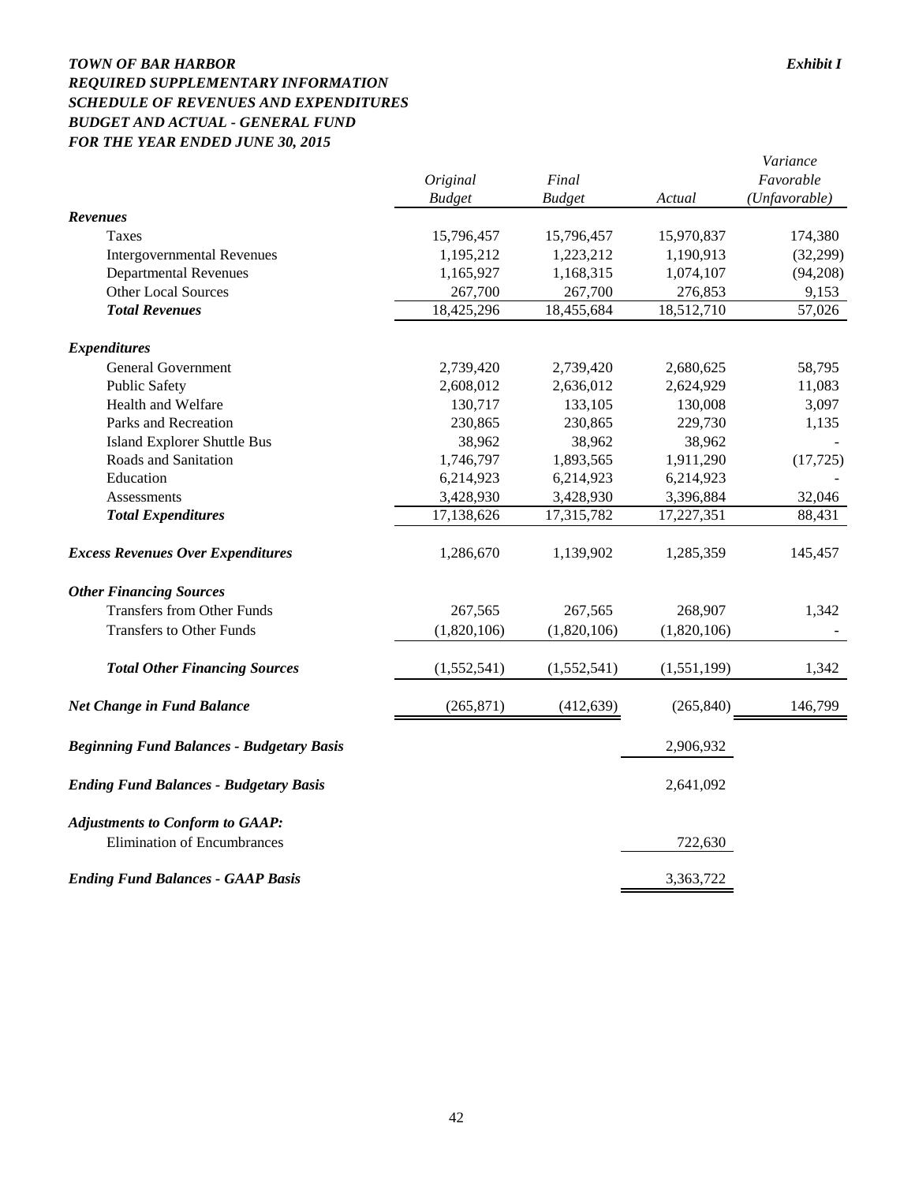## *TOWN OF BAR HARBOR Exhibit I REQUIRED SUPPLEMENTARY INFORMATION SCHEDULE OF REVENUES AND EXPENDITURES BUDGET AND ACTUAL - GENERAL FUND FOR THE YEAR ENDED JUNE 30, 2015*

|                                                  | Original      | Final         |             | Variance<br>Favorable |
|--------------------------------------------------|---------------|---------------|-------------|-----------------------|
|                                                  | <b>Budget</b> | <b>Budget</b> | Actual      | (Unfavorable)         |
| <b>Revenues</b>                                  |               |               |             |                       |
| Taxes                                            | 15,796,457    | 15,796,457    | 15,970,837  | 174,380               |
| <b>Intergovernmental Revenues</b>                | 1,195,212     | 1,223,212     | 1,190,913   | (32, 299)             |
| <b>Departmental Revenues</b>                     | 1,165,927     | 1,168,315     | 1,074,107   | (94,208)              |
| Other Local Sources                              | 267,700       | 267,700       | 276,853     | 9,153                 |
| <b>Total Revenues</b>                            | 18,425,296    | 18,455,684    | 18,512,710  | 57,026                |
| <b>Expenditures</b>                              |               |               |             |                       |
| General Government                               | 2,739,420     | 2,739,420     | 2,680,625   | 58,795                |
| <b>Public Safety</b>                             | 2,608,012     | 2,636,012     | 2,624,929   | 11,083                |
| Health and Welfare                               | 130,717       | 133,105       | 130,008     | 3,097                 |
| Parks and Recreation                             | 230,865       | 230,865       | 229,730     | 1,135                 |
| <b>Island Explorer Shuttle Bus</b>               | 38,962        | 38,962        | 38,962      |                       |
| Roads and Sanitation                             | 1,746,797     | 1,893,565     | 1,911,290   | (17, 725)             |
| Education                                        | 6,214,923     | 6,214,923     | 6,214,923   |                       |
| Assessments                                      | 3,428,930     | 3,428,930     | 3,396,884   | 32,046                |
| <b>Total Expenditures</b>                        | 17,138,626    | 17,315,782    | 17,227,351  | 88,431                |
| <b>Excess Revenues Over Expenditures</b>         | 1,286,670     | 1,139,902     | 1,285,359   | 145,457               |
| <b>Other Financing Sources</b>                   |               |               |             |                       |
| <b>Transfers from Other Funds</b>                | 267,565       | 267,565       | 268,907     | 1,342                 |
| <b>Transfers to Other Funds</b>                  | (1,820,106)   | (1,820,106)   | (1,820,106) |                       |
| <b>Total Other Financing Sources</b>             | (1, 552, 541) | (1, 552, 541) | (1,551,199) | 1,342                 |
| <b>Net Change in Fund Balance</b>                | (265, 871)    | (412, 639)    | (265, 840)  | 146,799               |
| <b>Beginning Fund Balances - Budgetary Basis</b> |               |               | 2,906,932   |                       |
| <b>Ending Fund Balances - Budgetary Basis</b>    |               |               | 2,641,092   |                       |
| <b>Adjustments to Conform to GAAP:</b>           |               |               |             |                       |
| <b>Elimination of Encumbrances</b>               |               |               | 722,630     |                       |
| <b>Ending Fund Balances - GAAP Basis</b>         |               |               | 3,363,722   |                       |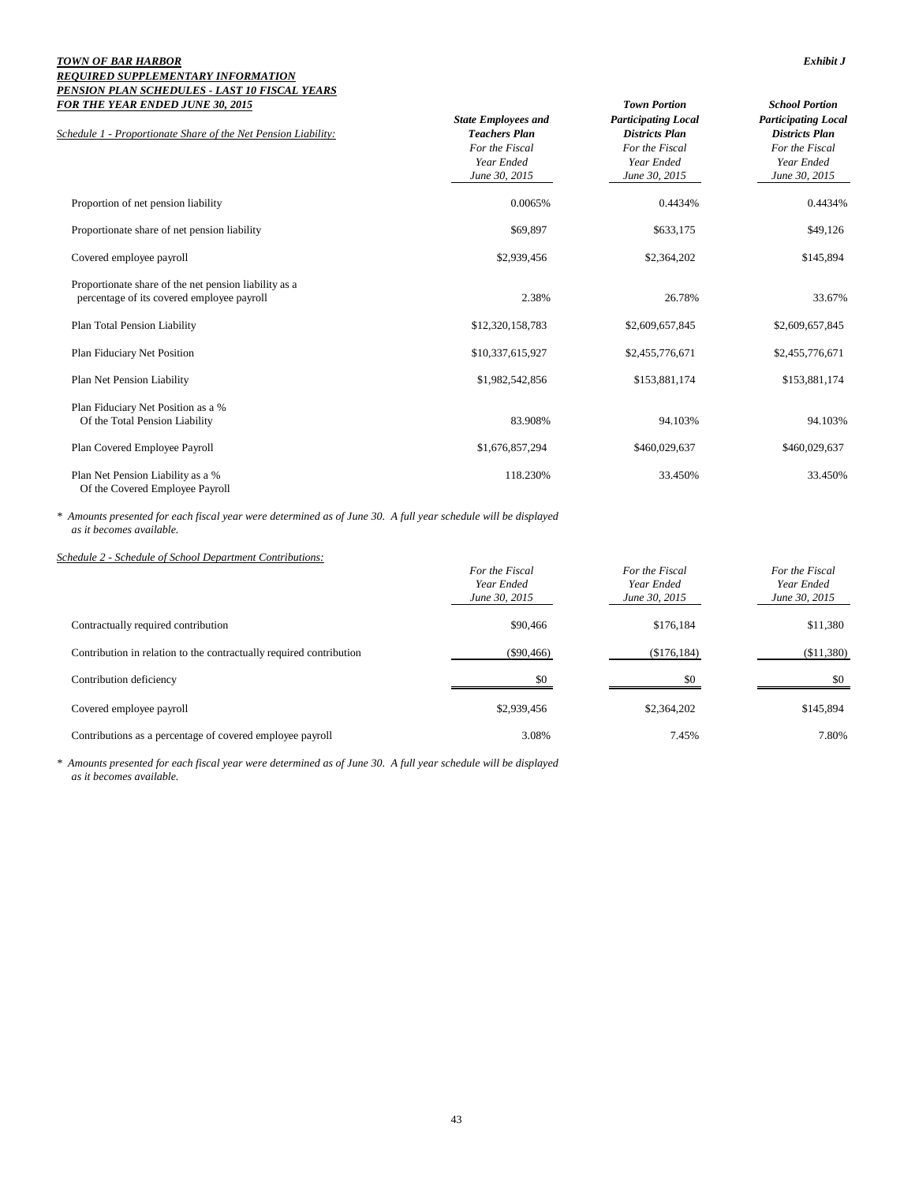## *TOWN OF BAR HARBOR Exhibit J REQUIRED SUPPLEMENTARY INFORMATION PENSION PLAN SCHEDULES - LAST 10 FISCAL YEARS*

| FOR THE YEAR ENDED JUNE 30, 2015                                                                    |                                                                                    | <b>Town Portion</b>                                                                 | <b>School Portion</b>                                                               |
|-----------------------------------------------------------------------------------------------------|------------------------------------------------------------------------------------|-------------------------------------------------------------------------------------|-------------------------------------------------------------------------------------|
| Schedule 1 - Proportionate Share of the Net Pension Liability:                                      | <b>State Employees and</b><br><b>Teachers Plan</b><br>For the Fiscal<br>Year Ended | <b>Participating Local</b><br><b>Districts Plan</b><br>For the Fiscal<br>Year Ended | <b>Participating Local</b><br><b>Districts Plan</b><br>For the Fiscal<br>Year Ended |
|                                                                                                     | June 30, 2015                                                                      | June 30, 2015                                                                       | June 30, 2015                                                                       |
| Proportion of net pension liability                                                                 | 0.0065%                                                                            | 0.4434%                                                                             | 0.4434%                                                                             |
| Proportionate share of net pension liability                                                        | \$69,897                                                                           | \$633,175                                                                           | \$49,126                                                                            |
| Covered employee payroll                                                                            | \$2,939,456                                                                        | \$2,364,202                                                                         | \$145,894                                                                           |
| Proportionate share of the net pension liability as a<br>percentage of its covered employee payroll | 2.38%                                                                              | 26.78%                                                                              | 33.67%                                                                              |
| Plan Total Pension Liability                                                                        | \$12,320,158,783                                                                   | \$2,609,657,845                                                                     | \$2,609,657,845                                                                     |
| Plan Fiduciary Net Position                                                                         | \$10,337,615,927                                                                   | \$2,455,776,671                                                                     | \$2,455,776,671                                                                     |
| Plan Net Pension Liability                                                                          | \$1,982,542,856                                                                    | \$153,881,174                                                                       | \$153,881,174                                                                       |
| Plan Fiduciary Net Position as a %<br>Of the Total Pension Liability                                | 83.908%                                                                            | 94.103%                                                                             | 94.103%                                                                             |
| Plan Covered Employee Payroll                                                                       | \$1,676,857,294                                                                    | \$460,029,637                                                                       | \$460,029,637                                                                       |
| Plan Net Pension Liability as a %<br>Of the Covered Employee Payroll                                | 118.230%                                                                           | 33.450%                                                                             | 33.450%                                                                             |

*\* Amounts presented for each fiscal year were determined as of June 30. A full year schedule will be displayed as it becomes available.*

#### *Schedule 2 - Schedule of School Department Contributions:*

|                                                                     | For the Fiscal<br>Year Ended<br>June 30, 2015 | For the Fiscal<br>Year Ended<br>June 30, 2015 | For the Fiscal<br>Year Ended<br>June 30, 2015 |
|---------------------------------------------------------------------|-----------------------------------------------|-----------------------------------------------|-----------------------------------------------|
| Contractually required contribution                                 | \$90,466                                      | \$176,184                                     | \$11,380                                      |
| Contribution in relation to the contractually required contribution | $($ \$90,466)                                 | (\$176,184)                                   | (\$11,380)                                    |
| Contribution deficiency                                             | \$0                                           | \$0                                           | \$0                                           |
| Covered employee payroll                                            | \$2,939,456                                   | \$2,364,202                                   | \$145,894                                     |
| Contributions as a percentage of covered employee payroll           | 3.08%                                         | 7.45%                                         | 7.80%                                         |

*\* Amounts presented for each fiscal year were determined as of June 30. A full year schedule will be displayed as it becomes available.*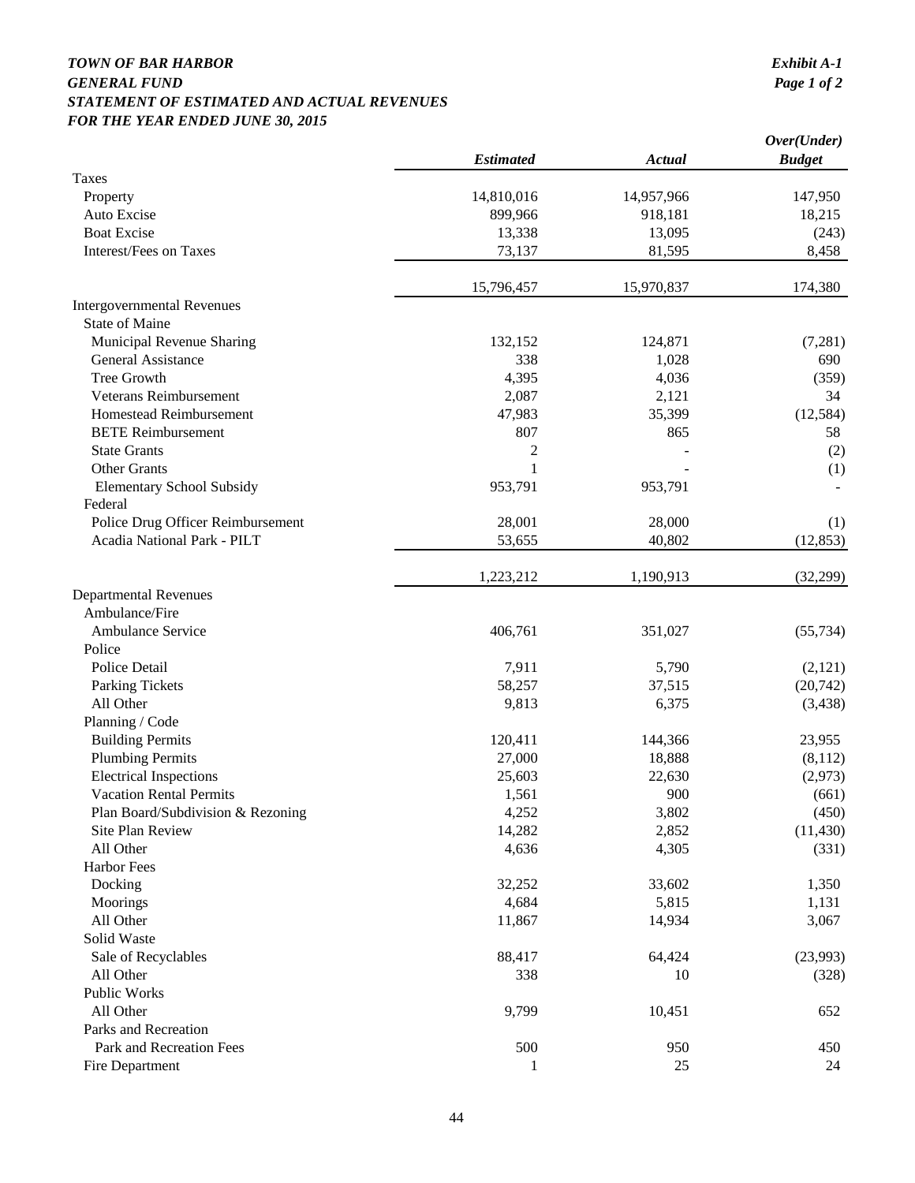## *TOWN OF BAR HARBOR Exhibit A-1 GENERAL FUND STATEMENT OF ESTIMATED AND ACTUAL REVENUES FOR THE YEAR ENDED JUNE 30, 2015*

|                                              |                  |            | Over(Under)   |
|----------------------------------------------|------------------|------------|---------------|
|                                              | <b>Estimated</b> | Actual     | <b>Budget</b> |
| <b>Taxes</b>                                 |                  |            |               |
| Property                                     | 14,810,016       | 14,957,966 | 147,950       |
| Auto Excise                                  | 899,966          | 918,181    | 18,215        |
| <b>Boat Excise</b>                           | 13,338           | 13,095     | (243)         |
| Interest/Fees on Taxes                       | 73,137           | 81,595     | 8,458         |
|                                              | 15,796,457       | 15,970,837 | 174,380       |
| <b>Intergovernmental Revenues</b>            |                  |            |               |
| <b>State of Maine</b>                        |                  |            |               |
| Municipal Revenue Sharing                    | 132,152          | 124,871    | (7,281)       |
| General Assistance                           | 338              | 1,028      | 690           |
| Tree Growth                                  | 4,395            | 4,036      | (359)         |
| Veterans Reimbursement                       | 2,087            | 2,121      | 34            |
| Homestead Reimbursement                      | 47,983           | 35,399     | (12, 584)     |
| <b>BETE Reimbursement</b>                    | 807              | 865        | 58            |
| <b>State Grants</b>                          | 2                |            | (2)           |
| <b>Other Grants</b>                          | 1                |            | (1)           |
| <b>Elementary School Subsidy</b>             | 953,791          | 953,791    |               |
| Federal<br>Police Drug Officer Reimbursement | 28,001           | 28,000     | (1)           |
| Acadia National Park - PILT                  | 53,655           | 40,802     | (12, 853)     |
|                                              |                  |            |               |
|                                              | 1,223,212        | 1,190,913  | (32, 299)     |
| <b>Departmental Revenues</b>                 |                  |            |               |
| Ambulance/Fire                               |                  |            |               |
| Ambulance Service                            | 406,761          | 351,027    | (55, 734)     |
| Police                                       |                  |            |               |
| Police Detail                                | 7,911            | 5,790      | (2,121)       |
| Parking Tickets                              | 58,257           | 37,515     | (20, 742)     |
| All Other                                    | 9,813            | 6,375      | (3, 438)      |
| Planning / Code                              |                  |            |               |
| <b>Building Permits</b>                      | 120,411          | 144,366    | 23,955        |
| <b>Plumbing Permits</b>                      | 27,000           | 18,888     | (8,112)       |
| <b>Electrical Inspections</b>                | 25,603           | 22,630     | (2,973)       |
| <b>Vacation Rental Permits</b>               | 1,561            | 900        | (661)         |
| Plan Board/Subdivision & Rezoning            | 4,252            | 3,802      | (450)         |
| Site Plan Review                             | 14,282           | 2,852      | (11, 430)     |
| All Other                                    | 4,636            | 4,305      | (331)         |
| Harbor Fees                                  |                  |            |               |
| Docking                                      | 32,252           | 33,602     | 1,350         |
| Moorings                                     | 4,684            | 5,815      | 1,131         |
| All Other                                    | 11,867           | 14,934     | 3,067         |
| Solid Waste                                  |                  |            |               |
| Sale of Recyclables                          | 88,417           | 64,424     | (23,993)      |
| All Other                                    | 338              | 10         | (328)         |
| Public Works                                 |                  |            |               |
| All Other                                    | 9,799            | 10,451     | 652           |
| Parks and Recreation                         |                  |            |               |
| Park and Recreation Fees                     | 500              | 950        | 450           |
| Fire Department                              | $\mathbf{1}$     | 25         | 24            |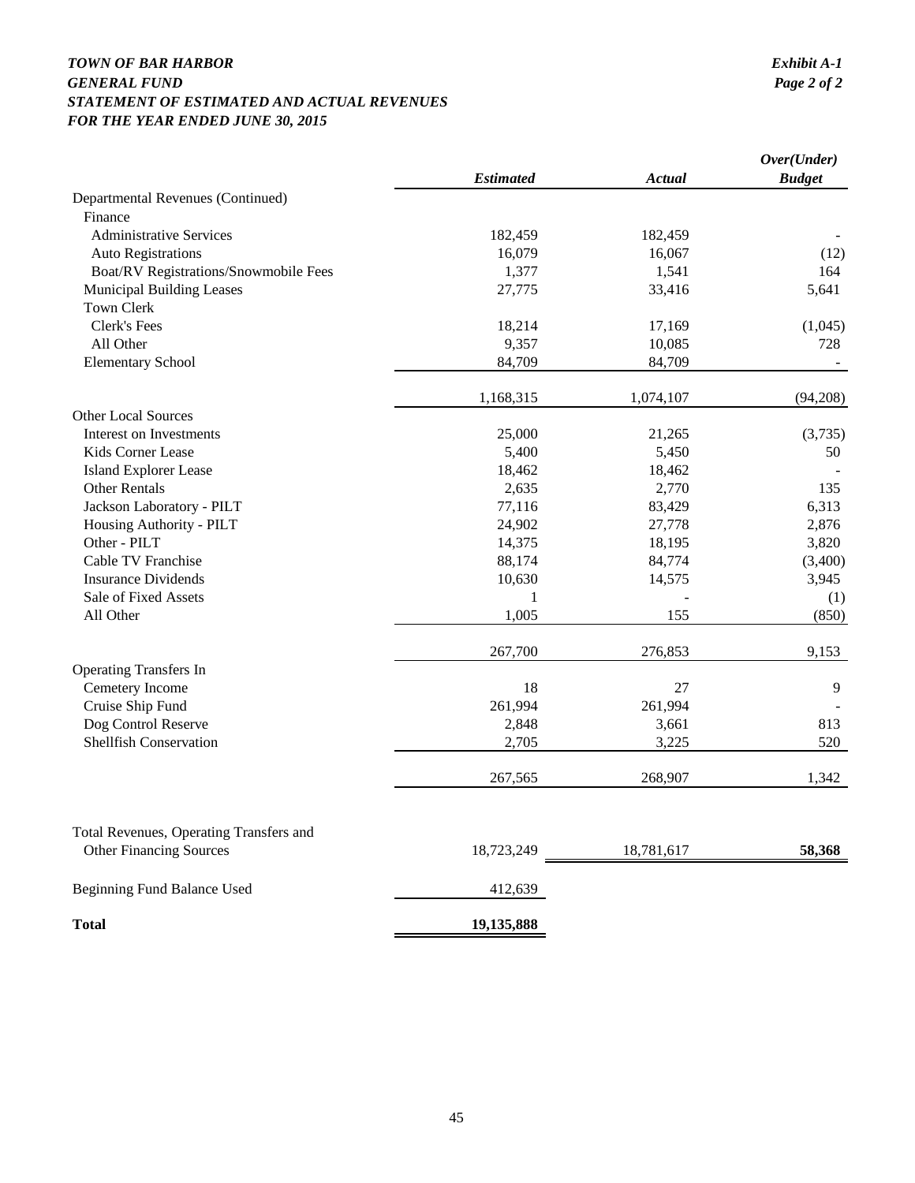## *TOWN OF BAR HARBOR Exhibit A-1 GENERAL FUND STATEMENT OF ESTIMATED AND ACTUAL REVENUES FOR THE YEAR ENDED JUNE 30, 2015*

|                                                                           |                  |               | Over(Under)   |
|---------------------------------------------------------------------------|------------------|---------------|---------------|
|                                                                           | <b>Estimated</b> | <b>Actual</b> | <b>Budget</b> |
| Departmental Revenues (Continued)                                         |                  |               |               |
| Finance                                                                   |                  |               |               |
| <b>Administrative Services</b>                                            | 182,459          | 182,459       |               |
| <b>Auto Registrations</b>                                                 | 16,079           | 16,067        | (12)          |
| Boat/RV Registrations/Snowmobile Fees                                     | 1,377            | 1,541         | 164           |
| Municipal Building Leases                                                 | 27,775           | 33,416        | 5,641         |
| <b>Town Clerk</b>                                                         |                  |               |               |
| Clerk's Fees                                                              | 18,214           | 17,169        | (1,045)       |
| All Other                                                                 | 9,357            | 10,085        | 728           |
| <b>Elementary School</b>                                                  | 84,709           | 84,709        |               |
|                                                                           | 1,168,315        | 1,074,107     | (94,208)      |
| <b>Other Local Sources</b>                                                |                  |               |               |
| Interest on Investments                                                   | 25,000           | 21,265        | (3,735)       |
| Kids Corner Lease                                                         | 5,400            | 5,450         | 50            |
| <b>Island Explorer Lease</b>                                              | 18,462           | 18,462        |               |
| <b>Other Rentals</b>                                                      | 2,635            | 2,770         | 135           |
| Jackson Laboratory - PILT                                                 | 77,116           | 83,429        | 6,313         |
| Housing Authority - PILT                                                  | 24,902           | 27,778        | 2,876         |
| Other - PILT                                                              | 14,375           | 18,195        | 3,820         |
| Cable TV Franchise                                                        | 88,174           | 84,774        | (3,400)       |
| <b>Insurance Dividends</b>                                                | 10,630           | 14,575        | 3,945         |
| Sale of Fixed Assets                                                      | $\mathbf{1}$     |               | (1)           |
| All Other                                                                 | 1,005            | 155           | (850)         |
|                                                                           | 267,700          | 276,853       | 9,153         |
| <b>Operating Transfers In</b>                                             |                  |               |               |
| Cemetery Income                                                           | 18               | 27            | 9             |
| Cruise Ship Fund                                                          | 261,994          | 261,994       |               |
| Dog Control Reserve                                                       | 2,848            | 3,661         | 813           |
| <b>Shellfish Conservation</b>                                             | 2,705            | 3,225         | 520           |
|                                                                           | 267,565          | 268,907       | 1,342         |
|                                                                           |                  |               |               |
| Total Revenues, Operating Transfers and<br><b>Other Financing Sources</b> | 18,723,249       | 18,781,617    | 58,368        |
|                                                                           |                  |               |               |
| Beginning Fund Balance Used                                               | 412,639          |               |               |
| Total                                                                     | 19,135,888       |               |               |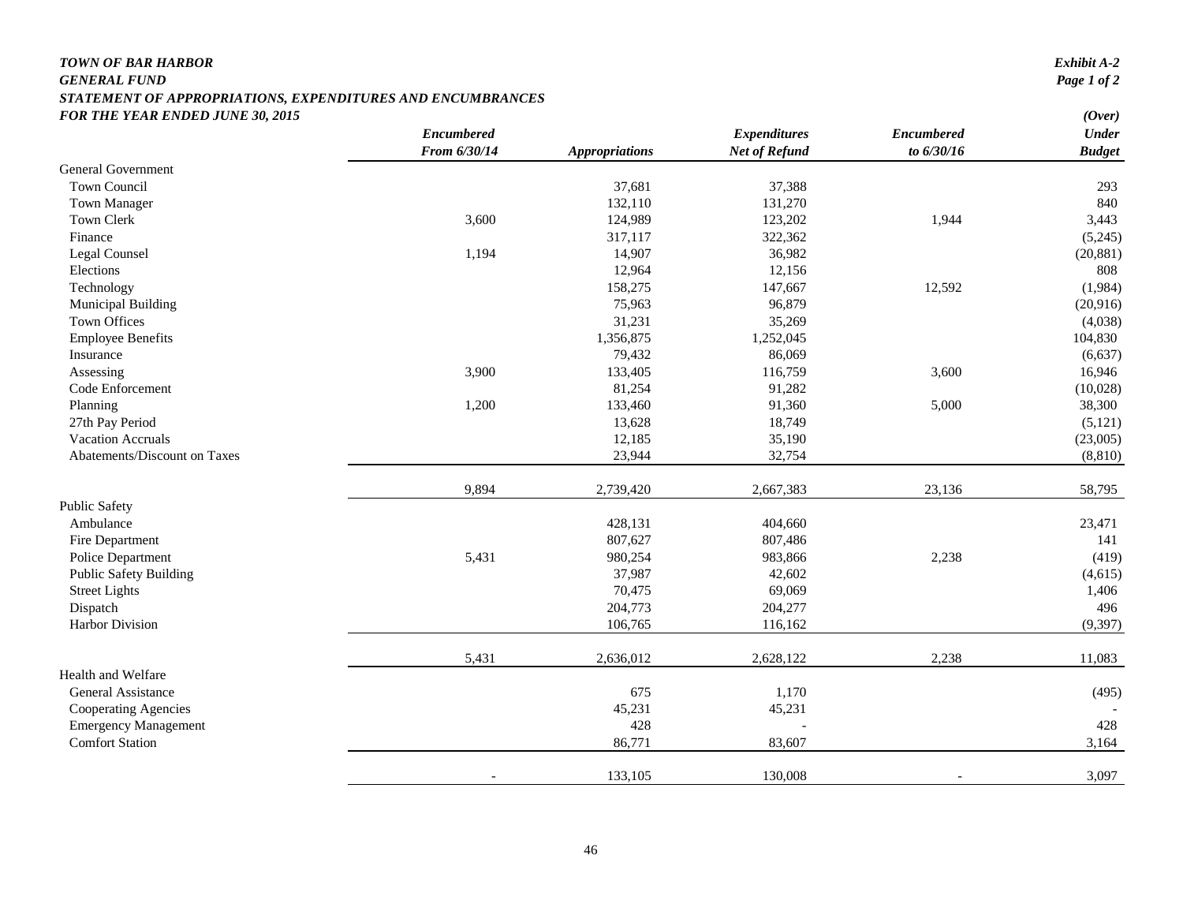## *TOWN OF BAR HARBOR Exhibit A-2*

#### *GENERAL FUND Page 1 of 2 STATEMENT OF APPROPRIATIONS, EXPENDITURES AND ENCUMBRANCES FOR THE YEAR ENDED JUNE 30, 2015 (Over)*

|                               | <b>Encumbered</b> |                       | <b>Expenditures</b>  | <b>Encumbered</b> | <b>Under</b>  |
|-------------------------------|-------------------|-----------------------|----------------------|-------------------|---------------|
|                               | From 6/30/14      | <b>Appropriations</b> | <b>Net of Refund</b> | to $6/30/16$      | <b>Budget</b> |
| <b>General Government</b>     |                   |                       |                      |                   |               |
| Town Council                  |                   | 37,681                | 37,388               |                   | 293           |
| Town Manager                  |                   | 132,110               | 131,270              |                   | 840           |
| Town Clerk                    | 3,600             | 124,989               | 123,202              | 1,944             | 3,443         |
| Finance                       |                   | 317,117               | 322,362              |                   | (5,245)       |
| Legal Counsel                 | 1,194             | 14,907                | 36,982               |                   | (20, 881)     |
| Elections                     |                   | 12,964                | 12,156               |                   | 808           |
| Technology                    |                   | 158,275               | 147,667              | 12,592            | (1,984)       |
| Municipal Building            |                   | 75,963                | 96,879               |                   | (20,916)      |
| Town Offices                  |                   | 31,231                | 35,269               |                   | (4,038)       |
| <b>Employee Benefits</b>      |                   | 1,356,875             | 1,252,045            |                   | 104,830       |
| Insurance                     |                   | 79,432                | 86,069               |                   | (6, 637)      |
| Assessing                     | 3,900             | 133,405               | 116,759              | 3,600             | 16,946        |
| Code Enforcement              |                   | 81,254                | 91,282               |                   | (10,028)      |
| Planning                      | 1,200             | 133,460               | 91,360               | 5,000             | 38,300        |
| 27th Pay Period               |                   | 13,628                | 18,749               |                   | (5,121)       |
| <b>Vacation Accruals</b>      |                   | 12,185                | 35,190               |                   | (23,005)      |
| Abatements/Discount on Taxes  |                   | 23,944                | 32,754               |                   | (8, 810)      |
|                               | 9,894             | 2,739,420             | 2,667,383            | 23,136            | 58,795        |
| <b>Public Safety</b>          |                   |                       |                      |                   |               |
| Ambulance                     |                   | 428,131               | 404,660              |                   | 23,471        |
| Fire Department               |                   | 807,627               | 807,486              |                   | 141           |
| Police Department             | 5,431             | 980,254               | 983,866              | 2,238             | (419)         |
| <b>Public Safety Building</b> |                   | 37,987                | 42,602               |                   | (4,615)       |
| <b>Street Lights</b>          |                   | 70,475                | 69,069               |                   | 1,406         |
| Dispatch                      |                   | 204,773               | 204,277              |                   | 496           |
| Harbor Division               |                   | 106,765               | 116,162              |                   | (9, 397)      |
|                               | 5,431             | 2,636,012             | 2,628,122            | 2,238             | 11,083        |
| Health and Welfare            |                   |                       |                      |                   |               |
| General Assistance            |                   | 675                   | 1,170                |                   | (495)         |
| Cooperating Agencies          |                   | 45,231                | 45,231               |                   |               |
| <b>Emergency Management</b>   |                   | 428                   |                      |                   | 428           |
| <b>Comfort Station</b>        |                   | 86,771                | 83,607               |                   | 3,164         |
|                               |                   | 133,105               | 130,008              |                   | 3,097         |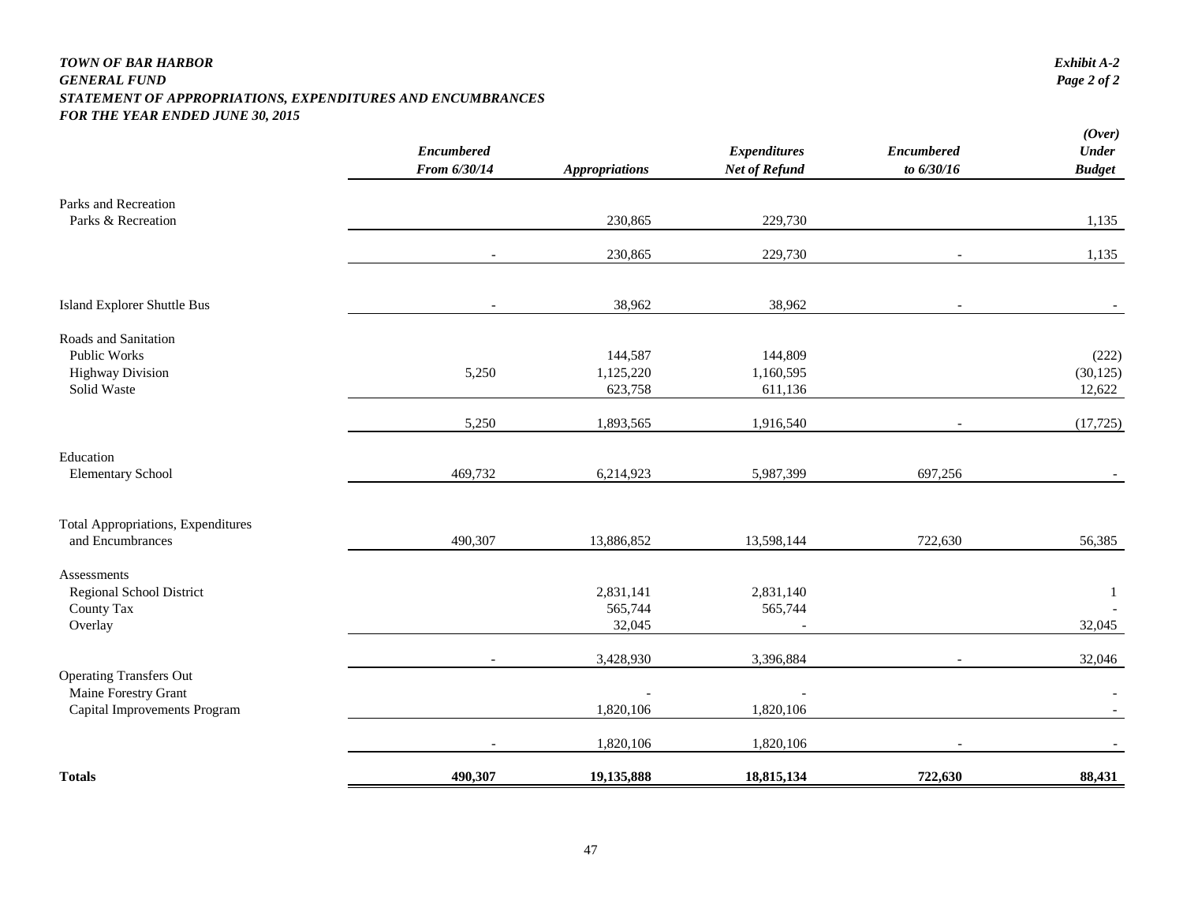### *TOWN OF BAR HARBOR Exhibit A-2 GENERAL FUND Page 2 of 2 STATEMENT OF APPROPRIATIONS, EXPENDITURES AND ENCUMBRANCES FOR THE YEAR ENDED JUNE 30, 2015*

|                                                        | <b>Encumbered</b><br>From 6/30/14 | <b>Appropriations</b> | <b>Expenditures</b><br><b>Net of Refund</b> | Encumbered<br>to 6/30/16 | (Over)<br><b>Under</b><br><b>Budget</b> |
|--------------------------------------------------------|-----------------------------------|-----------------------|---------------------------------------------|--------------------------|-----------------------------------------|
| Parks and Recreation                                   |                                   |                       |                                             |                          |                                         |
| Parks & Recreation                                     |                                   | 230,865               | 229,730                                     |                          | 1,135                                   |
|                                                        |                                   | 230,865               | 229,730                                     |                          | 1,135                                   |
| <b>Island Explorer Shuttle Bus</b>                     |                                   | 38,962                | 38,962                                      |                          |                                         |
| Roads and Sanitation                                   |                                   |                       |                                             |                          |                                         |
| Public Works                                           |                                   | 144,587               | 144,809                                     |                          | (222)                                   |
| <b>Highway Division</b>                                | 5,250                             | 1,125,220             | 1,160,595                                   |                          | (30, 125)                               |
| Solid Waste                                            |                                   | 623,758               | 611,136                                     |                          | 12,622                                  |
|                                                        | 5,250                             | 1,893,565             | 1,916,540                                   |                          | (17, 725)                               |
| Education                                              |                                   |                       |                                             |                          |                                         |
| <b>Elementary School</b>                               | 469,732                           | 6,214,923             | 5,987,399                                   | 697,256                  |                                         |
| <b>Total Appropriations, Expenditures</b>              |                                   |                       |                                             |                          |                                         |
| and Encumbrances                                       | 490,307                           | 13,886,852            | 13,598,144                                  | 722,630                  | 56,385                                  |
| Assessments                                            |                                   |                       |                                             |                          |                                         |
| Regional School District                               |                                   | 2,831,141             | 2,831,140                                   |                          | 1                                       |
| County Tax                                             |                                   | 565,744               | 565,744                                     |                          |                                         |
| Overlay                                                |                                   | 32,045                |                                             |                          | 32,045                                  |
|                                                        |                                   | 3,428,930             | 3,396,884                                   |                          | 32,046                                  |
| <b>Operating Transfers Out</b><br>Maine Forestry Grant |                                   |                       |                                             |                          |                                         |
| Capital Improvements Program                           |                                   | 1,820,106             | 1,820,106                                   |                          |                                         |
|                                                        |                                   | 1,820,106             | 1,820,106                                   |                          |                                         |
| <b>Totals</b>                                          | 490,307                           | 19,135,888            | 18,815,134                                  | 722,630                  | 88,431                                  |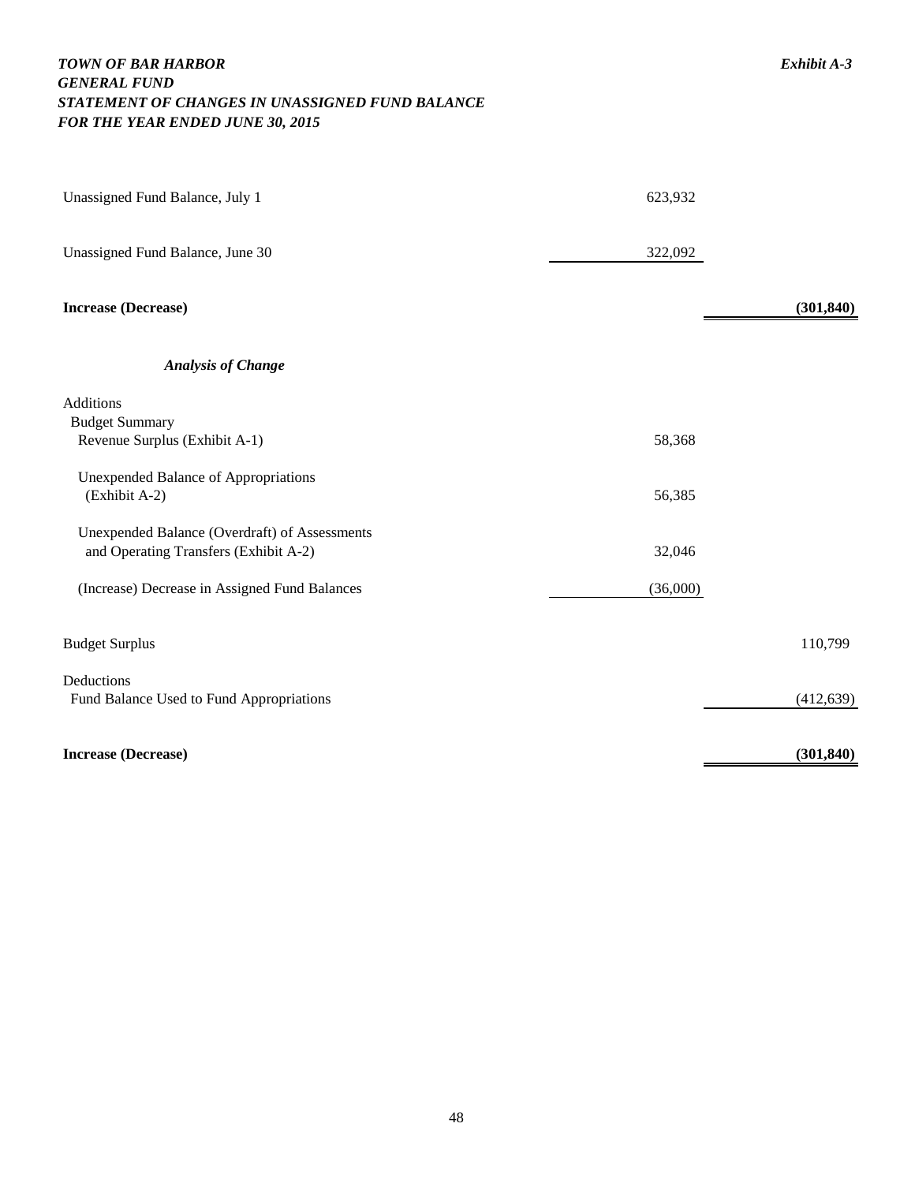## *TOWN OF BAR HARBOR Exhibit A-3 GENERAL FUND STATEMENT OF CHANGES IN UNASSIGNED FUND BALANCE FOR THE YEAR ENDED JUNE 30, 2015*

| Unassigned Fund Balance, July 1                                                        | 623,932  |            |
|----------------------------------------------------------------------------------------|----------|------------|
| Unassigned Fund Balance, June 30                                                       | 322,092  |            |
| <b>Increase (Decrease)</b>                                                             |          | (301, 840) |
| <b>Analysis of Change</b>                                                              |          |            |
| Additions                                                                              |          |            |
| <b>Budget Summary</b><br>Revenue Surplus (Exhibit A-1)                                 | 58,368   |            |
| <b>Unexpended Balance of Appropriations</b><br>(Exhibit A-2)                           | 56,385   |            |
| Unexpended Balance (Overdraft) of Assessments<br>and Operating Transfers (Exhibit A-2) | 32,046   |            |
| (Increase) Decrease in Assigned Fund Balances                                          | (36,000) |            |
| <b>Budget Surplus</b>                                                                  |          | 110,799    |
| Deductions<br>Fund Balance Used to Fund Appropriations                                 |          | (412, 639) |
| <b>Increase (Decrease)</b>                                                             |          | (301, 840) |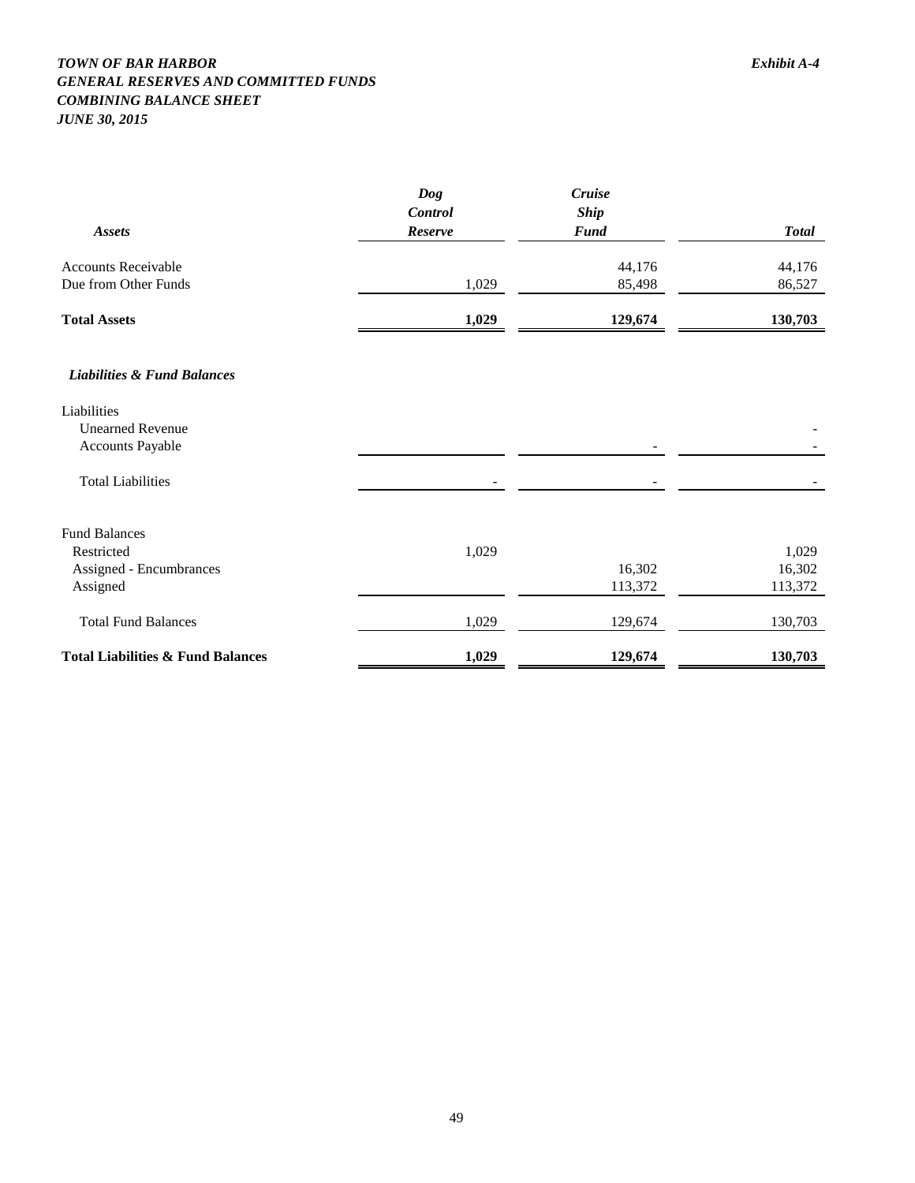## *TOWN OF BAR HARBOR Exhibit A-4 GENERAL RESERVES AND COMMITTED FUNDS COMBINING BALANCE SHEET JUNE 30, 2015*

| <b>Assets</b>                          | <b>Dog</b><br>Control<br>Reserve | <b>Cruise</b><br><b>Ship</b><br><b>Fund</b> | <b>Total</b> |  |
|----------------------------------------|----------------------------------|---------------------------------------------|--------------|--|
| <b>Accounts Receivable</b>             |                                  | 44,176                                      | 44,176       |  |
| Due from Other Funds                   | 1,029                            | 85,498                                      | 86,527       |  |
| <b>Total Assets</b>                    | 1,029                            | 129,674                                     | 130,703      |  |
| <b>Liabilities &amp; Fund Balances</b> |                                  |                                             |              |  |
| Liabilities                            |                                  |                                             |              |  |
| <b>Unearned Revenue</b>                |                                  |                                             |              |  |
| Accounts Payable                       |                                  |                                             |              |  |
| <b>Total Liabilities</b>               |                                  |                                             |              |  |
| <b>Fund Balances</b>                   |                                  |                                             |              |  |
| Restricted                             | 1,029                            |                                             | 1,029        |  |
| Assigned - Encumbrances                |                                  | 16,302                                      | 16,302       |  |
| Assigned                               |                                  | 113,372                                     | 113,372      |  |
| <b>Total Fund Balances</b>             | 1,029                            | 129,674                                     | 130,703      |  |

**Total Liabilities & Fund Balances** 1,029 129,674 130,703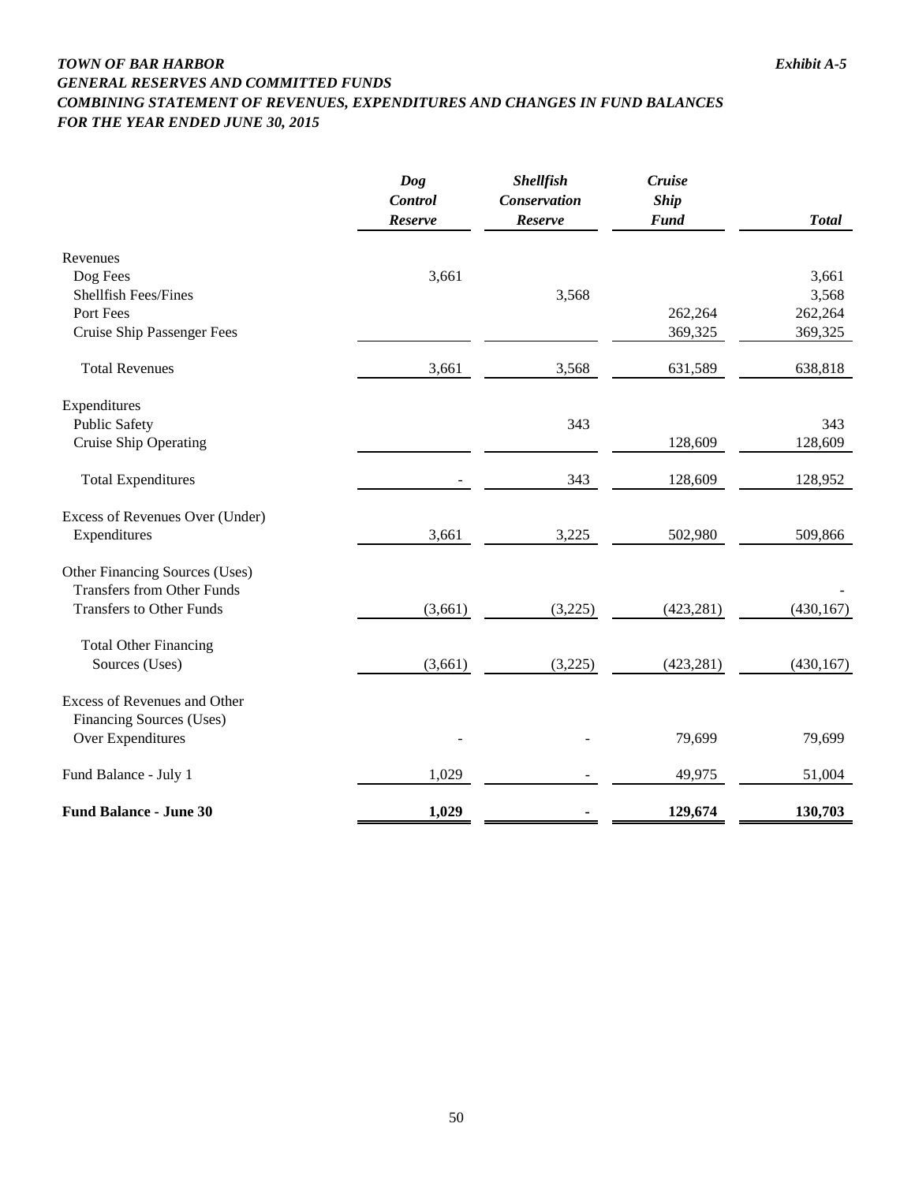## *TOWN OF BAR HARBOR Exhibit A-5 GENERAL RESERVES AND COMMITTED FUNDS COMBINING STATEMENT OF REVENUES, EXPENDITURES AND CHANGES IN FUND BALANCES FOR THE YEAR ENDED JUNE 30, 2015*

|                                   | Dog<br><b>Control</b><br>Reserve | <b>Shellfish</b><br>Conservation<br>Reserve | Cruise<br><b>Ship</b><br><b>Fund</b> | <b>Total</b> |
|-----------------------------------|----------------------------------|---------------------------------------------|--------------------------------------|--------------|
| Revenues                          |                                  |                                             |                                      |              |
| Dog Fees                          | 3,661                            |                                             |                                      | 3,661        |
| Shellfish Fees/Fines              |                                  | 3,568                                       |                                      | 3,568        |
| Port Fees                         |                                  |                                             | 262,264                              | 262,264      |
| Cruise Ship Passenger Fees        |                                  |                                             | 369,325                              | 369,325      |
| <b>Total Revenues</b>             | 3,661                            | 3,568                                       | 631,589                              | 638,818      |
| Expenditures                      |                                  |                                             |                                      |              |
| <b>Public Safety</b>              |                                  | 343                                         |                                      | 343          |
| Cruise Ship Operating             |                                  |                                             | 128,609                              | 128,609      |
| <b>Total Expenditures</b>         |                                  | 343                                         | 128,609                              | 128,952      |
| Excess of Revenues Over (Under)   |                                  |                                             |                                      |              |
| Expenditures                      | 3,661                            | 3,225                                       | 502,980                              | 509,866      |
| Other Financing Sources (Uses)    |                                  |                                             |                                      |              |
| <b>Transfers from Other Funds</b> |                                  |                                             |                                      |              |
| <b>Transfers to Other Funds</b>   | (3,661)                          | (3,225)                                     | (423, 281)                           | (430, 167)   |
| <b>Total Other Financing</b>      |                                  |                                             |                                      |              |
| Sources (Uses)                    | (3,661)                          | (3,225)                                     | (423, 281)                           | (430, 167)   |
| Excess of Revenues and Other      |                                  |                                             |                                      |              |
| <b>Financing Sources (Uses)</b>   |                                  |                                             |                                      |              |
| Over Expenditures                 |                                  |                                             | 79,699                               | 79,699       |
| Fund Balance - July 1             | 1,029                            |                                             | 49,975                               | 51,004       |
| <b>Fund Balance - June 30</b>     | 1,029                            |                                             | 129,674                              | 130,703      |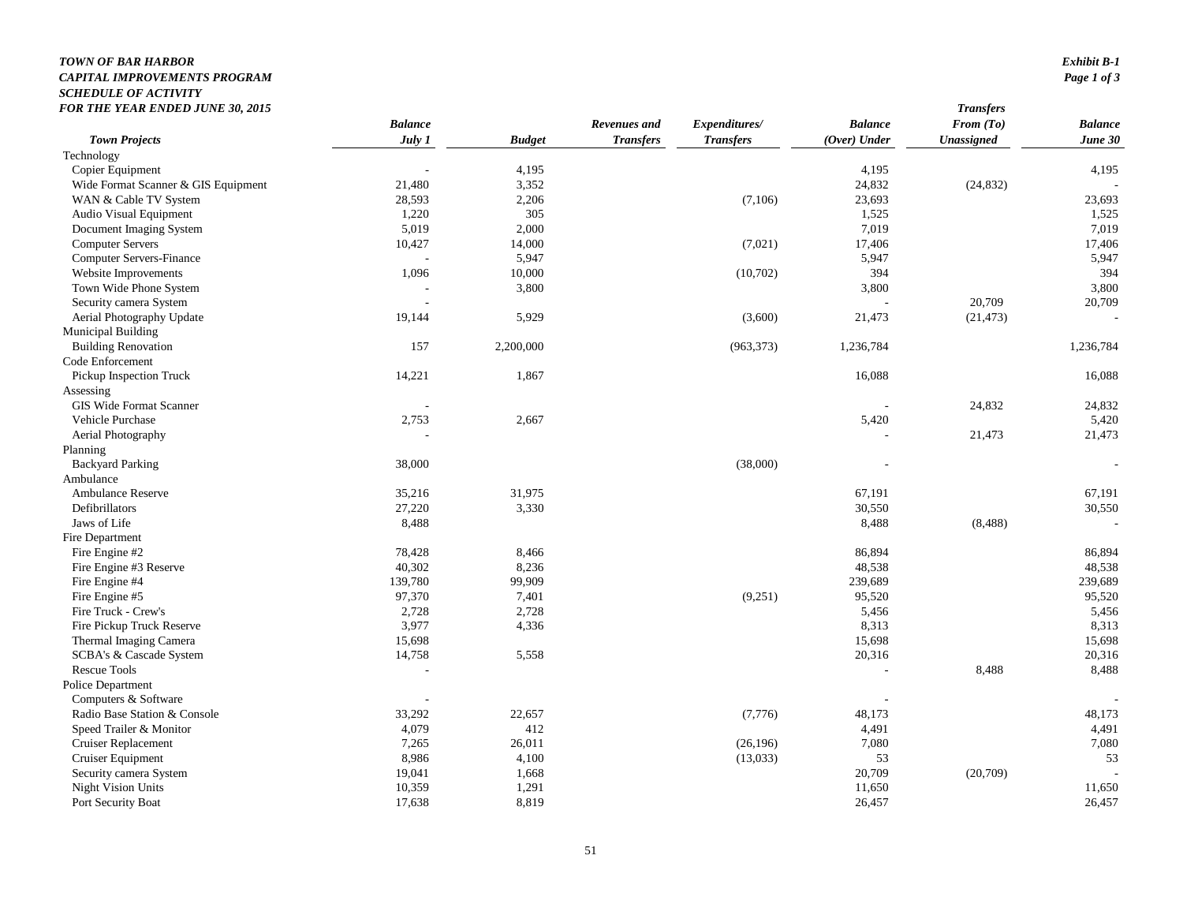## *TOWN OF BAR HARBOR Exhibit B-1 CAPITAL IMPROVEMENTS PROGRAM Page 1 of 3 SCHEDULE OF ACTIVITY*

| FOR THE YEAR ENDED JUNE 30, 2015                  |                |               |                  |                  |                | <b>Transfers</b>  |                |
|---------------------------------------------------|----------------|---------------|------------------|------------------|----------------|-------------------|----------------|
|                                                   | <b>Balance</b> |               | Revenues and     | Expenditures/    | <b>Balance</b> | From (To)         | <b>Balance</b> |
| <b>Town Projects</b>                              | July 1         | <b>Budget</b> | <b>Transfers</b> | <b>Transfers</b> | (Over) Under   | <b>Unassigned</b> | June 30        |
| Technology                                        |                |               |                  |                  |                |                   |                |
| Copier Equipment                                  |                | 4,195         |                  |                  | 4,195          |                   | 4,195          |
| Wide Format Scanner & GIS Equipment               | 21,480         | 3,352         |                  |                  | 24,832         | (24, 832)         |                |
| WAN & Cable TV System                             | 28,593         | 2,206         |                  | (7,106)          | 23,693         |                   | 23,693         |
| Audio Visual Equipment                            | 1,220          | 305           |                  |                  | 1,525          |                   | 1,525          |
| Document Imaging System                           | 5,019          | 2,000         |                  |                  | 7,019          |                   | 7,019          |
| <b>Computer Servers</b>                           | 10,427         | 14,000        |                  | (7,021)          | 17,406         |                   | 17,406         |
| <b>Computer Servers-Finance</b>                   |                | 5,947         |                  |                  | 5,947          |                   | 5,947          |
| Website Improvements                              | 1,096          | 10,000        |                  | (10,702)         | 394            |                   | 394            |
| Town Wide Phone System                            |                | 3,800         |                  |                  | 3,800          |                   | 3,800          |
| Security camera System                            |                |               |                  |                  |                | 20,709            | 20,709         |
| Aerial Photography Update                         | 19,144         | 5,929         |                  | (3,600)          | 21,473         | (21, 473)         |                |
| <b>Municipal Building</b>                         |                |               |                  |                  |                |                   |                |
| <b>Building Renovation</b>                        | 157            | 2,200,000     |                  | (963, 373)       | 1,236,784      |                   | 1,236,784      |
| Code Enforcement                                  |                |               |                  |                  |                |                   |                |
| Pickup Inspection Truck                           | 14,221         | 1,867         |                  |                  | 16,088         |                   | 16,088         |
| Assessing                                         |                |               |                  |                  |                |                   |                |
| GIS Wide Format Scanner                           |                |               |                  |                  |                | 24,832            | 24,832         |
| Vehicle Purchase                                  | 2,753          | 2,667         |                  |                  | 5,420          |                   | 5,420          |
| Aerial Photography                                |                |               |                  |                  |                | 21,473            | 21,473         |
| Planning                                          |                |               |                  |                  |                |                   |                |
| <b>Backyard Parking</b>                           | 38,000         |               |                  | (38,000)         |                |                   |                |
| Ambulance                                         |                |               |                  |                  |                |                   |                |
| <b>Ambulance Reserve</b>                          | 35,216         | 31,975        |                  |                  | 67,191         |                   | 67,191         |
| Defibrillators                                    | 27,220         | 3,330         |                  |                  | 30,550         |                   | 30,550         |
| Jaws of Life                                      | 8,488          |               |                  |                  | 8,488          | (8, 488)          |                |
| Fire Department                                   |                |               |                  |                  |                |                   |                |
| Fire Engine #2                                    | 78,428         | 8,466         |                  |                  | 86,894         |                   | 86,894         |
| Fire Engine #3 Reserve                            | 40,302         | 8,236         |                  |                  | 48,538         |                   | 48,538         |
| Fire Engine #4                                    | 139,780        | 99,909        |                  |                  | 239,689        |                   | 239,689        |
| Fire Engine #5                                    | 97,370         | 7,401         |                  | (9,251)          | 95,520         |                   | 95,520         |
| Fire Truck - Crew's                               | 2,728          | 2,728         |                  |                  | 5,456          |                   | 5,456          |
| Fire Pickup Truck Reserve                         | 3,977          | 4,336         |                  |                  | 8,313          |                   | 8,313          |
|                                                   | 15,698         |               |                  |                  | 15,698         |                   | 15,698         |
| Thermal Imaging Camera<br>SCBA's & Cascade System | 14,758         | 5,558         |                  |                  | 20,316         |                   | 20,316         |
| <b>Rescue Tools</b>                               |                |               |                  |                  |                | 8,488             | 8,488          |
|                                                   |                |               |                  |                  |                |                   |                |
| Police Department                                 |                |               |                  |                  |                |                   |                |
| Computers & Software                              |                |               |                  |                  |                |                   |                |
| Radio Base Station & Console                      | 33,292         | 22,657        |                  | (7,776)          | 48,173         |                   | 48,173         |
| Speed Trailer & Monitor                           | 4,079          | 412           |                  |                  | 4,491          |                   | 4,491          |
| Cruiser Replacement                               | 7,265          | 26,011        |                  | (26, 196)        | 7,080          |                   | 7,080          |
| Cruiser Equipment                                 | 8,986          | 4,100         |                  | (13,033)         | 53             |                   | 53             |
| Security camera System                            | 19,041         | 1,668         |                  |                  | 20,709         | (20,709)          |                |
| <b>Night Vision Units</b>                         | 10,359         | 1,291         |                  |                  | 11,650         |                   | 11,650         |
| Port Security Boat                                | 17,638         | 8,819         |                  |                  | 26,457         |                   | 26,457         |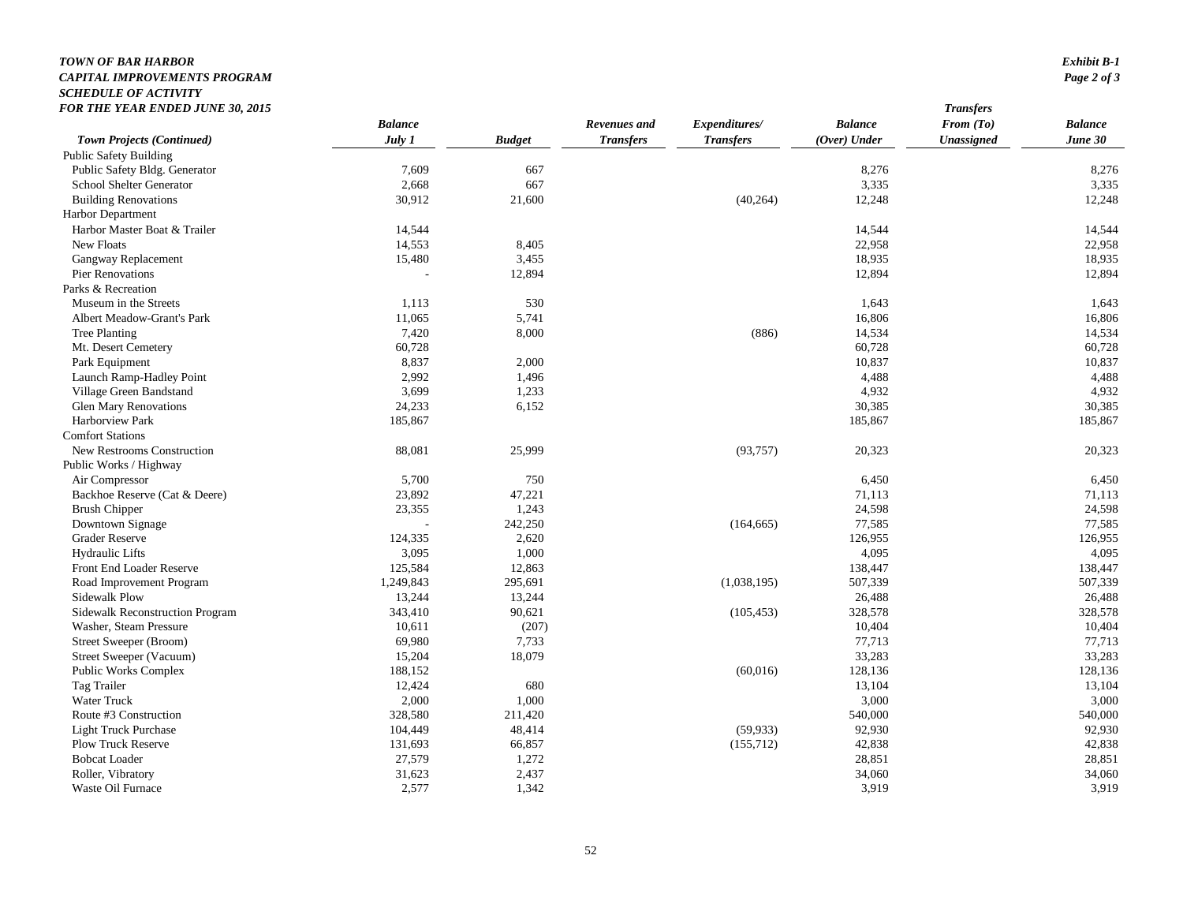## *TOWN OF BAR HARBOR Exhibit B-1 CAPITAL IMPROVEMENTS PROGRAM SCHEDULE OF ACTIVITY*

| <b>FOR THE YEAR ENDED JUNE 30, 2015</b> |                |               |                  |                  |                | <b>Transfers</b>  |                |
|-----------------------------------------|----------------|---------------|------------------|------------------|----------------|-------------------|----------------|
|                                         | <b>Balance</b> |               | Revenues and     | Expenditures/    | <b>Balance</b> | From (To)         | <b>Balance</b> |
| <b>Town Projects (Continued)</b>        | July 1         | <b>Budget</b> | <b>Transfers</b> | <b>Transfers</b> | $(Over)$ Under | <b>Unassigned</b> | June 30        |
| <b>Public Safety Building</b>           |                |               |                  |                  |                |                   |                |
| Public Safety Bldg. Generator           | 7,609          | 667           |                  |                  | 8,276          |                   | 8,276          |
| School Shelter Generator                | 2,668          | 667           |                  |                  | 3,335          |                   | 3,335          |
| <b>Building Renovations</b>             | 30,912         | 21,600        |                  | (40, 264)        | 12,248         |                   | 12,248         |
| Harbor Department                       |                |               |                  |                  |                |                   |                |
| Harbor Master Boat & Trailer            | 14,544         |               |                  |                  | 14,544         |                   | 14,544         |
| New Floats                              | 14,553         | 8,405         |                  |                  | 22,958         |                   | 22,958         |
| Gangway Replacement                     | 15,480         | 3,455         |                  |                  | 18,935         |                   | 18,935         |
| Pier Renovations                        |                | 12,894        |                  |                  | 12,894         |                   | 12,894         |
| Parks & Recreation                      |                |               |                  |                  |                |                   |                |
| Museum in the Streets                   | 1,113          | 530           |                  |                  | 1,643          |                   | 1,643          |
| Albert Meadow-Grant's Park              | 11,065         | 5,741         |                  |                  | 16,806         |                   | 16,806         |
| Tree Planting                           | 7,420          | 8,000         |                  | (886)            | 14,534         |                   | 14,534         |
| Mt. Desert Cemetery                     | 60,728         |               |                  |                  | 60,728         |                   | 60,728         |
| Park Equipment                          | 8,837          | 2,000         |                  |                  | 10,837         |                   | 10,837         |
| Launch Ramp-Hadley Point                | 2,992          | 1,496         |                  |                  | 4,488          |                   | 4,488          |
| Village Green Bandstand                 | 3,699          | 1,233         |                  |                  | 4,932          |                   | 4,932          |
| <b>Glen Mary Renovations</b>            | 24,233         | 6,152         |                  |                  | 30,385         |                   | 30,385         |
| Harborview Park                         | 185,867        |               |                  |                  | 185,867        |                   | 185,867        |
| <b>Comfort Stations</b>                 |                |               |                  |                  |                |                   |                |
| New Restrooms Construction              | 88,081         | 25,999        |                  | (93, 757)        | 20,323         |                   | 20,323         |
| Public Works / Highway                  |                |               |                  |                  |                |                   |                |
| Air Compressor                          | 5,700          | 750           |                  |                  | 6,450          |                   | 6,450          |
| Backhoe Reserve (Cat & Deere)           | 23,892         | 47,221        |                  |                  | 71,113         |                   | 71,113         |
| <b>Brush Chipper</b>                    | 23,355         | 1,243         |                  |                  | 24,598         |                   | 24,598         |
| Downtown Signage                        |                | 242,250       |                  | (164, 665)       | 77,585         |                   | 77,585         |
| <b>Grader Reserve</b>                   | 124,335        | 2,620         |                  |                  | 126,955        |                   | 126,955        |
| <b>Hydraulic Lifts</b>                  | 3,095          | 1,000         |                  |                  | 4,095          |                   | 4,095          |
| Front End Loader Reserve                | 125,584        | 12,863        |                  |                  | 138,447        |                   | 138,447        |
| Road Improvement Program                | 1,249,843      | 295,691       |                  | (1,038,195)      | 507,339        |                   | 507,339        |
| <b>Sidewalk Plow</b>                    | 13,244         | 13,244        |                  |                  | 26,488         |                   | 26,488         |
| <b>Sidewalk Reconstruction Program</b>  | 343,410        | 90,621        |                  | (105, 453)       | 328,578        |                   | 328,578        |
| Washer, Steam Pressure                  | 10,611         | (207)         |                  |                  | 10,404         |                   | 10,404         |
| Street Sweeper (Broom)                  | 69,980         | 7,733         |                  |                  | 77,713         |                   | 77,713         |
| Street Sweeper (Vacuum)                 | 15,204         | 18,079        |                  |                  | 33,283         |                   | 33,283         |
| <b>Public Works Complex</b>             | 188,152        |               |                  | (60,016)         | 128,136        |                   | 128,136        |
| Tag Trailer                             | 12,424         | 680           |                  |                  | 13,104         |                   | 13,104         |
| Water Truck                             | 2,000          | 1,000         |                  |                  | 3,000          |                   | 3,000          |
| Route #3 Construction                   | 328,580        | 211,420       |                  |                  | 540,000        |                   | 540,000        |
| <b>Light Truck Purchase</b>             | 104,449        | 48,414        |                  | (59, 933)        | 92,930         |                   | 92,930         |
| <b>Plow Truck Reserve</b>               | 131,693        | 66,857        |                  | (155, 712)       | 42,838         |                   | 42,838         |
| <b>Bobcat Loader</b>                    | 27,579         | 1,272         |                  |                  | 28,851         |                   | 28,851         |
| Roller, Vibratory                       | 31,623         | 2,437         |                  |                  | 34,060         |                   | 34,060         |
| Waste Oil Furnace                       | 2,577          | 1,342         |                  |                  | 3,919          |                   | 3,919          |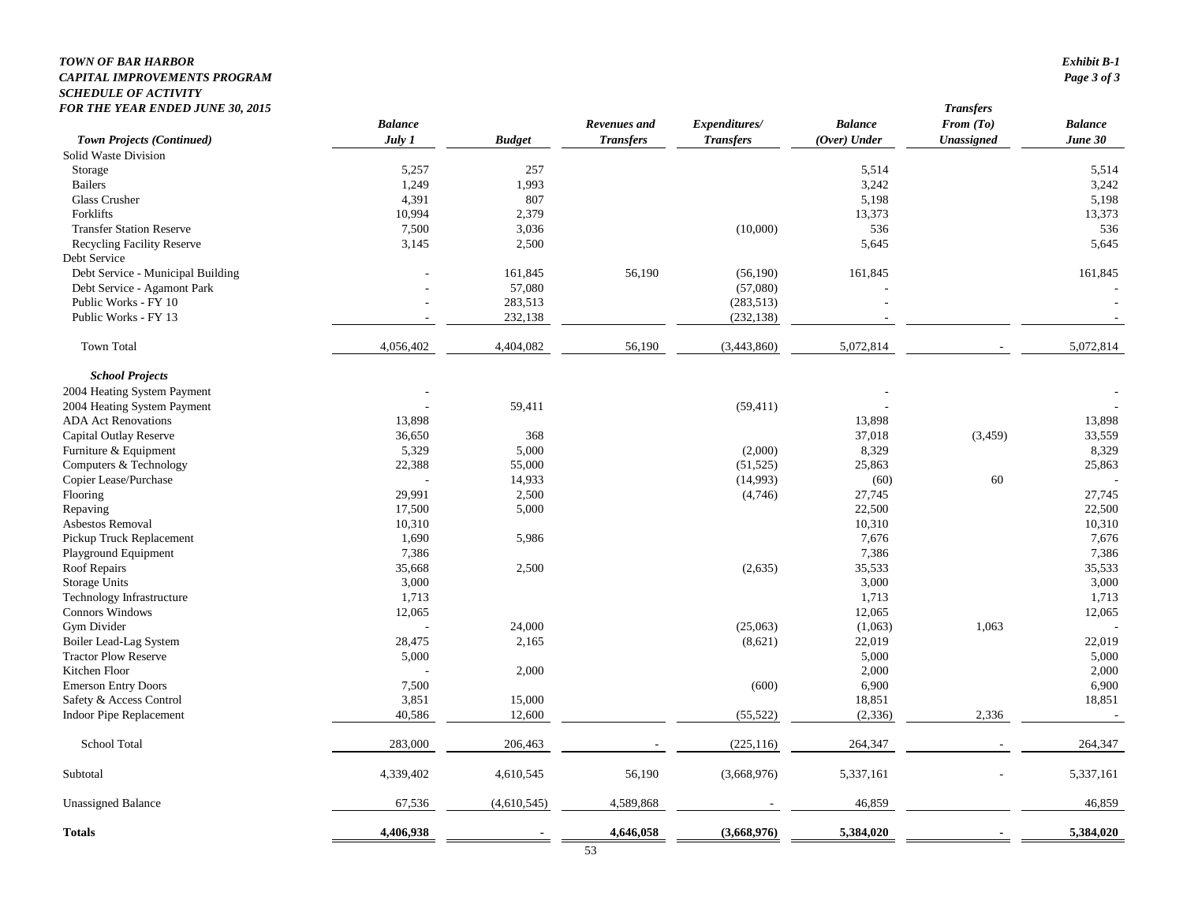## *TOWN OF BAR HARBOR Exhibit B-1*  $$ *SCHEDULE OF ACTIVITY*

| FOR THE YEAR ENDED JUNE 30, 2015  |                |               |                  |                  |                | <b>Transfers</b>  |                          |
|-----------------------------------|----------------|---------------|------------------|------------------|----------------|-------------------|--------------------------|
|                                   | <b>Balance</b> |               | Revenues and     | Expenditures/    | <b>Balance</b> | From (To)         | <b>Balance</b>           |
| <b>Town Projects (Continued)</b>  | July 1         | <b>Budget</b> | <b>Transfers</b> | <b>Transfers</b> | (Over) Under   | <b>Unassigned</b> | June 30                  |
| Solid Waste Division              |                |               |                  |                  |                |                   |                          |
| Storage                           | 5,257          | 257           |                  |                  | 5,514          |                   | 5,514                    |
| <b>Bailers</b>                    | 1,249          | 1,993         |                  |                  | 3,242          |                   | 3,242                    |
| Glass Crusher                     | 4,391          | 807           |                  |                  | 5,198          |                   | 5,198                    |
| Forklifts                         | 10,994         | 2,379         |                  |                  | 13,373         |                   | 13,373                   |
| <b>Transfer Station Reserve</b>   | 7,500          | 3,036         |                  | (10,000)         | 536            |                   | 536                      |
| <b>Recycling Facility Reserve</b> | 3.145          | 2,500         |                  |                  | 5,645          |                   | 5,645                    |
| Debt Service                      |                |               |                  |                  |                |                   |                          |
| Debt Service - Municipal Building |                | 161,845       | 56,190           | (56, 190)        | 161,845        |                   | 161,845                  |
| Debt Service - Agamont Park       |                | 57,080        |                  | (57,080)         |                |                   |                          |
| Public Works - FY 10              |                | 283,513       |                  | (283, 513)       |                |                   |                          |
| Public Works - FY 13              |                | 232,138       |                  | (232, 138)       |                |                   |                          |
|                                   |                |               |                  |                  |                |                   |                          |
| Town Total                        | 4,056,402      | 4,404,082     | 56,190           | (3,443,860)      | 5,072,814      |                   | 5,072,814                |
|                                   |                |               |                  |                  |                |                   |                          |
| <b>School Projects</b>            |                |               |                  |                  |                |                   |                          |
| 2004 Heating System Payment       |                |               |                  |                  |                |                   |                          |
| 2004 Heating System Payment       |                | 59,411        |                  | (59, 411)        |                |                   |                          |
| <b>ADA Act Renovations</b>        | 13,898         |               |                  |                  | 13,898         |                   | 13,898                   |
| Capital Outlay Reserve            | 36,650         | 368           |                  |                  | 37,018         | (3, 459)          | 33,559                   |
| Furniture & Equipment             | 5,329          | 5,000         |                  | (2,000)          | 8,329          |                   | 8,329                    |
| Computers & Technology            | 22,388         | 55,000        |                  | (51, 525)        | 25,863         |                   | 25,863                   |
| Copier Lease/Purchase             |                | 14,933        |                  | (14,993)         | (60)           | 60                |                          |
| Flooring                          | 29,991         | 2,500         |                  | (4,746)          | 27,745         |                   | 27,745                   |
| Repaving                          | 17,500         | 5,000         |                  |                  | 22,500         |                   | 22,500                   |
| Asbestos Removal                  | 10,310         |               |                  |                  | 10,310         |                   | 10,310                   |
| Pickup Truck Replacement          | 1,690          | 5,986         |                  |                  | 7,676          |                   | 7,676                    |
| Playground Equipment              | 7,386          |               |                  |                  | 7,386          |                   | 7,386                    |
| Roof Repairs                      | 35,668         | 2,500         |                  | (2,635)          | 35,533         |                   | 35,533                   |
| <b>Storage Units</b>              | 3,000          |               |                  |                  | 3,000          |                   | 3,000                    |
| Technology Infrastructure         | 1,713          |               |                  |                  | 1,713          |                   | 1,713                    |
| <b>Connors Windows</b>            | 12,065         |               |                  |                  | 12,065         |                   | 12,065                   |
| Gym Divider                       |                | 24,000        |                  | (25,063)         | (1,063)        | 1,063             |                          |
| Boiler Lead-Lag System            | 28,475         | 2,165         |                  | (8,621)          | 22,019         |                   | 22,019                   |
| <b>Tractor Plow Reserve</b>       | 5,000          |               |                  |                  | 5,000          |                   | 5,000                    |
| Kitchen Floor                     |                | 2,000         |                  |                  | 2,000          |                   | 2,000                    |
| <b>Emerson Entry Doors</b>        | 7,500          |               |                  | (600)            | 6,900          |                   | 6,900                    |
| Safety & Access Control           | 3,851          | 15,000        |                  |                  | 18,851         |                   | 18,851                   |
| Indoor Pipe Replacement           | 40,586         | 12,600        |                  | (55, 522)        | (2, 336)       | 2,336             | $\overline{\phantom{a}}$ |
|                                   |                |               |                  |                  |                |                   |                          |
| School Total                      | 283,000        | 206,463       |                  | (225, 116)       | 264,347        |                   | 264,347                  |
| Subtotal                          | 4,339,402      | 4,610,545     | 56,190           | (3,668,976)      | 5,337,161      |                   | 5,337,161                |
| <b>Unassigned Balance</b>         | 67,536         | (4,610,545)   | 4,589,868        |                  | 46,859         |                   | 46,859                   |
| <b>Totals</b>                     | 4,406,938      |               | 4,646,058        | (3,668,976)      | 5,384,020      |                   | 5,384,020                |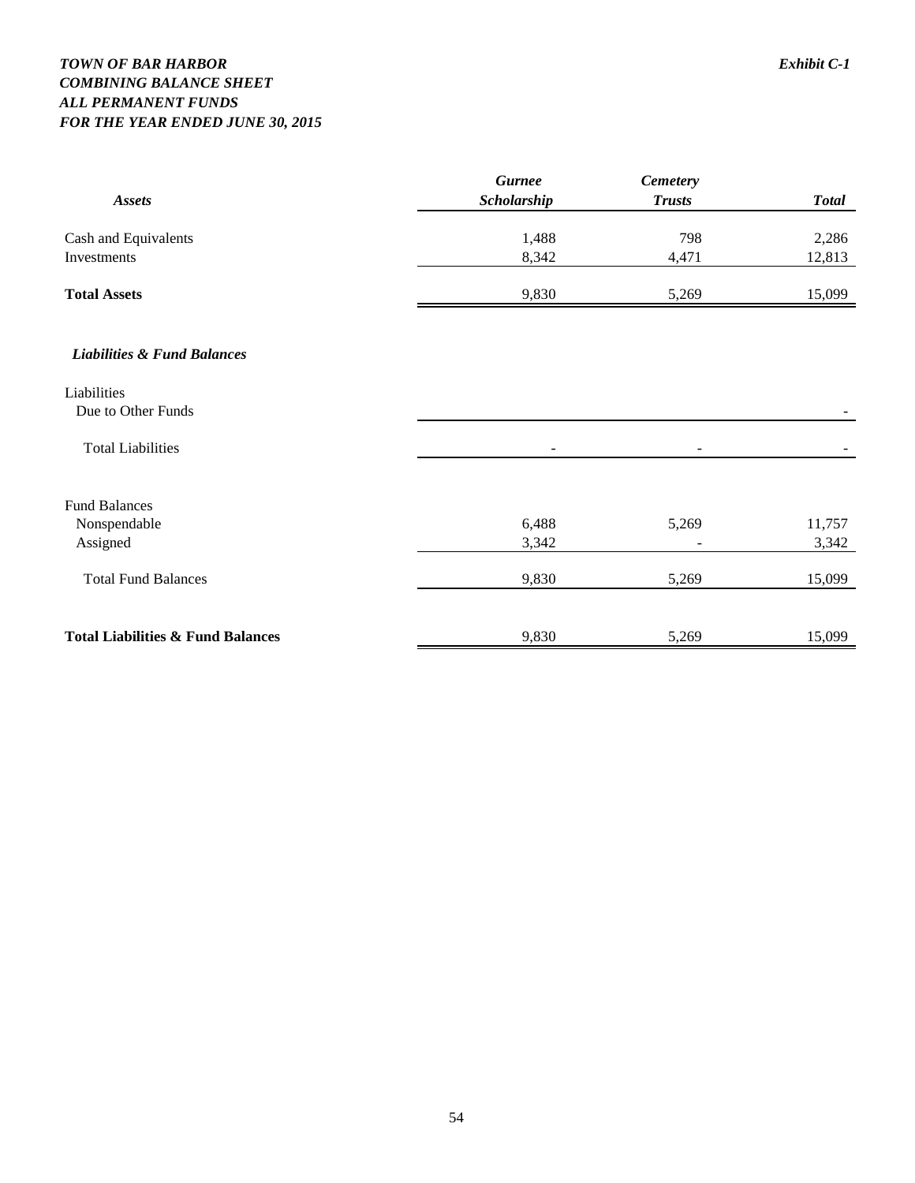## *TOWN OF BAR HARBOR Exhibit C-1 COMBINING BALANCE SHEET ALL PERMANENT FUNDS FOR THE YEAR ENDED JUNE 30, 2015*

| <b>Assets</b>                                | <b>Gurnee</b><br>Scholarship | <b>Cemetery</b><br><b>Trusts</b> | <b>Total</b> |
|----------------------------------------------|------------------------------|----------------------------------|--------------|
| Cash and Equivalents                         | 1,488                        | 798                              | 2,286        |
| Investments                                  | 8,342                        | 4,471                            | 12,813       |
| <b>Total Assets</b>                          | 9,830                        | 5,269                            | 15,099       |
| <b>Liabilities &amp; Fund Balances</b>       |                              |                                  |              |
| Liabilities                                  |                              |                                  |              |
| Due to Other Funds                           |                              |                                  |              |
| <b>Total Liabilities</b>                     |                              |                                  |              |
| <b>Fund Balances</b>                         |                              |                                  |              |
| Nonspendable                                 | 6,488                        | 5,269                            | 11,757       |
| Assigned                                     | 3,342                        |                                  | 3,342        |
| <b>Total Fund Balances</b>                   | 9,830                        | 5,269                            | 15,099       |
| <b>Total Liabilities &amp; Fund Balances</b> | 9,830                        | 5,269                            | 15,099       |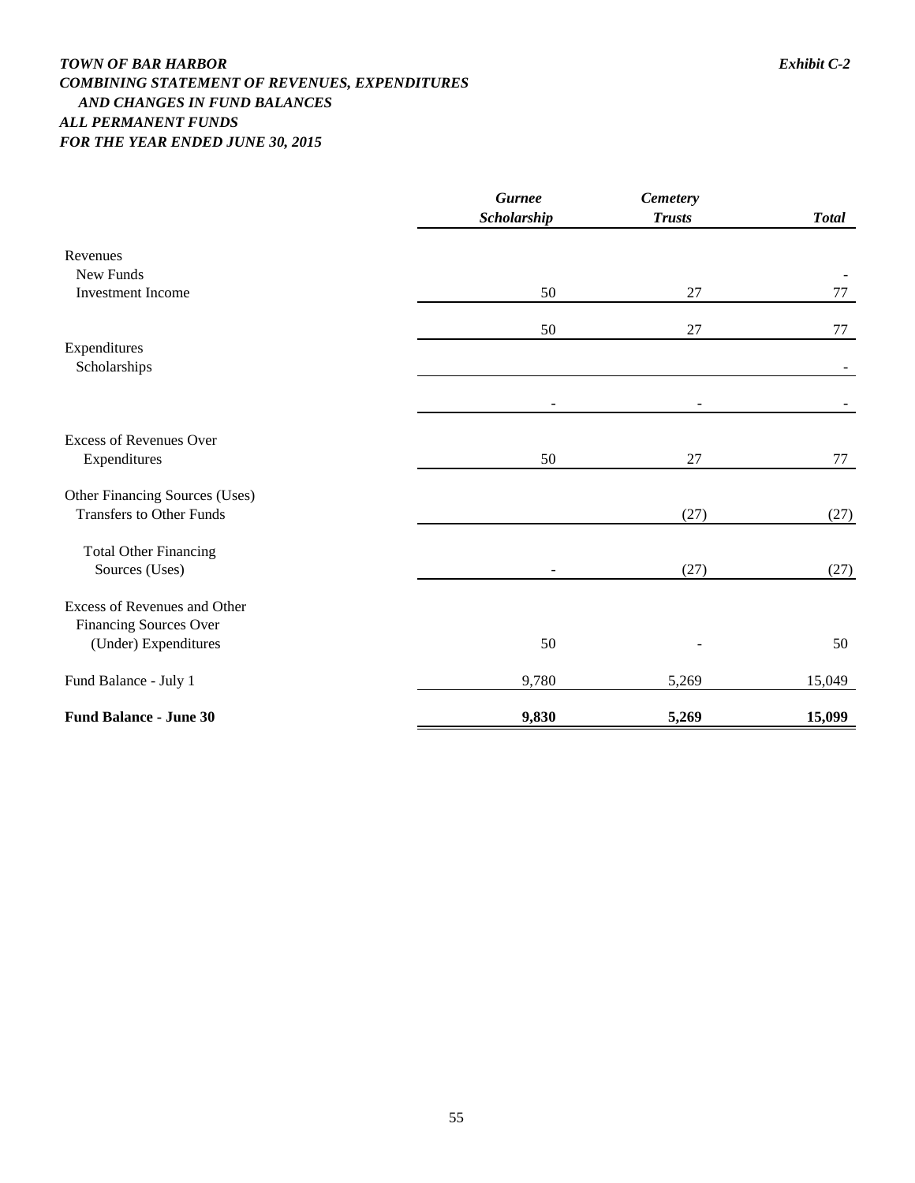## *TOWN OF BAR HARBOR Exhibit C-2 COMBINING STATEMENT OF REVENUES, EXPENDITURES AND CHANGES IN FUND BALANCES ALL PERMANENT FUNDS FOR THE YEAR ENDED JUNE 30, 2015*

|                                                               | <b>Gurnee</b><br>Scholarship | <b>Cemetery</b><br><b>Trusts</b> | <b>Total</b> |
|---------------------------------------------------------------|------------------------------|----------------------------------|--------------|
|                                                               |                              |                                  |              |
| Revenues<br>New Funds                                         |                              |                                  |              |
| <b>Investment Income</b>                                      | 50                           | 27                               | 77           |
|                                                               |                              |                                  |              |
|                                                               | 50                           | 27                               | 77           |
| Expenditures                                                  |                              |                                  |              |
| Scholarships                                                  |                              |                                  |              |
|                                                               |                              |                                  |              |
| <b>Excess of Revenues Over</b>                                |                              |                                  |              |
| Expenditures                                                  | 50                           | 27                               | 77           |
| Other Financing Sources (Uses)                                |                              |                                  |              |
| <b>Transfers to Other Funds</b>                               |                              | (27)                             | (27)         |
| <b>Total Other Financing</b>                                  |                              |                                  |              |
| Sources (Uses)                                                |                              | (27)                             | (27)         |
| Excess of Revenues and Other<br><b>Financing Sources Over</b> |                              |                                  |              |
| (Under) Expenditures                                          | 50                           |                                  | 50           |
| Fund Balance - July 1                                         | 9,780                        | 5,269                            | 15,049       |
| <b>Fund Balance - June 30</b>                                 | 9,830                        | 5,269                            | 15,099       |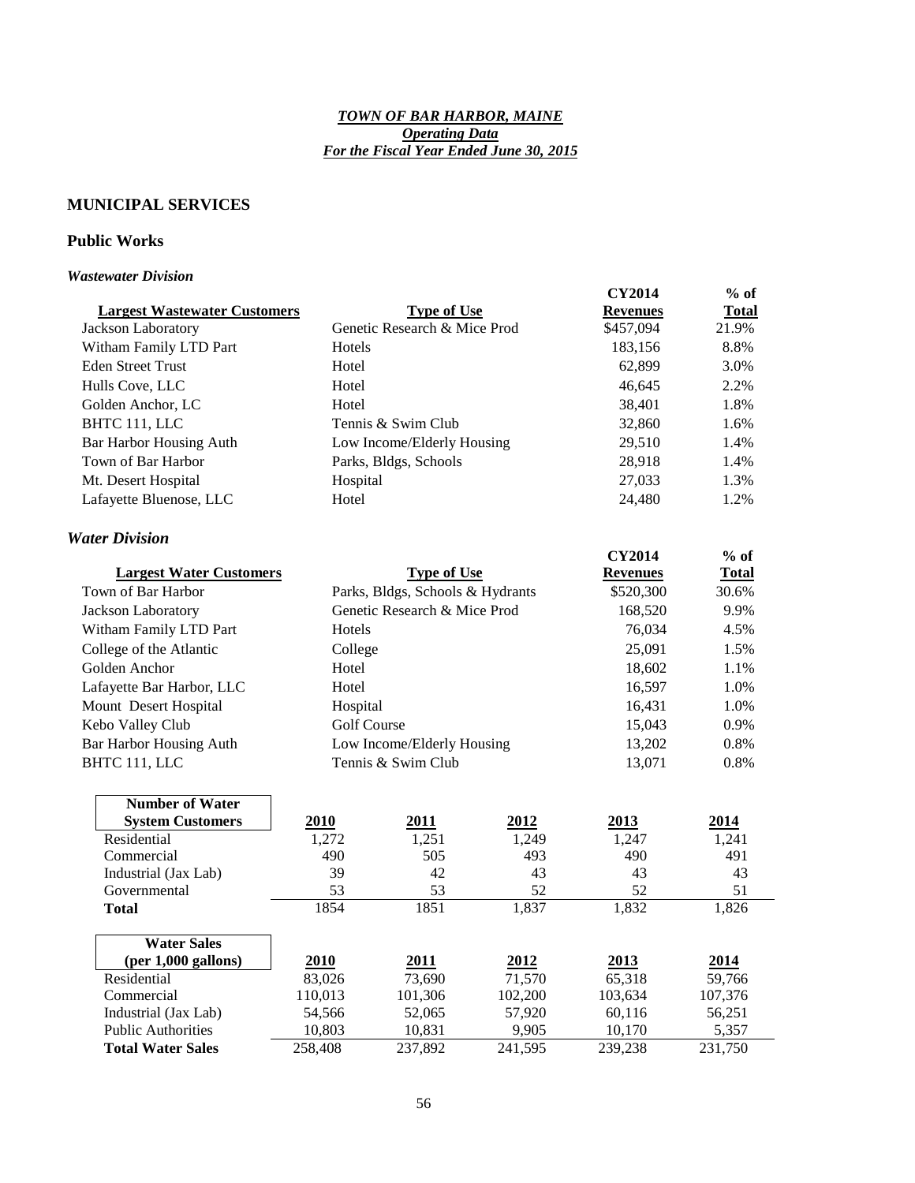### *TOWN OF BAR HARBOR, MAINE Operating Data For the Fiscal Year Ended June 30, 2015*

## **MUNICIPAL SERVICES**

## **Public Works**

#### *Wastewater Division*

|                                     |                              | <b>CY2014</b>   | $%$ of       |
|-------------------------------------|------------------------------|-----------------|--------------|
| <b>Largest Wastewater Customers</b> | <b>Type of Use</b>           | <b>Revenues</b> | <b>Total</b> |
| Jackson Laboratory                  | Genetic Research & Mice Prod | \$457,094       | 21.9%        |
| Witham Family LTD Part              | Hotels                       | 183,156         | 8.8%         |
| <b>Eden Street Trust</b>            | Hotel                        | 62,899          | 3.0%         |
| Hulls Cove, LLC                     | Hotel                        | 46,645          | 2.2%         |
| Golden Anchor, LC                   | Hotel                        | 38.401          | 1.8%         |
| BHTC 111, LLC                       | Tennis & Swim Club           | 32,860          | 1.6%         |
| Bar Harbor Housing Auth             | Low Income/Elderly Housing   | 29,510          | 1.4%         |
| Town of Bar Harbor                  | Parks, Bldgs, Schools        | 28,918          | 1.4%         |
| Mt. Desert Hospital                 | Hospital                     | 27,033          | 1.3%         |
| Lafayette Bluenose, LLC             | Hotel                        | 24,480          | 1.2%         |

### *Water Division*

|                                |                                  | <b>CY2014</b>   | $%$ of       |
|--------------------------------|----------------------------------|-----------------|--------------|
| <b>Largest Water Customers</b> | <b>Type of Use</b>               | <b>Revenues</b> | <b>Total</b> |
| Town of Bar Harbor             | Parks, Bldgs, Schools & Hydrants | \$520,300       | 30.6%        |
| Jackson Laboratory             | Genetic Research & Mice Prod     | 168,520         | 9.9%         |
| Witham Family LTD Part         | Hotels                           | 76,034          | 4.5%         |
| College of the Atlantic        | College                          | 25,091          | 1.5%         |
| Golden Anchor                  | Hotel                            | 18,602          | 1.1%         |
| Lafayette Bar Harbor, LLC      | Hotel                            | 16,597          | 1.0%         |
| Mount Desert Hospital          | Hospital                         | 16,431          | 1.0%         |
| Kebo Valley Club               | <b>Golf Course</b>               | 15,043          | 0.9%         |
| Bar Harbor Housing Auth        | Low Income/Elderly Housing       | 13,202          | 0.8%         |
| BHTC 111, LLC                  | Tennis & Swim Club               | 13,071          | 0.8%         |

| <b>Number of Water</b>                |         |             |         |         |         |
|---------------------------------------|---------|-------------|---------|---------|---------|
| <b>System Customers</b>               | 2010    | 2011        | 2012    | 2013    | 2014    |
| Residential                           | 1,272   | 1,251       | 1,249   | 1,247   | 1,241   |
| Commercial                            | 490     | 505         | 493     | 490     | 491     |
| Industrial (Jax Lab)                  | 39      | 42          | 43      | 43      | 43      |
| Governmental                          | 53      | 53          | 52      | 52      | 51      |
| <b>Total</b>                          | 1854    | 1851        | 1,837   | 1,832   | 1,826   |
|                                       |         |             |         |         |         |
| <b>Water Sales</b>                    |         |             |         |         |         |
| $(\text{per } 1,000 \text{ gallons})$ | 2010    | <u>2011</u> | 2012    | 2013    | 2014    |
| Residential                           | 83,026  | 73.690      | 71,570  | 65,318  | 59.766  |
| Commercial                            | 110.013 | 101,306     | 102,200 | 103,634 | 107,376 |
| Industrial (Jax Lab)                  | 54,566  | 52,065      | 57,920  | 60,116  | 56,251  |
| <b>Public Authorities</b>             | 10.803  | 10,831      | 9,905   | 10.170  | 5,357   |
| <b>Total Water Sales</b>              | 258,408 | 237.892     | 241,595 | 239,238 | 231.750 |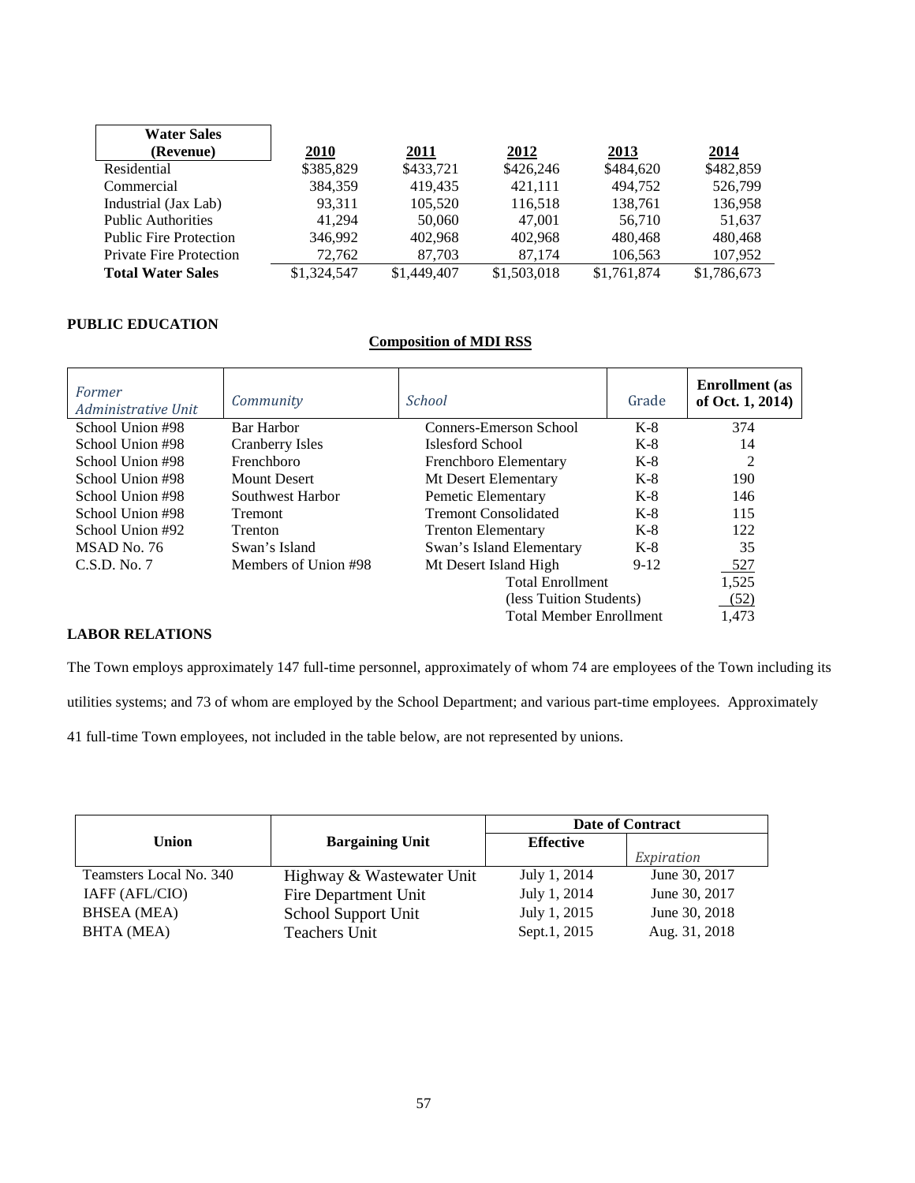| <b>Water Sales</b><br>(Revenue) | <b>2010</b> | <u>2011</u> | 2012        | <u>2013</u> | 2014        |
|---------------------------------|-------------|-------------|-------------|-------------|-------------|
| Residential                     | \$385,829   | \$433,721   | \$426,246   | \$484,620   | \$482,859   |
| Commercial                      | 384,359     | 419.435     | 421,111     | 494,752     | 526,799     |
| Industrial (Jax Lab)            | 93.311      | 105.520     | 116,518     | 138.761     | 136,958     |
| <b>Public Authorities</b>       | 41.294      | 50,060      | 47,001      | 56.710      | 51,637      |
| <b>Public Fire Protection</b>   | 346,992     | 402.968     | 402.968     | 480,468     | 480,468     |
| <b>Private Fire Protection</b>  | 72,762      | 87,703      | 87.174      | 106,563     | 107,952     |
| <b>Total Water Sales</b>        | \$1,324,547 | \$1,449,407 | \$1,503,018 | \$1,761,874 | \$1,786,673 |

#### **PUBLIC EDUCATION**

### **Composition of MDI RSS**

| Former<br>Administrative Unit | Community            | <b>School</b>                  | Grade  | <b>Enrollment</b> (as<br>of Oct. 1, 2014) |
|-------------------------------|----------------------|--------------------------------|--------|-------------------------------------------|
| School Union #98              | Bar Harbor           | Conners-Emerson School         | $K-8$  | 374                                       |
| School Union #98              | Cranberry Isles      | Islesford School               | $K-8$  | 14                                        |
| School Union #98              | Frenchboro           | Frenchboro Elementary          | $K-8$  | 2                                         |
| School Union #98              | <b>Mount Desert</b>  | Mt Desert Elementary           | $K-8$  | 190                                       |
| School Union #98              | Southwest Harbor     | Pemetic Elementary             | $K-8$  | 146                                       |
| School Union #98              | <b>Tremont</b>       | <b>Tremont Consolidated</b>    | $K-8$  | 115                                       |
| School Union #92              | <b>Trenton</b>       | <b>Trenton Elementary</b>      | $K-8$  | 122                                       |
| MSAD No. 76                   | Swan's Island        | Swan's Island Elementary       | $K-8$  | 35                                        |
| C.S.D. No. 7                  | Members of Union #98 | Mt Desert Island High          | $9-12$ | 527                                       |
|                               |                      | <b>Total Enrollment</b>        |        | 1,525                                     |
|                               |                      | (less Tuition Students)        |        | (52)                                      |
|                               |                      | <b>Total Member Enrollment</b> |        | 1,473                                     |

## **LABOR RELATIONS**

The Town employs approximately 147 full-time personnel, approximately of whom 74 are employees of the Town including its

utilities systems; and 73 of whom are employed by the School Department; and various part-time employees. Approximately

41 full-time Town employees, not included in the table below, are not represented by unions.

|                         |                           |                  | <b>Date of Contract</b> |
|-------------------------|---------------------------|------------------|-------------------------|
| Union                   | <b>Bargaining Unit</b>    | <b>Effective</b> |                         |
|                         |                           |                  | Expiration              |
| Teamsters Local No. 340 | Highway & Wastewater Unit | July 1, 2014     | June 30, 2017           |
| IAFF (AFL/CIO)          | Fire Department Unit      | July 1, 2014     | June 30, 2017           |
| <b>BHSEA</b> (MEA)      | School Support Unit       | July 1, 2015     | June 30, 2018           |
| BHTA (MEA)              | <b>Teachers Unit</b>      | Sept.1, 2015     | Aug. 31, 2018           |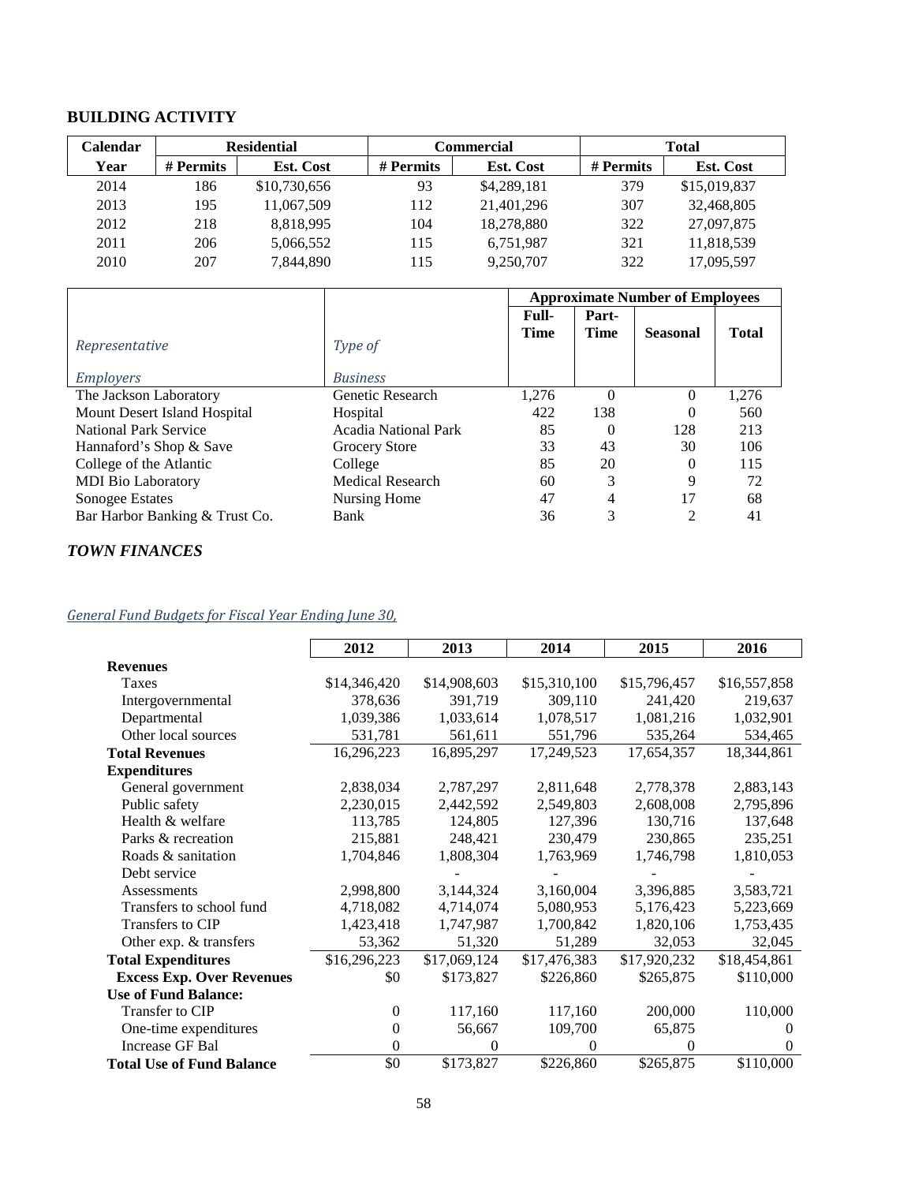## **BUILDING ACTIVITY**

| Calendar | <b>Residential</b>            |              | Commercial |                  |           | Total            |  |  |
|----------|-------------------------------|--------------|------------|------------------|-----------|------------------|--|--|
| Year     | # Permits<br><b>Est. Cost</b> |              | # Permits  | <b>Est.</b> Cost | # Permits | <b>Est. Cost</b> |  |  |
| 2014     | 186                           | \$10,730,656 | 93         | \$4,289,181      | 379       | \$15,019,837     |  |  |
| 2013     | 195                           | 11,067,509   | 112        | 21,401,296       | 307       | 32,468,805       |  |  |
| 2012     | 218                           | 8,818,995    | 104        | 18,278,880       | 322       | 27,097,875       |  |  |
| 2011     | 206                           | 5,066,552    | 115        | 6,751,987        | 321       | 11,818,539       |  |  |
| 2010     | 207                           | 7,844,890    | 115        | 9,250,707        | 322       | 17,095,597       |  |  |

|                                |                         | <b>Approximate Number of Employees</b> |                      |                 |              |
|--------------------------------|-------------------------|----------------------------------------|----------------------|-----------------|--------------|
| Representative                 | Type of                 | <b>Full-</b><br>Time                   | Part-<br><b>Time</b> | <b>Seasonal</b> | <b>Total</b> |
| <i>Employers</i>               | <b>Business</b>         |                                        |                      |                 |              |
| The Jackson Laboratory         | Genetic Research        | 1,276                                  | $\Omega$             | 0               | 1,276        |
| Mount Desert Island Hospital   | Hospital                | 422                                    | 138                  | $\Omega$        | 560          |
| <b>National Park Service</b>   | Acadia National Park    | 85                                     | $\theta$             | 128             | 213          |
| Hannaford's Shop & Save        | Grocery Store           | 33                                     | 43                   | 30              | 106          |
| College of the Atlantic        | College                 | 85                                     | 20                   | $\Omega$        | 115          |
| <b>MDI</b> Bio Laboratory      | <b>Medical Research</b> | 60                                     | 3                    | 9               | 72           |
| Sonogee Estates                | Nursing Home            | 47                                     | 4                    | 17              | 68           |
| Bar Harbor Banking & Trust Co. | Bank                    | 36                                     | 3                    | 2               | 41           |

## *TOWN FINANCES*

## *General Fund Budgets for Fiscal Year Ending June 30,*

|                                  | 2012         | 2013         | 2014         | 2015         | 2016         |
|----------------------------------|--------------|--------------|--------------|--------------|--------------|
| <b>Revenues</b>                  |              |              |              |              |              |
| <b>Taxes</b>                     | \$14,346,420 | \$14,908,603 | \$15,310,100 | \$15,796,457 | \$16,557,858 |
| Intergovernmental                | 378,636      | 391,719      | 309,110      | 241,420      | 219,637      |
| Departmental                     | 1,039,386    | 1,033,614    | 1,078,517    | 1,081,216    | 1,032,901    |
| Other local sources              | 531,781      | 561,611      | 551,796      | 535,264      | 534,465      |
| <b>Total Revenues</b>            | 16,296,223   | 16,895,297   | 17,249,523   | 17,654,357   | 18,344,861   |
| <b>Expenditures</b>              |              |              |              |              |              |
| General government               | 2,838,034    | 2,787,297    | 2,811,648    | 2,778,378    | 2,883,143    |
| Public safety                    | 2,230,015    | 2,442,592    | 2,549,803    | 2,608,008    | 2,795,896    |
| Health & welfare                 | 113,785      | 124,805      | 127,396      | 130,716      | 137,648      |
| Parks & recreation               | 215,881      | 248,421      | 230,479      | 230,865      | 235,251      |
| Roads & sanitation               | 1,704,846    | 1,808,304    | 1,763,969    | 1,746,798    | 1,810,053    |
| Debt service                     |              |              |              |              |              |
| Assessments                      | 2,998,800    | 3,144,324    | 3,160,004    | 3,396,885    | 3,583,721    |
| Transfers to school fund         | 4,718,082    | 4,714,074    | 5,080,953    | 5,176,423    | 5,223,669    |
| Transfers to CIP                 | 1,423,418    | 1,747,987    | 1,700,842    | 1,820,106    | 1,753,435    |
| Other exp. & transfers           | 53,362       | 51,320       | 51,289       | 32,053       | 32,045       |
| <b>Total Expenditures</b>        | \$16,296,223 | \$17,069,124 | \$17,476,383 | \$17,920,232 | \$18,454,861 |
| <b>Excess Exp. Over Revenues</b> | \$0          | \$173,827    | \$226,860    | \$265,875    | \$110,000    |
| <b>Use of Fund Balance:</b>      |              |              |              |              |              |
| Transfer to CIP                  | $\Omega$     | 117,160      | 117,160      | 200,000      | 110,000      |
| One-time expenditures            | $\theta$     | 56,667       | 109,700      | 65,875       | $\Omega$     |
| Increase GF Bal                  | 0            | $\theta$     | $\theta$     | 0            | $\Omega$     |
| <b>Total Use of Fund Balance</b> | \$0          | \$173,827    | \$226,860    | \$265,875    | \$110,000    |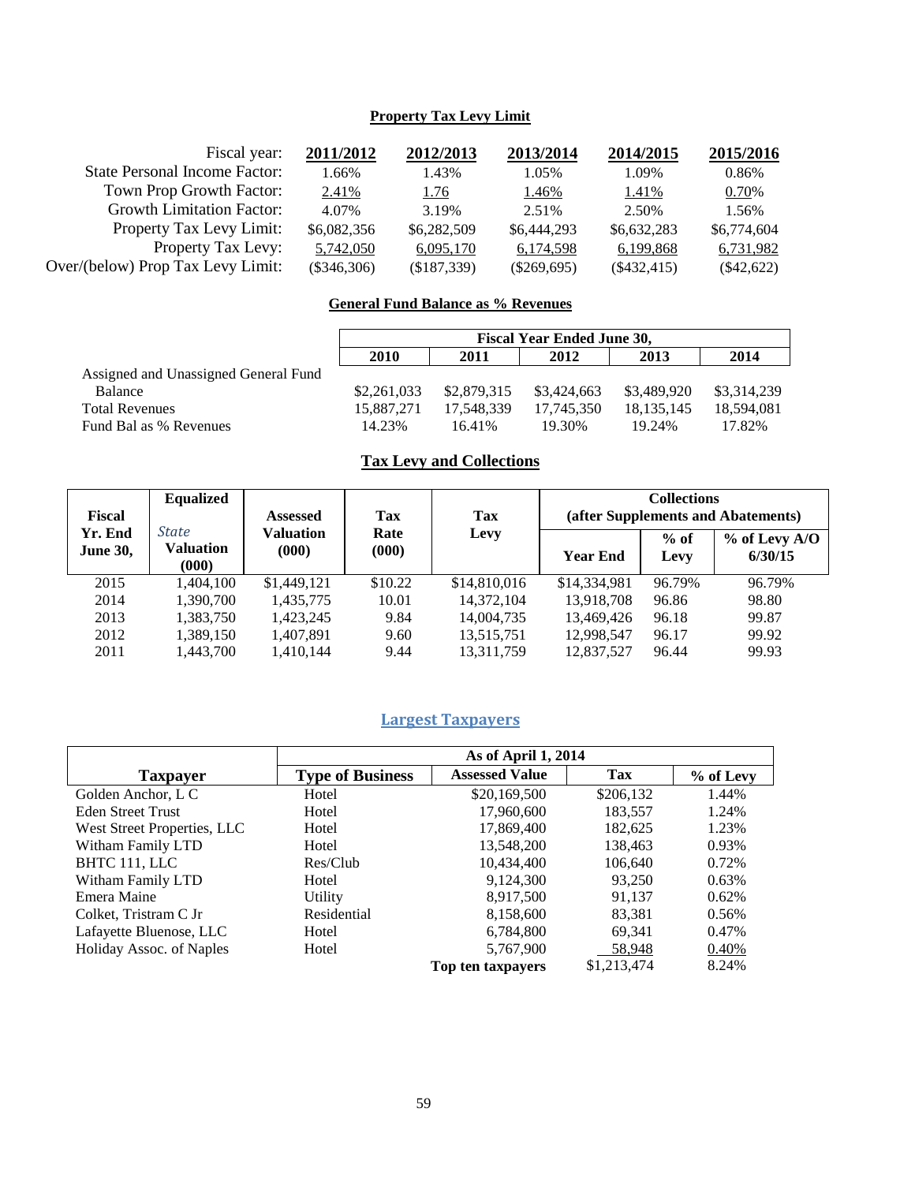## **Property Tax Levy Limit**

| Fiscal year:                         | 2011/2012     | 2012/2013   | 2013/2014     | 2014/2015     | 2015/2016    |
|--------------------------------------|---------------|-------------|---------------|---------------|--------------|
| <b>State Personal Income Factor:</b> | 1.66%         | 1.43%       | 1.05%         | 1.09%         | 0.86%        |
| Town Prop Growth Factor:             | 2.41%         | <u>1.76</u> | 1.46%         | 1.41%         | 0.70%        |
| <b>Growth Limitation Factor:</b>     | 4.07%         | 3.19%       | 2.51%         | 2.50%         | 1.56%        |
| Property Tax Levy Limit:             | \$6,082,356   | \$6,282,509 | \$6,444,293   | \$6,632,283   | \$6,774,604  |
| Property Tax Levy:                   | 5,742,050     | 6,095,170   | 6,174,598     | 6,199,868     | 6,731,982    |
| Over/(below) Prop Tax Levy Limit:    | $(\$346,306)$ | (\$187,339) | $(\$269,695)$ | $(\$432,415)$ | $(\$42,622)$ |

## **General Fund Balance as % Revenues**

|                                      | <b>Fiscal Year Ended June 30,</b> |             |             |              |             |  |
|--------------------------------------|-----------------------------------|-------------|-------------|--------------|-------------|--|
|                                      | 2010                              | 2011        | 2012        | 2013         | 2014        |  |
| Assigned and Unassigned General Fund |                                   |             |             |              |             |  |
| Balance                              | \$2,261,033                       | \$2,879,315 | \$3,424,663 | \$3,489,920  | \$3,314,239 |  |
| <b>Total Revenues</b>                | 15.887.271                        | 17.548.339  | 17.745.350  | 18, 135, 145 | 18.594.081  |  |
| Fund Bal as % Revenues               | 14.23%                            | 16.41%      | 19.30%      | 19.24%       | 17.82%      |  |

## **Tax Levy and Collections**

| Fiscal                     | <b>Equalized</b>                   | <b>Assessed</b>    | Tax           | Tax          |                 | <b>Collections</b> | (after Supplements and Abatements) |
|----------------------------|------------------------------------|--------------------|---------------|--------------|-----------------|--------------------|------------------------------------|
| Yr. End<br><b>June 30,</b> | <i>State</i><br>Valuation<br>(000) | Valuation<br>(000) | Rate<br>(000) | Levy         | <b>Year End</b> | $%$ of<br>Levy     | $%$ of Levy A/O<br>6/30/15         |
| 2015                       | 1.404.100                          | \$1,449,121        | \$10.22       | \$14,810,016 | \$14,334,981    | 96.79%             | 96.79%                             |
| 2014                       | 1,390,700                          | 1,435,775          | 10.01         | 14,372,104   | 13,918,708      | 96.86              | 98.80                              |
| 2013                       | 1,383,750                          | 1.423.245          | 9.84          | 14,004,735   | 13,469,426      | 96.18              | 99.87                              |
| 2012                       | 1.389.150                          | 1,407,891          | 9.60          | 13,515,751   | 12,998,547      | 96.17              | 99.92                              |
| 2011                       | 1,443,700                          | 1,410,144          | 9.44          | 13,311,759   | 12,837,527      | 96.44              | 99.93                              |

## **Largest Taxpayers**

|                             |                         | As of April 1, 2014   |             |           |
|-----------------------------|-------------------------|-----------------------|-------------|-----------|
| <b>Taxpayer</b>             | <b>Type of Business</b> | <b>Assessed Value</b> | <b>Tax</b>  | % of Levy |
| Golden Anchor, L C          | Hotel                   | \$20,169,500          | \$206,132   | 1.44%     |
| <b>Eden Street Trust</b>    | Hotel                   | 17,960,600            | 183,557     | 1.24%     |
| West Street Properties, LLC | Hotel                   | 17,869,400            | 182,625     | 1.23%     |
| Witham Family LTD           | Hotel                   | 13,548,200            | 138,463     | 0.93%     |
| BHTC 111, LLC               | Res/Club                | 10,434,400            | 106,640     | 0.72%     |
| Witham Family LTD           | Hotel                   | 9,124,300             | 93.250      | $0.63\%$  |
| Emera Maine                 | Utility                 | 8,917,500             | 91.137      | 0.62%     |
| Colket, Tristram C Jr.      | Residential             | 8,158,600             | 83,381      | 0.56%     |
| Lafayette Bluenose, LLC     | Hotel                   | 6,784,800             | 69.341      | 0.47%     |
| Holiday Assoc. of Naples    | Hotel                   | 5,767,900             | 58,948      | 0.40%     |
|                             |                         | Top ten taxpayers     | \$1,213,474 | 8.24%     |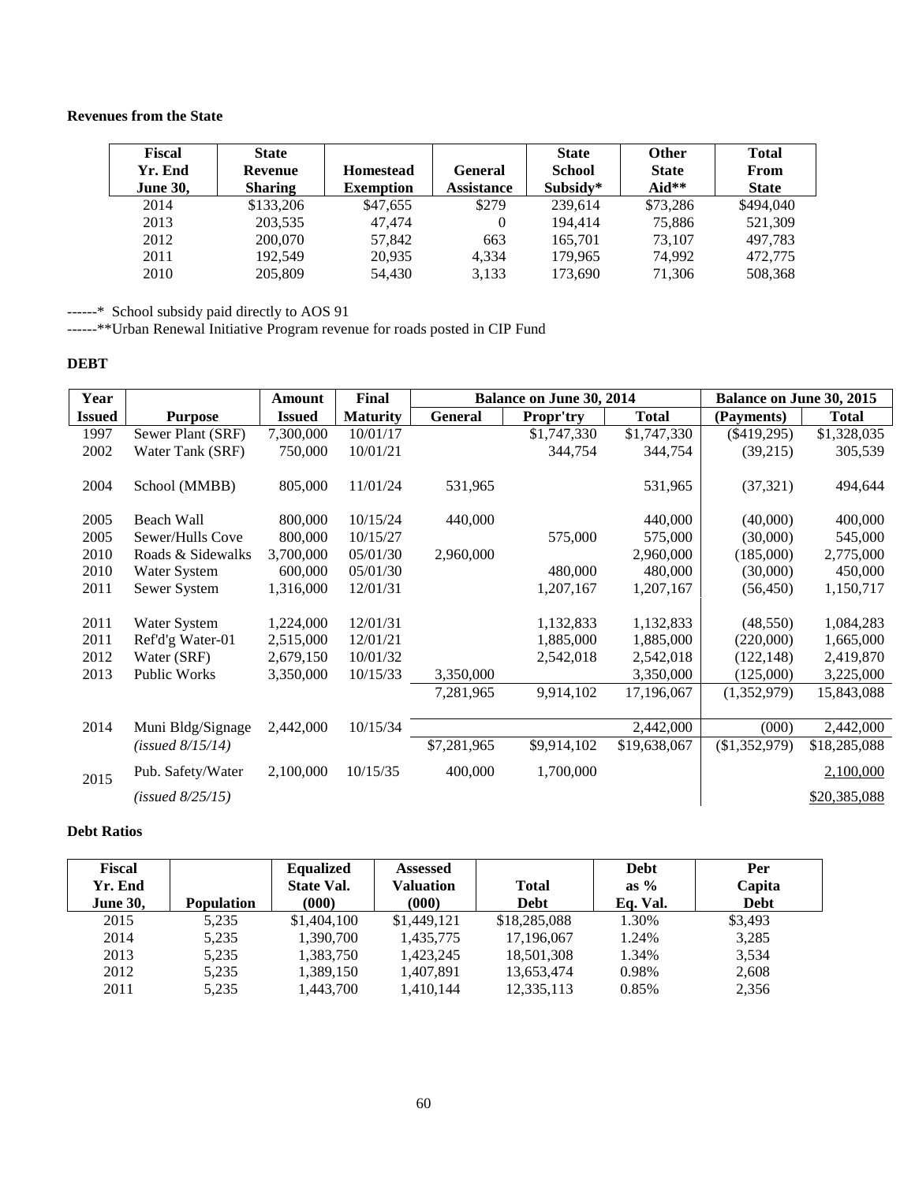#### **Revenues from the State**

| Fiscal          | <b>State</b>   |                  |                   | <b>State</b>  | <b>Other</b> | <b>Total</b> |
|-----------------|----------------|------------------|-------------------|---------------|--------------|--------------|
| Yr. End         | Revenue        | <b>Homestead</b> | <b>General</b>    | <b>School</b> | <b>State</b> | From         |
| <b>June 30,</b> | <b>Sharing</b> | <b>Exemption</b> | <b>Assistance</b> | Subsidy*      | Aid**        | <b>State</b> |
| 2014            | \$133,206      | \$47,655         | \$279             | 239.614       | \$73,286     | \$494,040    |
| 2013            | 203,535        | 47.474           | 0                 | 194.414       | 75.886       | 521,309      |
| 2012            | 200,070        | 57,842           | 663               | 165,701       | 73.107       | 497,783      |
| 2011            | 192.549        | 20.935           | 4.334             | 179.965       | 74.992       | 472,775      |
| 2010            | 205,809        | 54.430           | 3,133             | 173.690       | 71,306       | 508,368      |

------\* School subsidy paid directly to AOS 91

------\*\*Urban Renewal Initiative Program revenue for roads posted in CIP Fund

#### **DEBT**

| Year          |                                    | Amount        | Final           |             | <b>Balance on June 30, 2014</b> |              | <b>Balance on June 30, 2015</b> |              |
|---------------|------------------------------------|---------------|-----------------|-------------|---------------------------------|--------------|---------------------------------|--------------|
| <b>Issued</b> | <b>Purpose</b>                     | <b>Issued</b> | <b>Maturity</b> | General     | Propr'try                       | <b>Total</b> | (Payments)                      | <b>Total</b> |
| 1997          | Sewer Plant (SRF)                  | 7,300,000     | 10/01/17        |             | \$1,747,330                     | \$1,747,330  | $(\$419,295)$                   | \$1,328,035  |
| 2002          | Water Tank (SRF)                   | 750,000       | 10/01/21        |             | 344,754                         | 344,754      | (39,215)                        | 305,539      |
| 2004          | School (MMBB)                      | 805,000       | 11/01/24        | 531,965     |                                 | 531,965      | (37, 321)                       | 494,644      |
| 2005          | Beach Wall                         | 800,000       | 10/15/24        | 440,000     |                                 | 440,000      | (40,000)                        | 400,000      |
| 2005          | Sewer/Hulls Cove                   | 800,000       | 10/15/27        |             | 575,000                         | 575,000      | (30,000)                        | 545,000      |
| 2010          | Roads & Sidewalks                  | 3,700,000     | 05/01/30        | 2,960,000   |                                 | 2,960,000    | (185,000)                       | 2,775,000    |
| 2010          | Water System                       | 600,000       | 05/01/30        |             | 480,000                         | 480,000      | (30,000)                        | 450,000      |
| 2011          | Sewer System                       | 1,316,000     | 12/01/31        |             | 1,207,167                       | 1,207,167    | (56, 450)                       | 1,150,717    |
| 2011          | Water System                       | 1,224,000     | 12/01/31        |             | 1,132,833                       | 1,132,833    | (48, 550)                       | 1,084,283    |
| 2011          | Ref'd'g Water-01                   | 2,515,000     | 12/01/21        |             | 1,885,000                       | 1,885,000    | (220,000)                       | 1,665,000    |
| 2012          | Water (SRF)<br><b>Public Works</b> | 2,679,150     | 10/01/32        |             | 2,542,018                       | 2,542,018    | (122, 148)                      | 2,419,870    |
| 2013          |                                    | 3,350,000     | 10/15/33        | 3,350,000   |                                 | 3,350,000    | (125,000)                       | 3,225,000    |
|               |                                    |               |                 | 7,281,965   | 9,914,102                       | 17,196,067   | (1,352,979)                     | 15,843,088   |
| 2014          | Muni Bldg/Signage                  | 2,442,000     | 10/15/34        |             |                                 | 2,442,000    | (000)                           | 2,442,000    |
|               | (issued 8/15/14)                   |               |                 | \$7,281,965 | \$9,914,102                     | \$19,638,067 | (\$1,352,979)                   | \$18,285,088 |
| 2015          | Pub. Safety/Water                  | 2,100,000     | 10/15/35        | 400,000     | 1,700,000                       |              |                                 | 2,100,000    |
|               | (issued 8/25/15)                   |               |                 |             |                                 |              |                                 | \$20,385,088 |

### **Debt Ratios**

| Fiscal          |                   | <b>Equalized</b>  | <b>Assessed</b> |              | <b>Debt</b> | Per         |
|-----------------|-------------------|-------------------|-----------------|--------------|-------------|-------------|
| Yr. End         |                   | <b>State Val.</b> | Valuation       | <b>Total</b> | as $\%$     | Capita      |
| <b>June 30,</b> | <b>Population</b> | (000)             | (000)           | <b>Debt</b>  | Eq. Val.    | <b>Debt</b> |
| 2015            | 5,235             | \$1,404,100       | \$1,449,121     | \$18,285,088 | 1.30%       | \$3,493     |
| 2014            | 5,235             | 1,390,700         | 1,435,775       | 17.196.067   | 1.24%       | 3,285       |
| 2013            | 5,235             | 1,383,750         | 1,423,245       | 18,501,308   | 1.34%       | 3,534       |
| 2012            | 5,235             | 1,389,150         | 1,407,891       | 13,653,474   | 0.98%       | 2,608       |
| 2011            | 5,235             | 1,443,700         | 1,410,144       | 12,335,113   | 0.85%       | 2,356       |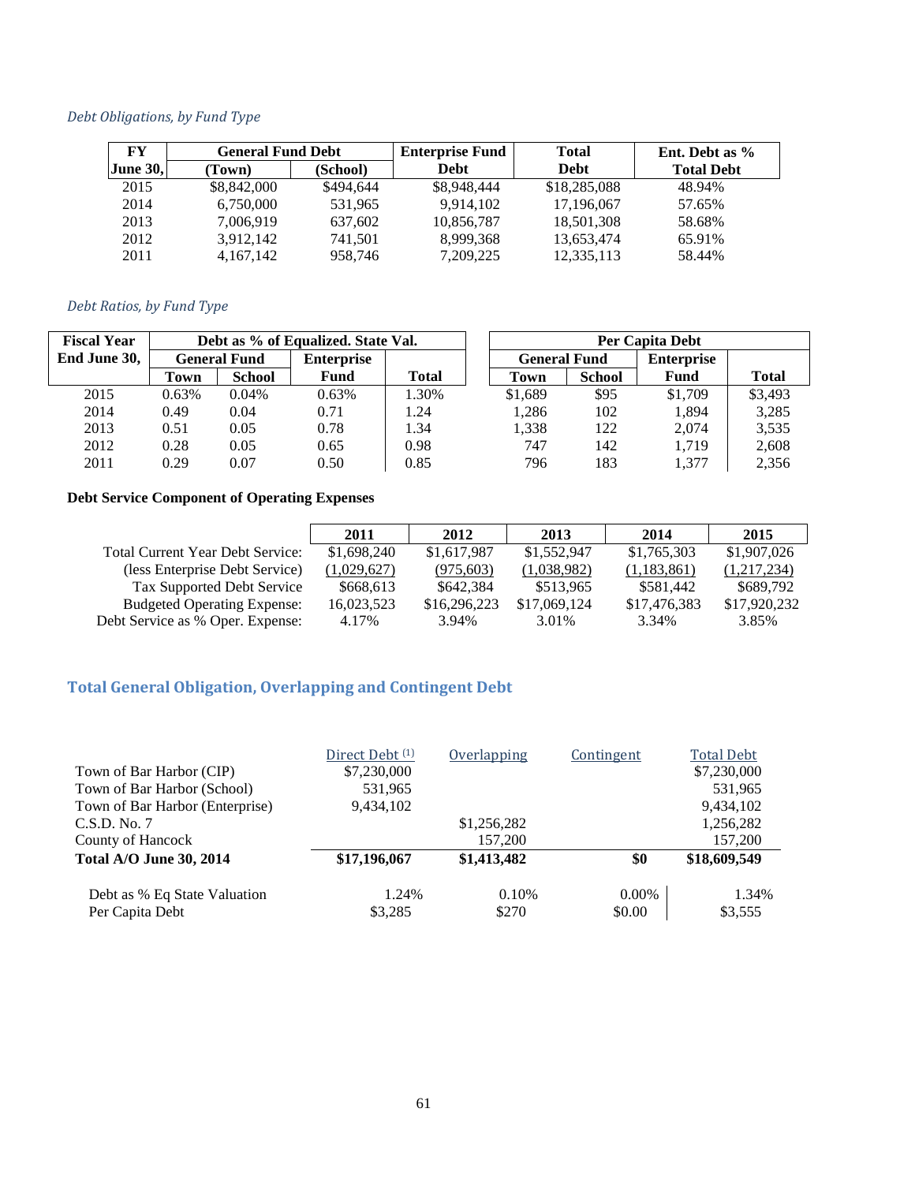## *Debt Obligations, by Fund Type*

| FY              | <b>General Fund Debt</b> |           | <b>Enterprise Fund</b> | Total        | Ent. Debt as %    |  |
|-----------------|--------------------------|-----------|------------------------|--------------|-------------------|--|
| <b>June 30,</b> | (Town)                   | (School)  | <b>Debt</b>            | <b>Debt</b>  | <b>Total Debt</b> |  |
| 2015            | \$8,842,000              | \$494,644 | \$8,948,444            | \$18,285,088 | 48.94%            |  |
| 2014            | 6,750,000                | 531.965   | 9.914.102              | 17.196.067   | 57.65%            |  |
| 2013            | 7.006.919                | 637,602   | 10,856,787             | 18,501,308   | 58.68%            |  |
| 2012            | 3,912,142                | 741,501   | 8.999.368              | 13,653,474   | 65.91%            |  |
| 2011            | 4, 167, 142              | 958,746   | 7,209,225              | 12,335,113   | 58.44%            |  |

## *Debt Ratios, by Fund Type*

| <b>Fiscal Year</b> | Debt as % of Equalized. State Val. |               |                   | <b>Per Capita Debt</b> |  |                     |               |                   |              |
|--------------------|------------------------------------|---------------|-------------------|------------------------|--|---------------------|---------------|-------------------|--------------|
| End June 30,       | <b>General Fund</b>                |               | <b>Enterprise</b> |                        |  | <b>General Fund</b> |               | <b>Enterprise</b> |              |
|                    | Town                               | <b>School</b> | Fund              | <b>Total</b>           |  | Town                | <b>School</b> | Fund              | <b>Total</b> |
| 2015               | 0.63%                              | 0.04%         | 0.63%             | 1.30%                  |  | \$1,689             | \$95          | \$1,709           | \$3,493      |
| 2014               | 0.49                               | 0.04          | 0.71              | 1.24                   |  | 1.286               | 102           | 1,894             | 3,285        |
| 2013               | 0.51                               | 0.05          | 0.78              | 1.34                   |  | 1,338               | 122           | 2.074             | 3,535        |
| 2012               | 0.28                               | 0.05          | 0.65              | 0.98                   |  | 747                 | 142           | 1.719             | 2,608        |
| 2011               | 0.29                               | 0.07          | 0.50              | 0.85                   |  | 796                 | 183           | 1.377             | 2,356        |

## **Debt Service Component of Operating Expenses**

|                                         | 2011        | 2012         | 2013         | 2014         | 2015         |
|-----------------------------------------|-------------|--------------|--------------|--------------|--------------|
| <b>Total Current Year Debt Service:</b> | \$1,698,240 | \$1,617,987  | \$1,552,947  | \$1,765,303  | \$1,907,026  |
| (less Enterprise Debt Service)          | (1,029,627) | (975, 603)   | (1,038,982)  | (1,183,861)  | (1,217,234)  |
| Tax Supported Debt Service              | \$668,613   | \$642,384    | \$513.965    | \$581.442    | \$689.792    |
| <b>Budgeted Operating Expense:</b>      | 16,023,523  | \$16,296,223 | \$17,069,124 | \$17,476,383 | \$17,920,232 |
| Debt Service as % Oper. Expense:        | 4.17%       | 3.94%        | 3.01%        | 3.34%        | 3.85%        |

## **Total General Obligation, Overlapping and Contingent Debt**

|                                 | Direct Debt <sup>(1)</sup> | Overlapping | Contingent | <b>Total Debt</b> |
|---------------------------------|----------------------------|-------------|------------|-------------------|
| Town of Bar Harbor (CIP)        | \$7,230,000                |             |            | \$7,230,000       |
| Town of Bar Harbor (School)     | 531,965                    |             |            | 531,965           |
| Town of Bar Harbor (Enterprise) | 9,434,102                  |             |            | 9,434,102         |
| C.S.D. No. 7                    |                            | \$1,256,282 |            | 1,256,282         |
| County of Hancock               |                            | 157,200     |            | 157,200           |
| <b>Total A/O June 30, 2014</b>  | \$17,196,067               | \$1,413,482 | \$0        | \$18,609,549      |
| Debt as % Eq State Valuation    | 1.24%                      | 0.10%       | $0.00\%$   | 1.34%             |
| Per Capita Debt                 | \$3,285                    | \$270       | \$0.00     | \$3,555           |